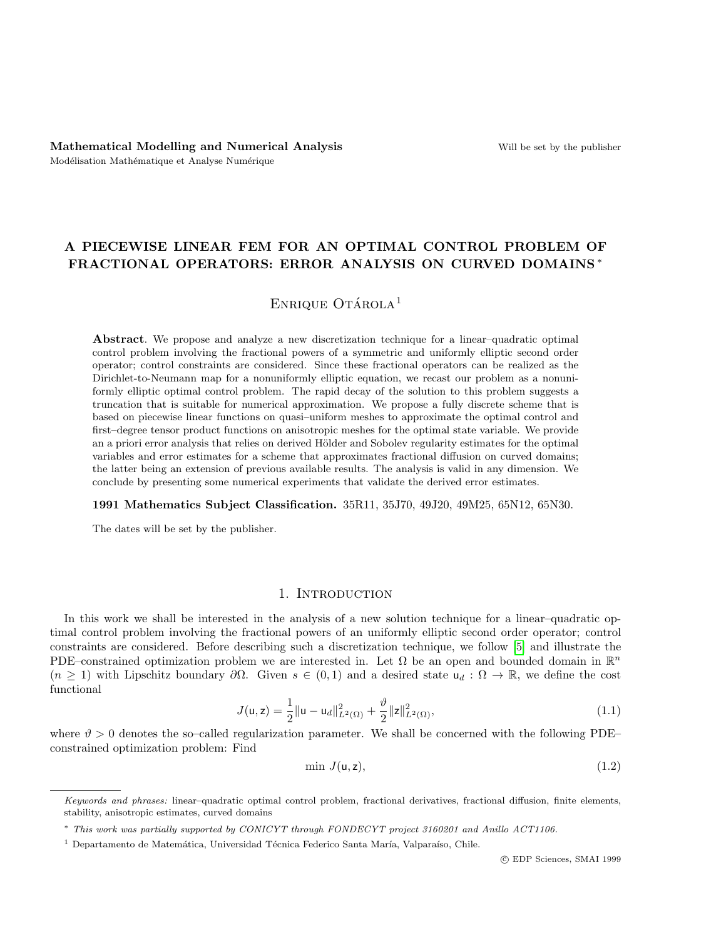# A PIECEWISE LINEAR FEM FOR AN OPTIMAL CONTROL PROBLEM OF FRACTIONAL OPERATORS: ERROR ANALYSIS ON CURVED DOMAINS \*

# ENRIQUE OTÁROLA $<sup>1</sup>$ </sup>

Abstract. We propose and analyze a new discretization technique for a linear–quadratic optimal control problem involving the fractional powers of a symmetric and uniformly elliptic second order operator; control constraints are considered. Since these fractional operators can be realized as the Dirichlet-to-Neumann map for a nonuniformly elliptic equation, we recast our problem as a nonuniformly elliptic optimal control problem. The rapid decay of the solution to this problem suggests a truncation that is suitable for numerical approximation. We propose a fully discrete scheme that is based on piecewise linear functions on quasi–uniform meshes to approximate the optimal control and first–degree tensor product functions on anisotropic meshes for the optimal state variable. We provide an a priori error analysis that relies on derived Hölder and Sobolev regularity estimates for the optimal variables and error estimates for a scheme that approximates fractional diffusion on curved domains; the latter being an extension of previous available results. The analysis is valid in any dimension. We conclude by presenting some numerical experiments that validate the derived error estimates.

#### 1991 Mathematics Subject Classification. 35R11, 35J70, 49J20, 49M25, 65N12, 65N30.

The dates will be set by the publisher.

# 1. INTRODUCTION

In this work we shall be interested in the analysis of a new solution technique for a linear–quadratic optimal control problem involving the fractional powers of an uniformly elliptic second order operator; control constraints are considered. Before describing such a discretization technique, we follow [\[5\]](#page-26-0) and illustrate the PDE–constrained optimization problem we are interested in. Let  $\Omega$  be an open and bounded domain in  $\mathbb{R}^n$  $(n \geq 1)$  with Lipschitz boundary  $\partial\Omega$ . Given  $s \in (0,1)$  and a desired state  $u_d : \Omega \to \mathbb{R}$ , we define the cost functional

<span id="page-0-1"></span>
$$
J(\mathsf{u},\mathsf{z}) = \frac{1}{2} \|\mathsf{u} - \mathsf{u}_d\|_{L^2(\Omega)}^2 + \frac{\vartheta}{2} \|\mathsf{z}\|_{L^2(\Omega)}^2,
$$
\n(1.1)

where  $\vartheta > 0$  denotes the so-called regularization parameter. We shall be concerned with the following PDE– constrained optimization problem: Find

<span id="page-0-0"></span>
$$
\min J(\mathsf{u}, \mathsf{z}),\tag{1.2}
$$

Keywords and phrases: linear–quadratic optimal control problem, fractional derivatives, fractional diffusion, finite elements, stability, anisotropic estimates, curved domains

<sup>∗</sup> This work was partially supported by CONICYT through FONDECYT project 3160201 and Anillo ACT1106.

<sup>&</sup>lt;sup>1</sup> Departamento de Matemática, Universidad Técnica Federico Santa María, Valparaíso, Chile.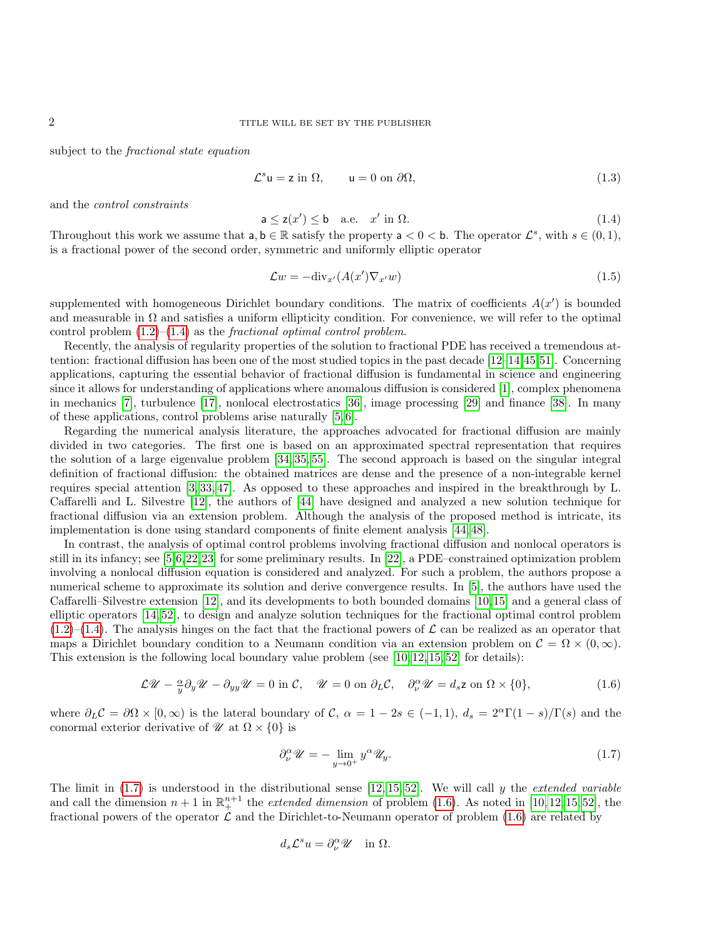subject to the fractional state equation

<span id="page-1-4"></span>
$$
\mathcal{L}^s \mathsf{u} = \mathsf{z} \text{ in } \Omega, \qquad \mathsf{u} = 0 \text{ on } \partial \Omega,
$$
\n
$$
(1.3)
$$

and the control constraints

<span id="page-1-0"></span>
$$
\mathsf{a} \le \mathsf{z}(x') \le \mathsf{b} \quad \text{a.e.} \quad x' \text{ in } \Omega. \tag{1.4}
$$

Throughout this work we assume that  $a, b \in \mathbb{R}$  satisfy the property  $a < 0 < b$ . The operator  $\mathcal{L}^s$ , with  $s \in (0, 1)$ , is a fractional power of the second order, symmetric and uniformly elliptic operator

<span id="page-1-3"></span>
$$
\mathcal{L}w = -\text{div}_{x'}(A(x')\nabla_{x'}w) \tag{1.5}
$$

supplemented with homogeneous Dirichlet boundary conditions. The matrix of coefficients  $A(x')$  is bounded and measurable in  $\Omega$  and satisfies a uniform ellipticity condition. For convenience, we will refer to the optimal control problem  $(1.2)$ – $(1.4)$  as the *fractional optimal control problem*.

Recently, the analysis of regularity properties of the solution to fractional PDE has received a tremendous attention: fractional diffusion has been one of the most studied topics in the past decade [\[12–](#page-27-0)[14,](#page-27-1)[45,](#page-28-0)[51\]](#page-28-1). Concerning applications, capturing the essential behavior of fractional diffusion is fundamental in science and engineering since it allows for understanding of applications where anomalous diffusion is considered [\[1\]](#page-25-0), complex phenomena in mechanics [\[7\]](#page-26-1), turbulence [\[17\]](#page-27-2), nonlocal electrostatics [\[36\]](#page-27-3), image processing [\[29\]](#page-27-4) and finance [\[38\]](#page-27-5). In many of these applications, control problems arise naturally [\[5,](#page-26-0) [6\]](#page-26-2).

Regarding the numerical analysis literature, the approaches advocated for fractional diffusion are mainly divided in two categories. The first one is based on an approximated spectral representation that requires the solution of a large eigenvalue problem [\[34,](#page-27-6) [35,](#page-27-7) [55\]](#page-28-2). The second approach is based on the singular integral definition of fractional diffusion: the obtained matrices are dense and the presence of a non-integrable kernel requires special attention [\[3,](#page-25-1) [33,](#page-27-8) [47\]](#page-28-3). As opposed to these approaches and inspired in the breakthrough by L. Caffarelli and L. Silvestre [\[12\]](#page-27-0), the authors of [\[44\]](#page-28-4) have designed and analyzed a new solution technique for fractional diffusion via an extension problem. Although the analysis of the proposed method is intricate, its implementation is done using standard components of finite element analysis [\[44,](#page-28-4) [48\]](#page-28-5).

In contrast, the analysis of optimal control problems involving fractional diffusion and nonlocal operators is still in its infancy; see [\[5,](#page-26-0)[6,](#page-26-2)[22,](#page-27-9)[23\]](#page-27-10) for some preliminary results. In [\[22\]](#page-27-9), a PDE–constrained optimization problem involving a nonlocal diffusion equation is considered and analyzed. For such a problem, the authors propose a numerical scheme to approximate its solution and derive convergence results. In [\[5\]](#page-26-0), the authors have used the Caffarelli–Silvestre extension [\[12\]](#page-27-0), and its developments to both bounded domains [\[10,](#page-27-11)[15\]](#page-27-12) and a general class of elliptic operators [\[14,](#page-27-1) [52\]](#page-28-6), to design and analyze solution techniques for the fractional optimal control problem  $(1.2)$ –[\(1.4\)](#page-1-0). The analysis hinges on the fact that the fractional powers of  $\mathcal L$  can be realized as an operator that maps a Dirichlet boundary condition to a Neumann condition via an extension problem on  $\mathcal{C} = \Omega \times (0,\infty)$ . This extension is the following local boundary value problem (see  $[10, 12, 15, 52]$  $[10, 12, 15, 52]$  $[10, 12, 15, 52]$  $[10, 12, 15, 52]$  for details):

<span id="page-1-2"></span>
$$
\mathcal{L}\mathscr{U} - \frac{\alpha}{y}\partial_y\mathscr{U} - \partial_{yy}\mathscr{U} = 0 \text{ in } \mathcal{C}, \quad \mathscr{U} = 0 \text{ on } \partial_L\mathcal{C}, \quad \partial_\nu^\alpha\mathscr{U} = d_s \mathsf{z} \text{ on } \Omega \times \{0\},\tag{1.6}
$$

where  $\partial_L C = \partial \Omega \times [0, \infty)$  is the lateral boundary of C,  $\alpha = 1 - 2s \in (-1, 1), d_s = 2^{\alpha} \Gamma(1 - s)/\Gamma(s)$  and the conormal exterior derivative of  $\mathcal{U}$  at  $\Omega \times \{0\}$  is

<span id="page-1-1"></span>
$$
\partial_{\nu}^{\alpha} \mathscr{U} = -\lim_{y \to 0^{+}} y^{\alpha} \mathscr{U}_{y}.
$$
\n(1.7)

The limit in  $(1.7)$  is understood in the distributional sense  $[12, 15, 52]$  $[12, 15, 52]$  $[12, 15, 52]$ . We will call y the *extended variable* and call the dimension  $n+1$  in  $\mathbb{R}^{n+1}_+$  the *extended dimension* of problem [\(1.6\)](#page-1-2). As noted in [\[10,](#page-27-11) [12,](#page-27-0) [15,](#page-27-12) [52\]](#page-28-6), the fractional powers of the operator  $\mathcal L$  and the Dirichlet-to-Neumann operator of problem [\(1.6\)](#page-1-2) are related by

$$
d_s \mathcal{L}^s u = \partial_\nu^\alpha \mathscr{U} \quad \text{in } \Omega.
$$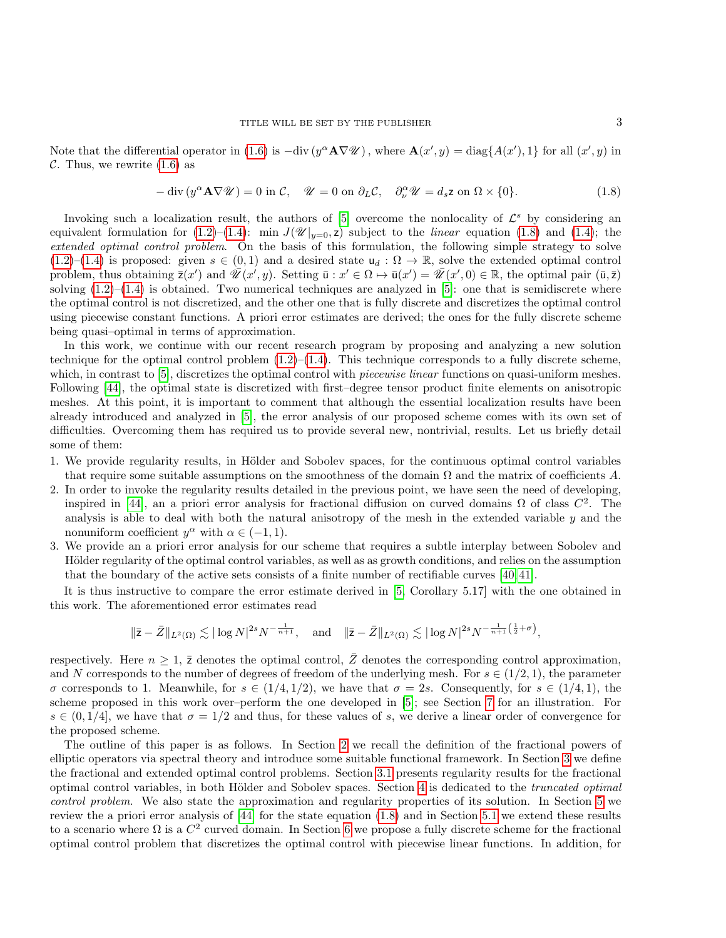Note that the differential operator in [\(1.6\)](#page-1-2) is  $-\text{div}(y^{\alpha} \mathbf{A} \nabla \mathcal{U})$ , where  $\mathbf{A}(x', y) = \text{diag}\{A(x'), 1\}$  for all  $(x', y)$  in C. Thus, we rewrite  $(1.6)$  as

<span id="page-2-0"></span>
$$
-\operatorname{div}\left(y^{\alpha}\mathbf{A}\nabla\mathscr{U}\right) = 0 \text{ in } \mathcal{C}, \quad \mathscr{U} = 0 \text{ on } \partial_L \mathcal{C}, \quad \partial_{\nu}^{\alpha}\mathscr{U} = d_s \mathbf{z} \text{ on } \Omega \times \{0\}. \tag{1.8}
$$

Invoking such a localization result, the authors of  $[5]$  overcome the nonlocality of  $\mathcal{L}^s$  by considering an equivalent formulation for [\(1.2\)](#page-0-0)–[\(1.4\)](#page-1-0): min  $J(\mathscr{U}|_{y=0}, z)$  subject to the *linear* equation [\(1.8\)](#page-2-0) and [\(1.4\)](#page-1-0); the extended optimal control problem. On the basis of this formulation, the following simple strategy to solve  $(1.2)$ – $(1.4)$  is proposed: given  $s \in (0,1)$  and a desired state  $u_d : \Omega \to \mathbb{R}$ , solve the extended optimal control problem, thus obtaining  $\overline{z}(x')$  and  $\overline{\mathscr{U}}(x', y)$ . Setting  $\overline{u} : x' \in \Omega \mapsto \overline{u}(x') = \overline{\mathscr{U}}(x', 0) \in \mathbb{R}$ , the optimal pair  $(\overline{u}, \overline{z})$ solving  $(1.2)$ – $(1.4)$  is obtained. Two numerical techniques are analyzed in [\[5\]](#page-26-0): one that is semidiscrete where the optimal control is not discretized, and the other one that is fully discrete and discretizes the optimal control using piecewise constant functions. A priori error estimates are derived; the ones for the fully discrete scheme being quasi–optimal in terms of approximation.

In this work, we continue with our recent research program by proposing and analyzing a new solution technique for the optimal control problem  $(1.2)$ – $(1.4)$ . This technique corresponds to a fully discrete scheme, which, in contrast to [\[5\]](#page-26-0), discretizes the optimal control with *piecewise linear* functions on quasi-uniform meshes. Following [\[44\]](#page-28-4), the optimal state is discretized with first–degree tensor product finite elements on anisotropic meshes. At this point, it is important to comment that although the essential localization results have been already introduced and analyzed in [\[5\]](#page-26-0), the error analysis of our proposed scheme comes with its own set of difficulties. Overcoming them has required us to provide several new, nontrivial, results. Let us briefly detail some of them:

- 1. We provide regularity results, in Hölder and Sobolev spaces, for the continuous optimal control variables that require some suitable assumptions on the smoothness of the domain  $\Omega$  and the matrix of coefficients A.
- 2. In order to invoke the regularity results detailed in the previous point, we have seen the need of developing, inspired in [\[44\]](#page-28-4), an a priori error analysis for fractional diffusion on curved domains  $\Omega$  of class  $C^2$ . The analysis is able to deal with both the natural anisotropy of the mesh in the extended variable  $y$  and the nonuniform coefficient  $y^{\alpha}$  with  $\alpha \in (-1, 1)$ .
- 3. We provide an a priori error analysis for our scheme that requires a subtle interplay between Sobolev and Hölder regularity of the optimal control variables, as well as as growth conditions, and relies on the assumption that the boundary of the active sets consists of a finite number of rectifiable curves [\[40,](#page-28-7) [41\]](#page-28-8).

It is thus instructive to compare the error estimate derived in [\[5,](#page-26-0) Corollary 5.17] with the one obtained in this work. The aforementioned error estimates read

$$
\|\bar{z}-\bar{Z}\|_{L^{2}(\Omega)} \lesssim |\log N|^{2s} N^{-\frac{1}{n+1}}, \quad \text{and} \quad \|\bar{z}-\bar{Z}\|_{L^{2}(\Omega)} \lesssim |\log N|^{2s} N^{-\frac{1}{n+1}\left(\frac{1}{2}+\sigma\right)},
$$

respectively. Here  $n \geq 1$ ,  $\bar{z}$  denotes the optimal control,  $\bar{Z}$  denotes the corresponding control approximation, and N corresponds to the number of degrees of freedom of the underlying mesh. For  $s \in (1/2, 1)$ , the parameter  $\sigma$  corresponds to 1. Meanwhile, for  $s \in (1/4, 1/2)$ , we have that  $\sigma = 2s$ . Consequently, for  $s \in (1/4, 1)$ , the scheme proposed in this work over–perform the one developed in [\[5\]](#page-26-0); see Section [7](#page-24-0) for an illustration. For  $s \in (0, 1/4]$ , we have that  $\sigma = 1/2$  and thus, for these values of s, we derive a linear order of convergence for the proposed scheme.

The outline of this paper is as follows. In Section [2](#page-3-0) we recall the definition of the fractional powers of elliptic operators via spectral theory and introduce some suitable functional framework. In Section [3](#page-5-0) we define the fractional and extended optimal control problems. Section [3.1](#page-6-0) presents regularity results for the fractional optimal control variables, in both Hölder and Sobolev spaces. Section [4](#page-8-0) is dedicated to the *truncated optimal* control problem. We also state the approximation and regularity properties of its solution. In Section [5](#page-10-0) we review the a priori error analysis of [\[44\]](#page-28-4) for the state equation [\(1.8\)](#page-2-0) and in Section [5.1](#page-11-0) we extend these results to a scenario where  $\Omega$  is a  $C^2$  curved domain. In Section [6](#page-16-0) we propose a fully discrete scheme for the fractional optimal control problem that discretizes the optimal control with piecewise linear functions. In addition, for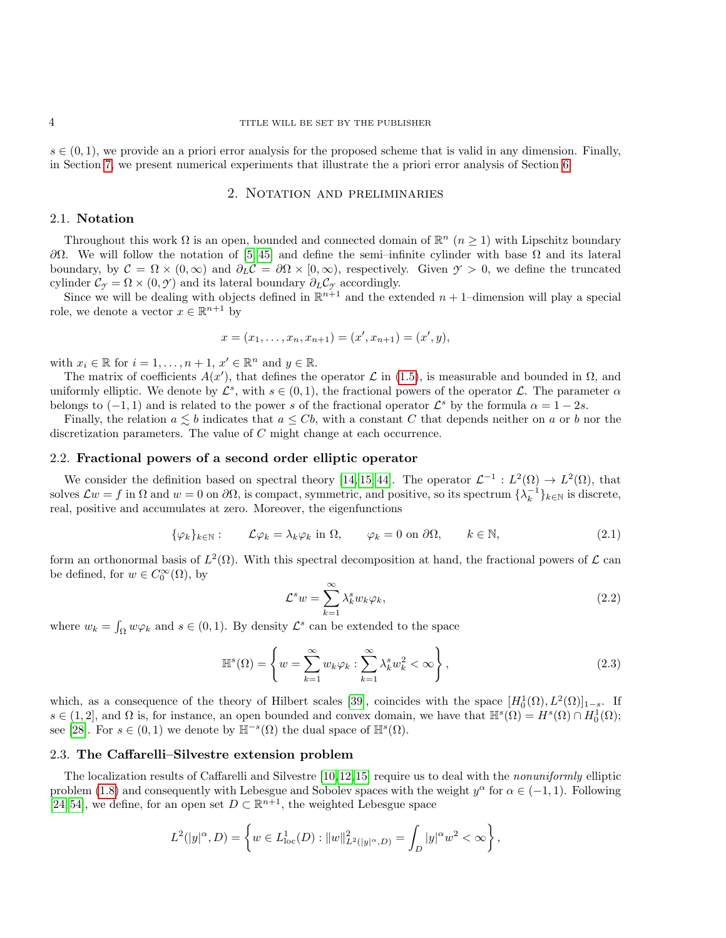$s \in (0, 1)$ , we provide an a priori error analysis for the proposed scheme that is valid in any dimension. Finally, in Section [7,](#page-24-0) we present numerical experiments that illustrate the a priori error analysis of Section [6.](#page-16-0)

## 2. Notation and preliminaries

## <span id="page-3-0"></span>2.1. Notation

Throughout this work  $\Omega$  is an open, bounded and connected domain of  $\mathbb{R}^n$   $(n \geq 1)$  with Lipschitz boundary  $\partial Ω$ . We will follow the notation of [\[5,](#page-26-0)45] and define the semi–infinite cylinder with base  $Ω$  and its lateral boundary, by  $\mathcal{C} = \Omega \times (0,\infty)$  and  $\partial_L \mathcal{C} = \partial \Omega \times (0,\infty)$ , respectively. Given  $\gamma > 0$ , we define the truncated cylinder  $\mathcal{C}_{\gamma} = \Omega \times (0, \gamma)$  and its lateral boundary  $\partial_L \mathcal{C}_{\gamma}$  accordingly.

Since we will be dealing with objects defined in  $\mathbb{R}^{n+1}$  and the extended  $n+1$ -dimension will play a special role, we denote a vector  $x \in \mathbb{R}^{n+1}$  by

$$
x = (x_1, \ldots, x_n, x_{n+1}) = (x', x_{n+1}) = (x', y),
$$

with  $x_i \in \mathbb{R}$  for  $i = 1, ..., n + 1, x' \in \mathbb{R}^n$  and  $y \in \mathbb{R}$ .

The matrix of coefficients  $A(x')$ , that defines the operator  $\mathcal L$  in [\(1.5\)](#page-1-3), is measurable and bounded in  $\Omega$ , and uniformly elliptic. We denote by  $\mathcal{L}^s$ , with  $s \in (0,1)$ , the fractional powers of the operator  $\mathcal{L}$ . The parameter  $\alpha$ belongs to  $(-1,1)$  and is related to the power s of the fractional operator  $\mathcal{L}^s$  by the formula  $\alpha = 1 - 2s$ .

Finally, the relation  $a \leq b$  indicates that  $a \leq Cb$ , with a constant C that depends neither on a or b nor the discretization parameters. The value of C might change at each occurrence.

### <span id="page-3-5"></span>2.2. Fractional powers of a second order elliptic operator

We consider the definition based on spectral theory [\[14,](#page-27-1) [15,](#page-27-12) [44\]](#page-28-4). The operator  $\mathcal{L}^{-1}: L^2(\Omega) \to L^2(\Omega)$ , that solves  $\mathcal{L}w = f$  in  $\Omega$  and  $w = 0$  on  $\partial\Omega$ , is compact, symmetric, and positive, so its spectrum  $\{\lambda_k^{-1}\}_{k\in\mathbb{N}}$  is discrete, real, positive and accumulates at zero. Moreover, the eigenfunctions

<span id="page-3-2"></span>
$$
\{\varphi_k\}_{k \in \mathbb{N}} : \qquad \mathcal{L}\varphi_k = \lambda_k \varphi_k \text{ in } \Omega, \qquad \varphi_k = 0 \text{ on } \partial\Omega, \qquad k \in \mathbb{N}, \tag{2.1}
$$

form an orthonormal basis of  $L^2(\Omega)$ . With this spectral decomposition at hand, the fractional powers of  $\mathcal L$  can be defined, for  $w \in C_0^{\infty}(\Omega)$ , by

<span id="page-3-3"></span>
$$
\mathcal{L}^s w = \sum_{k=1}^{\infty} \lambda_k^s w_k \varphi_k, \qquad (2.2)
$$

where  $w_k = \int_{\Omega} w \varphi_k$  and  $s \in (0, 1)$ . By density  $\mathcal{L}^s$  can be extended to the space

<span id="page-3-4"></span>
$$
\mathbb{H}^{s}(\Omega) = \left\{ w = \sum_{k=1}^{\infty} w_k \varphi_k : \sum_{k=1}^{\infty} \lambda_k^s w_k^2 < \infty \right\},
$$
\n(2.3)

which, as a consequence of the theory of Hilbert scales [\[39\]](#page-27-13), coincides with the space  $[H_0^1(\Omega), L^2(\Omega)]_{1-s}$ . If  $s \in (1,2]$ , and  $\Omega$  is, for instance, an open bounded and convex domain, we have that  $\mathbb{H}^s(\Omega) = H^s(\Omega) \cap H_0^1(\Omega)$ ; see [\[28\]](#page-27-14). For  $s \in (0,1)$  we denote by  $\mathbb{H}^{-s}(\Omega)$  the dual space of  $\mathbb{H}^{s}(\Omega)$ .

# <span id="page-3-1"></span>2.3. The Caffarelli–Silvestre extension problem

The localization results of Caffarelli and Silvestre [\[10,](#page-27-11)[12,](#page-27-0)[15\]](#page-27-12) require us to deal with the *nonuniformly* elliptic problem [\(1.8\)](#page-2-0) and consequently with Lebesgue and Sobolev spaces with the weight  $y^{\alpha}$  for  $\alpha \in (-1,1)$ . Following [\[24,](#page-27-15) [54\]](#page-28-9), we define, for an open set  $D \subset \mathbb{R}^{n+1}$ , the weighted Lebesgue space

$$
L^{2}(|y|^{\alpha}, D) = \left\{ w \in L^{1}_{loc}(D) : ||w||^{2}_{L^{2}(|y|^{\alpha}, D)} = \int_{D} |y|^{\alpha} w^{2} < \infty \right\},\,
$$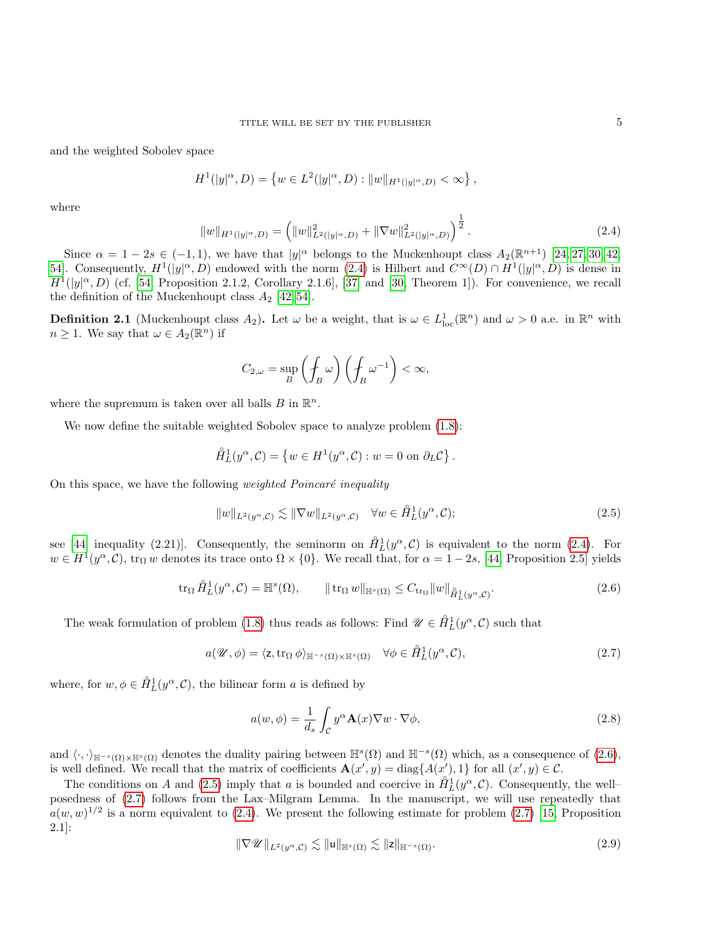and the weighted Sobolev space

$$
H^{1}(|y|^{\alpha}, D) = \left\{ w \in L^{2}(|y|^{\alpha}, D) : ||w||_{H^{1}(|y|^{\alpha}, D)} < \infty \right\},\
$$

where

<span id="page-4-0"></span>
$$
||w||_{H^1(|y|^{\alpha},D)} = \left(||w||^2_{L^2(|y|^{\alpha},D)} + ||\nabla w||^2_{L^2(|y|^{\alpha},D)}\right)^{\frac{1}{2}}.
$$
\n(2.4)

Since  $\alpha = 1 - 2s \in (-1, 1)$ , we have that  $|y|^{\alpha}$  belongs to the Muckenhoupt class  $A_2(\mathbb{R}^{n+1})$  [\[24,](#page-27-15) [27,](#page-27-16) [30,](#page-27-17) [42,](#page-28-10) 54. Consequently,  $H^1(|y|^\alpha, D)$  endowed with the norm  $(2.4)$  is Hilbert and  $C^\infty(D) \cap H^1(|y|^\alpha, D)$  is dense in  $H^1(|y|^\alpha, D)$  (cf. [\[54,](#page-28-9) Proposition 2.1.2, Corollary 2.1.6], [\[37\]](#page-27-18) and [\[30,](#page-27-17) Theorem 1]). For convenience, we recall the definition of the Muckenhoupt class  $A_2$  [\[42,](#page-28-10) [54\]](#page-28-9).

**Definition 2.1** (Muckenhoupt class  $A_2$ ). Let  $\omega$  be a weight, that is  $\omega \in L^1_{loc}(\mathbb{R}^n)$  and  $\omega > 0$  a.e. in  $\mathbb{R}^n$  with  $n \geq 1$ . We say that  $\omega \in A_2(\mathbb{R}^n)$  if

$$
C_{2,\omega} = \sup_{B} \left( \oint_{B} \omega \right) \left( \oint_{B} \omega^{-1} \right) < \infty,
$$

where the supremum is taken over all balls  $B$  in  $\mathbb{R}^n$ .

We now define the suitable weighted Sobolev space to analyze problem  $(1.8)$ :

$$
\mathring{H}_L^1(y^\alpha, C) = \left\{ w \in H^1(y^\alpha, C) : w = 0 \text{ on } \partial_L C \right\}.
$$

On this space, we have the following *weighted Poincaré inequality* 

<span id="page-4-2"></span>
$$
||w||_{L^{2}(y^{\alpha}, \mathcal{C})} \lesssim ||\nabla w||_{L^{2}(y^{\alpha}, \mathcal{C})} \quad \forall w \in \mathring{H}_{L}^{1}(y^{\alpha}, \mathcal{C});
$$
\n(2.5)

see [\[44,](#page-28-4) inequality (2.21)]. Consequently, the seminorm on  $\mathring{H}_L^1(y^\alpha, \mathcal{C})$  is equivalent to the norm [\(2.4\)](#page-4-0). For  $w \in H^1(y^\alpha, \mathcal{C})$ ,  $\text{tr}_\Omega w$  denotes its trace onto  $\Omega \times \{0\}$ . We recall that, for  $\alpha = 1 - 2s$ , [\[44,](#page-28-4) Proposition 2.5] yields

<span id="page-4-1"></span>
$$
\operatorname{tr}_{\Omega} \mathring{H}_L^1(y^{\alpha}, \mathcal{C}) = \mathbb{H}^s(\Omega), \qquad \|\operatorname{tr}_{\Omega} w\|_{\mathbb{H}^s(\Omega)} \le C_{\operatorname{tr}_{\Omega}} \|w\|_{\mathring{H}_L^1(y^{\alpha}, \mathcal{C})}. \tag{2.6}
$$

The weak formulation of problem [\(1.8\)](#page-2-0) thus reads as follows: Find  $\mathscr{U} \in \overset{\circ}{H}_{L}^{1}(y^{\alpha}, \mathcal{C})$  such that

<span id="page-4-3"></span>
$$
a(\mathscr{U}, \phi) = \langle z, \operatorname{tr}_{\Omega} \phi \rangle_{\mathbb{H}^{-s}(\Omega) \times \mathbb{H}^s(\Omega)} \quad \forall \phi \in \mathring{H}_L^1(y^\alpha, \mathcal{C}), \tag{2.7}
$$

where, for  $w, \phi \in \mathring{H}_L^1(y^\alpha, \mathcal{C})$ , the bilinear form a is defined by

<span id="page-4-5"></span>
$$
a(w, \phi) = \frac{1}{d_s} \int_{\mathcal{C}} y^{\alpha} \mathbf{A}(x) \nabla w \cdot \nabla \phi,
$$
\n(2.8)

and  $\langle \cdot, \cdot \rangle_{\mathbb{H}^{-s}(\Omega) \times \mathbb{H}^{s}(\Omega)}$  denotes the duality pairing between  $\mathbb{H}^{s}(\Omega)$  and  $\mathbb{H}^{-s}(\Omega)$  which, as a consequence of  $(2.6)$ , is well defined. We recall that the matrix of coefficients  $\mathbf{A}(x', y) = \text{diag}\{A(x'), 1\}$  for all  $(x', y) \in \mathcal{C}$ .

The conditions on A and [\(2.5\)](#page-4-2) imply that a is bounded and coercive in  $\mathring{H}_L^1(y^\alpha, \mathcal{C})$ . Consequently, the wellposedness of [\(2.7\)](#page-4-3) follows from the Lax–Milgram Lemma. In the manuscript, we will use repeatedly that  $a(w, w)^{1/2}$  is a norm equivalent to [\(2.4\)](#page-4-0). We present the following estimate for problem [\(2.7\)](#page-4-3) [\[15,](#page-27-12) Proposition 2.1]:

<span id="page-4-4"></span>
$$
\|\nabla \mathscr{U}\|_{L^2(\mathscr{Y}^\alpha,\mathcal{C})} \lesssim \|\mathsf{u}\|_{\mathbb{H}^s(\Omega)} \lesssim \|\mathsf{z}\|_{\mathbb{H}^{-s}(\Omega)}.
$$
\n(2.9)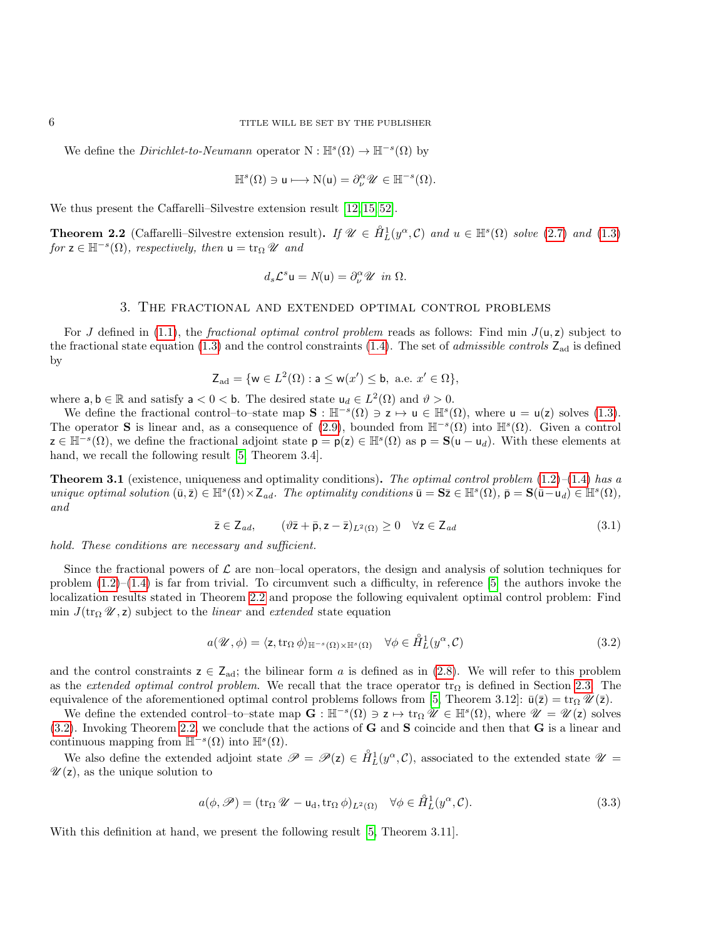We define the *Dirichlet-to-Neumann* operator  $N : \mathbb{H}^s(\Omega) \to \mathbb{H}^{-s}(\Omega)$  by

$$
\mathbb{H}^s(\Omega) \ni \mathsf{u} \longmapsto \mathrm{N}(\mathsf{u}) = \partial_{\nu}^{\alpha} \mathscr{U} \in \mathbb{H}^{-s}(\Omega).
$$

We thus present the Caffarelli–Silvestre extension result [\[12,](#page-27-0) [15,](#page-27-12) [52\]](#page-28-6).

<span id="page-5-1"></span>**Theorem 2.2** (Caffarelli–Silvestre extension result). If  $\mathscr{U} \in \overset{\circ}{H}_{L}^{1}(y^{\alpha}, \mathcal{C})$  and  $u \in \mathbb{H}^{s}(\Omega)$  solve [\(2.7\)](#page-4-3) and [\(1.3\)](#page-1-4) for  $z \in \mathbb{H}^{-s}(\Omega)$ , respectively, then  $u = \text{tr}_{\Omega} \mathscr{U}$  and

$$
d_s \mathcal{L}^s \mathsf{u} = N(\mathsf{u}) = \partial_{\nu}^{\alpha} \mathscr{U} \ \ \text{in} \ \Omega.
$$

## 3. The fractional and extended optimal control problems

<span id="page-5-0"></span>For J defined in [\(1.1\)](#page-0-1), the *fractional optimal control problem* reads as follows: Find min  $J(u, z)$  subject to the fractional state equation [\(1.3\)](#page-1-4) and the control constraints [\(1.4\)](#page-1-0). The set of *admissible controls*  $Z_{ad}$  is defined by

$$
\mathsf{Z}_{\text{ad}} = \{ \mathsf{w} \in L^2(\Omega) : \mathsf{a} \leq \mathsf{w}(x') \leq \mathsf{b}, \text{ a.e. } x' \in \Omega \},
$$

where  $a, b \in \mathbb{R}$  and satisfy  $a < 0 < b$ . The desired state  $u_d \in L^2(\Omega)$  and  $\vartheta > 0$ .

We define the fractional control–to–state map  $\mathbf{S} : \mathbb{H}^{-s}(\Omega) \ni \mathbf{z} \mapsto \mathbf{u} \in \mathbb{H}^{s}(\Omega)$ , where  $\mathbf{u} = \mathbf{u}(\mathbf{z})$  solves [\(1.3\)](#page-1-4). The operator S is linear and, as a consequence of [\(2.9\)](#page-4-4), bounded from  $\mathbb{H}^{-s}(\Omega)$  into  $\mathbb{H}^{s}(\Omega)$ . Given a control  $z \in \mathbb{H}^{-s}(\Omega)$ , we define the fractional adjoint state  $p = p(z) \in \mathbb{H}^{s}(\Omega)$  as  $p = S(u - u_d)$ . With these elements at hand, we recall the following result [\[5,](#page-26-0) Theorem 3.4].

**Theorem 3.1** (existence, uniqueness and optimality conditions). The optimal control problem  $(1.2)$ – $(1.4)$  has a unique optimal solution  $(\bar{\mathbf{u}}, \bar{\mathbf{z}}) \in \mathbb{H}^s(\Omega) \times \mathbb{Z}_{ad}$ . The optimality conditions  $\bar{\mathbf{u}} = \mathbf{S}\bar{\mathbf{z}} \in \mathbb{H}^s(\Omega)$ ,  $\bar{\mathbf{p}} = \mathbf{S}(\bar{\mathbf{u}} - \mathbf{u}_d) \in \mathbb{H}^s(\Omega)$ , and

<span id="page-5-4"></span>
$$
\bar{z} \in \mathsf{Z}_{ad}, \qquad (\vartheta \bar{z} + \bar{p}, z - \bar{z})_{L^2(\Omega)} \ge 0 \quad \forall z \in \mathsf{Z}_{ad} \tag{3.1}
$$

hold. These conditions are necessary and sufficient.

Since the fractional powers of  $\mathcal L$  are non-local operators, the design and analysis of solution techniques for problem  $(1.2)$ – $(1.4)$  is far from trivial. To circumvent such a difficulty, in reference [\[5\]](#page-26-0) the authors invoke the localization results stated in Theorem [2.2](#page-5-1) and propose the following equivalent optimal control problem: Find min  $J(\text{tr}_{\Omega} \mathcal{U}, z)$  subject to the *linear* and *extended* state equation

<span id="page-5-2"></span>
$$
a(\mathscr{U}, \phi) = \langle z, \operatorname{tr}_{\Omega} \phi \rangle_{\mathbb{H}^{-s}(\Omega) \times \mathbb{H}^s(\Omega)} \quad \forall \phi \in \mathring{H}_L^1(y^\alpha, \mathcal{C}) \tag{3.2}
$$

and the control constraints  $z \in Z_{ad}$ ; the bilinear form a is defined as in [\(2.8\)](#page-4-5). We will refer to this problem as the extended optimal control problem. We recall that the trace operator tr<sub>Ω</sub> is defined in Section [2.3.](#page-3-1) The equivalence of the aforementioned optimal control problems follows from [\[5,](#page-26-0) Theorem 3.12]:  $\bar{u}(\bar{z}) = tr_{\Omega} \mathscr{U}(\bar{z}).$ 

We define the extended control-to-state map  $\mathbf{G} : \mathbb{H}^{-s}(\Omega) \ni z \mapsto \text{tr}_{\Omega} \mathscr{U} \in \mathbb{H}^{s}(\Omega)$ , where  $\mathscr{U} = \mathscr{U}(z)$  solves [\(3.2\)](#page-5-2). Invoking Theorem [2.2,](#page-5-1) we conclude that the actions of G and S coincide and then that G is a linear and continuous mapping from  $\mathbb{H}^{-s}(\Omega)$  into  $\mathbb{H}^{s}(\Omega)$ .

We also define the extended adjoint state  $\mathscr{P} = \mathscr{P}(z) \in \hat{H}_L^1(y^\alpha, \mathcal{C})$ , associated to the extended state  $\mathscr{U} =$  $\mathscr{U}(z)$ , as the unique solution to

<span id="page-5-3"></span>
$$
a(\phi, \mathscr{P}) = (\text{tr}_{\Omega} \mathscr{U} - \mathsf{u}_{d}, \text{tr}_{\Omega} \phi)_{L^{2}(\Omega)} \quad \forall \phi \in \mathring{H}_{L}^{1}(y^{\alpha}, \mathcal{C}).
$$
\n(3.3)

With this definition at hand, we present the following result [\[5,](#page-26-0) Theorem 3.11].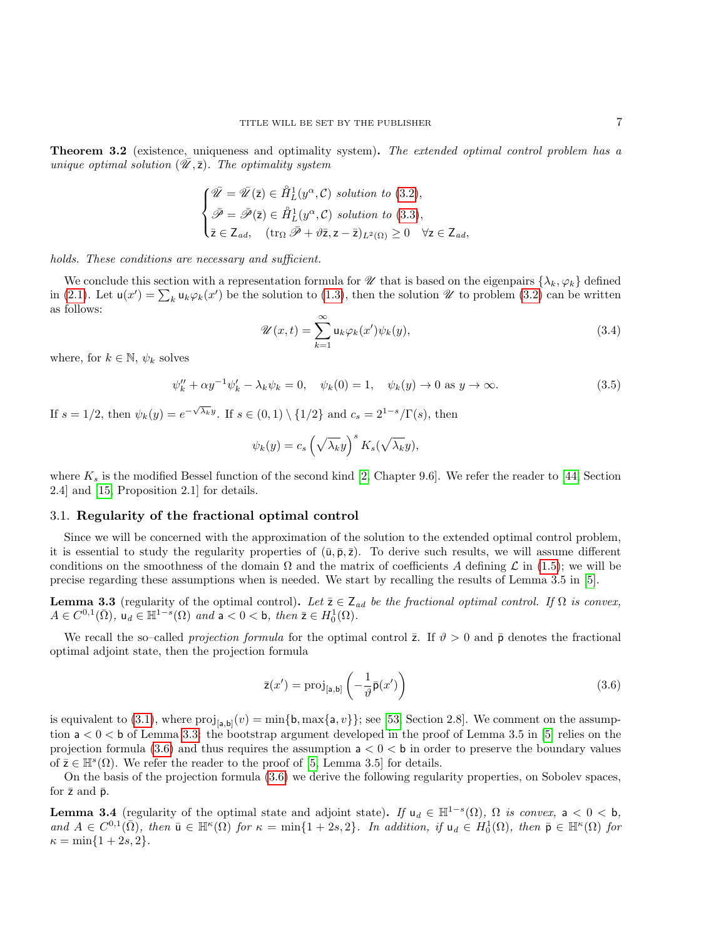**Theorem 3.2** (existence, uniqueness and optimality system). The extended optimal control problem has a unique optimal solution  $(\mathcal{U}, \overline{z})$ . The optimality system

$$
\begin{cases}\n\bar{\mathscr{U}} = \bar{\mathscr{U}}(\bar{z}) \in \mathring{H}_L^1(y^\alpha, \mathcal{C}) \text{ solution to (3.2)},\\ \n\bar{\mathscr{P}} = \bar{\mathscr{P}}(\bar{z}) \in \mathring{H}_L^1(y^\alpha, \mathcal{C}) \text{ solution to (3.3)},\\ \n\bar{z} \in \mathsf{Z}_{ad}, \quad (\text{tr}_\Omega \bar{\mathscr{P}} + \vartheta \bar{z}, z - \bar{z})_{L^2(\Omega)} \ge 0 \quad \forall z \in \mathsf{Z}_{ad},\n\end{cases}
$$

holds. These conditions are necessary and sufficient.

We conclude this section with a representation formula for  $\mathcal U$  that is based on the eigenpairs  $\{\lambda_k, \varphi_k\}$  defined in [\(2.1\)](#page-3-2). Let  $\mathsf{u}(x') = \sum_k \mathsf{u}_k \varphi_k(x')$  be the solution to [\(1.3\)](#page-1-4), then the solution  $\mathscr U$  to problem [\(3.2\)](#page-5-2) can be written as follows:

<span id="page-6-5"></span>
$$
\mathscr{U}(x,t) = \sum_{k=1}^{\infty} \mathsf{u}_k \varphi_k(x') \psi_k(y),\tag{3.4}
$$

where, for  $k \in \mathbb{N}$ ,  $\psi_k$  solves

<span id="page-6-4"></span>
$$
\psi_k'' + \alpha y^{-1} \psi_k' - \lambda_k \psi_k = 0, \quad \psi_k(0) = 1, \quad \psi_k(y) \to 0 \text{ as } y \to \infty.
$$
 (3.5)

If  $s = 1/2$ , then  $\psi_k(y) = e^{-\sqrt{\lambda_k}y}$ . If  $s \in (0,1) \setminus \{1/2\}$  and  $c_s = 2^{1-s}/\Gamma(s)$ , then

$$
\psi_k(y) = c_s \left(\sqrt{\lambda_k}y\right)^s K_s(\sqrt{\lambda_k}y),
$$

where  $K_s$  is the modified Bessel function of the second kind [\[2,](#page-25-2) Chapter 9.6]. We refer the reader to [\[44,](#page-28-4) Section 2.4] and [\[15,](#page-27-12) Proposition 2.1] for details.

### <span id="page-6-0"></span>3.1. Regularity of the fractional optimal control

Since we will be concerned with the approximation of the solution to the extended optimal control problem, it is essential to study the regularity properties of  $(\bar{u}, \bar{p}, \bar{z})$ . To derive such results, we will assume different conditions on the smoothness of the domain  $\Omega$  and the matrix of coefficients A defining L in [\(1.5\)](#page-1-3); we will be precise regarding these assumptions when is needed. We start by recalling the results of Lemma 3.5 in [\[5\]](#page-26-0).

<span id="page-6-1"></span>**Lemma 3.3** (regularity of the optimal control). Let  $\bar{z} \in Z_{ad}$  be the fractional optimal control. If  $\Omega$  is convex,  $A \in C^{0,1}(\bar{\Omega})$ ,  $\mathsf{u}_d \in \mathbb{H}^{1-s}(\Omega)$  and  $\mathsf{a} < 0 < \mathsf{b}$ , then  $\bar{\mathsf{z}} \in H_0^1(\Omega)$ .

We recall the so–called projection formula for the optimal control  $\bar{z}$ . If  $\vartheta > 0$  and  $\bar{p}$  denotes the fractional optimal adjoint state, then the projection formula

<span id="page-6-2"></span>
$$
\bar{\mathsf{z}}(x') = \operatorname{proj}_{[\mathsf{a},\mathsf{b}]} \left( -\frac{1}{\vartheta} \bar{\mathsf{p}}(x') \right) \tag{3.6}
$$

is equivalent to [\(3.1\)](#page-5-4), where  $proj_{[a,b]}(v) = \min\{b, \max\{a, v\}\}$ ; see [\[53,](#page-28-11) Section 2.8]. We comment on the assumption  $a < 0 < b$  of Lemma [3.3:](#page-6-1) the bootstrap argument developed in the proof of Lemma 3.5 in [\[5\]](#page-26-0) relies on the projection formula [\(3.6\)](#page-6-2) and thus requires the assumption  $a < 0 < b$  in order to preserve the boundary values of  $\bar{z} \in \mathbb{H}^s(\Omega)$ . We refer the reader to the proof of [\[5,](#page-26-0) Lemma 3.5] for details.

On the basis of the projection formula [\(3.6\)](#page-6-2) we derive the following regularity properties, on Sobolev spaces, for  $\bar{z}$  and  $\bar{p}$ .

<span id="page-6-3"></span>**Lemma 3.4** (regularity of the optimal state and adjoint state). If  $u_d \in H^{1-s}(\Omega)$ ,  $\Omega$  is convex,  $a < 0 < b$ , and  $A \in C^{0,1}(\overline{\Omega})$ , then  $\overline{\mathbf{u}} \in \mathbb{H}^{\kappa}(\overline{\Omega})$  for  $\kappa = \min\{1+2s,2\}$ . In addition, if  $\mathbf{u}_d \in H_0^1(\Omega)$ , then  $\overline{\mathbf{p}} \in \mathbb{H}^{\kappa}(\Omega)$  for  $\kappa = \min\{1 + 2s, 2\}.$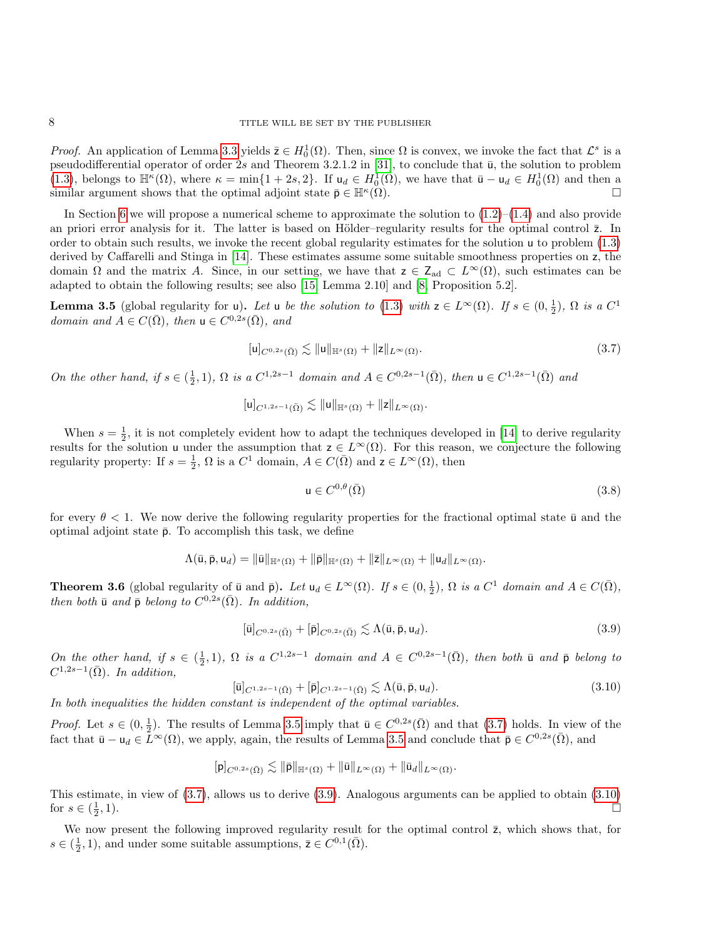*Proof.* An application of Lemma [3.3](#page-6-1) yields  $\bar{z} \in H_0^1(\Omega)$ . Then, since  $\Omega$  is convex, we invoke the fact that  $\mathcal{L}^s$  is a pseudodifferential operator of order 2s and Theorem 3.2.1.2 in [\[31\]](#page-27-19), to conclude that  $\bar{u}$ , the solution to problem [\(1.3\)](#page-1-4), belongs to  $\mathbb{H}^{\kappa}(\Omega)$ , where  $\kappa = \min\{1+2s, 2\}$ . If  $u_d \in H_0^1(\Omega)$ , we have that  $\bar{u} - u_d \in H_0^1(\Omega)$  and then a similar argument shows that the optimal adjoint state  $\bar{\mathsf{p}} \in \mathbb{H}^{\kappa}(\Omega)$ .  $(\Omega)$ .

In Section [6](#page-16-0) we will propose a numerical scheme to approximate the solution to  $(1.2)$ – $(1.4)$  and also provide an priori error analysis for it. The latter is based on Hölder–regularity results for the optimal control  $\bar{z}$ . In order to obtain such results, we invoke the recent global regularity estimates for the solution u to problem [\(1.3\)](#page-1-4) derived by Caffarelli and Stinga in [\[14\]](#page-27-1). These estimates assume some suitable smoothness properties on z, the domain  $\Omega$  and the matrix A. Since, in our setting, we have that  $z \in Z_{ad} \subset L^{\infty}(\Omega)$ , such estimates can be adapted to obtain the following results; see also [\[15,](#page-27-12) Lemma 2.10] and [\[8,](#page-26-3) Proposition 5.2].

<span id="page-7-0"></span>**Lemma 3.5** (global regularity for u). Let u be the solution to [\(1.3\)](#page-1-4) with  $z \in L^{\infty}(\Omega)$ . If  $s \in (0, \frac{1}{2})$ ,  $\Omega$  is a  $C^1$ domain and  $A \in C(\overline{\Omega})$ , then  $\mathsf{u} \in C^{0,2s}(\overline{\Omega})$ , and

<span id="page-7-1"></span>
$$
[\mathsf{u}]_{C^{0,2s}(\bar{\Omega})} \lesssim \|\mathsf{u}\|_{\mathbb{H}^s(\Omega)} + \|z\|_{L^\infty(\Omega)}.
$$
\n
$$
(3.7)
$$

On the other hand, if  $s \in (\frac{1}{2}, 1)$ ,  $\Omega$  is a  $C^{1,2s-1}$  domain and  $A \in C^{0,2s-1}(\overline{\Omega})$ , then  $\mathsf{u} \in C^{1,2s-1}(\overline{\Omega})$  and

$$
[\mathsf{u}]_{C^{1,2s-1}(\bar{\Omega})}\lesssim \|\mathsf{u}\|_{\mathbb{H}^s(\Omega)}+\|\mathsf{z}\|_{L^\infty(\Omega)}.
$$

When  $s = \frac{1}{2}$ , it is not completely evident how to adapt the techniques developed in [\[14\]](#page-27-1) to derive regularity results for the solution u under the assumption that  $z \in L^{\infty}(\Omega)$ . For this reason, we conjecture the following regularity property: If  $s = \frac{1}{2}$ ,  $\Omega$  is a  $C^1$  domain,  $A \in C(\overline{\Omega})$  and  $z \in L^{\infty}(\Omega)$ , then

$$
\mathsf{u} \in C^{0,\theta}(\bar{\Omega})\tag{3.8}
$$

for every  $\theta$  < 1. We now derive the following regularity properties for the fractional optimal state  $\bar{u}$  and the optimal adjoint state  $\bar{p}$ . To accomplish this task, we define

$$
\Lambda(\bar{\mathsf{u}},\bar{\mathsf{p}},\mathsf{u}_d) = \|\bar{\mathsf{u}}\|_{\mathbb{H}^s(\Omega)} + \|\bar{\mathsf{p}}\|_{\mathbb{H}^s(\Omega)} + \|\bar{\mathsf{z}}\|_{L^\infty(\Omega)} + \|\mathsf{u}_d\|_{L^\infty(\Omega)}.
$$

<span id="page-7-4"></span>**Theorem 3.6** (global regularity of  $\bar{u}$  and  $\bar{p}$ ). Let  $u_d \in L^{\infty}(\Omega)$ . If  $s \in (0, \frac{1}{2})$ ,  $\Omega$  is a  $C^1$  domain and  $A \in C(\bar{\Omega})$ , then both  $\bar{u}$  and  $\bar{p}$  belong to  $C^{0,2s}(\bar{\Omega})$ . In addition,

<span id="page-7-2"></span>
$$
[\bar{\mathbf{u}}]_{C^{0,2s}(\bar{\Omega})} + [\bar{\mathbf{p}}]_{C^{0,2s}(\bar{\Omega})} \lesssim \Lambda(\bar{\mathbf{u}}, \bar{\mathbf{p}}, \mathbf{u}_d). \tag{3.9}
$$

On the other hand, if  $s \in (\frac{1}{2}, 1)$ ,  $\Omega$  is a  $C^{1,2s-1}$  domain and  $A \in C^{0,2s-1}(\overline{\Omega})$ , then both  $\overline{u}$  and  $\overline{p}$  belong to  $C^{1,2s-1}(\overline{\Omega})$ . In addition,

<span id="page-7-3"></span>
$$
[\bar{\mathbf{u}}]_{C^{1,2s-1}(\bar{\Omega})} + [\bar{\mathbf{p}}]_{C^{1,2s-1}(\bar{\Omega})} \lesssim \Lambda(\bar{\mathbf{u}}, \bar{\mathbf{p}}, \mathbf{u}_d). \tag{3.10}
$$

In both inequalities the hidden constant is independent of the optimal variables.

*Proof.* Let  $s \in (0, \frac{1}{2})$ . The results of Lemma [3.5](#page-7-0) imply that  $\bar{u} \in C^{0,2s}(\bar{\Omega})$  and that  $(3.7)$  holds. In view of the fact that  $\bar{\mathbf{u}} - \mathbf{u}_d \in \bar{L}^{\infty}(\Omega)$ , we apply, again, the results of Lemma [3.5](#page-7-0) and conclude that  $\bar{\mathbf{p}} \in C^{0,2s}(\bar{\Omega})$ , and

$$
[\mathsf{p}]_{C^{0,2s}(\bar{\Omega})}\lesssim \|\bar{\mathsf{p}}\|_{\mathbb{H}^s(\Omega)}+\|\bar{\mathsf{u}}\|_{L^\infty(\Omega)}+\|\bar{\mathsf{u}}_d\|_{L^\infty(\Omega)}.
$$

This estimate, in view of [\(3.7\)](#page-7-1), allows us to derive [\(3.9\)](#page-7-2). Analogous arguments can be applied to obtain [\(3.10\)](#page-7-3) for  $s \in (\frac{1}{2})$ , 1).

We now present the following improved regularity result for the optimal control  $\bar{z}$ , which shows that, for  $s \in (\frac{1}{2}, 1)$ , and under some suitable assumptions,  $\bar{z} \in C^{0,1}(\bar{\Omega})$ .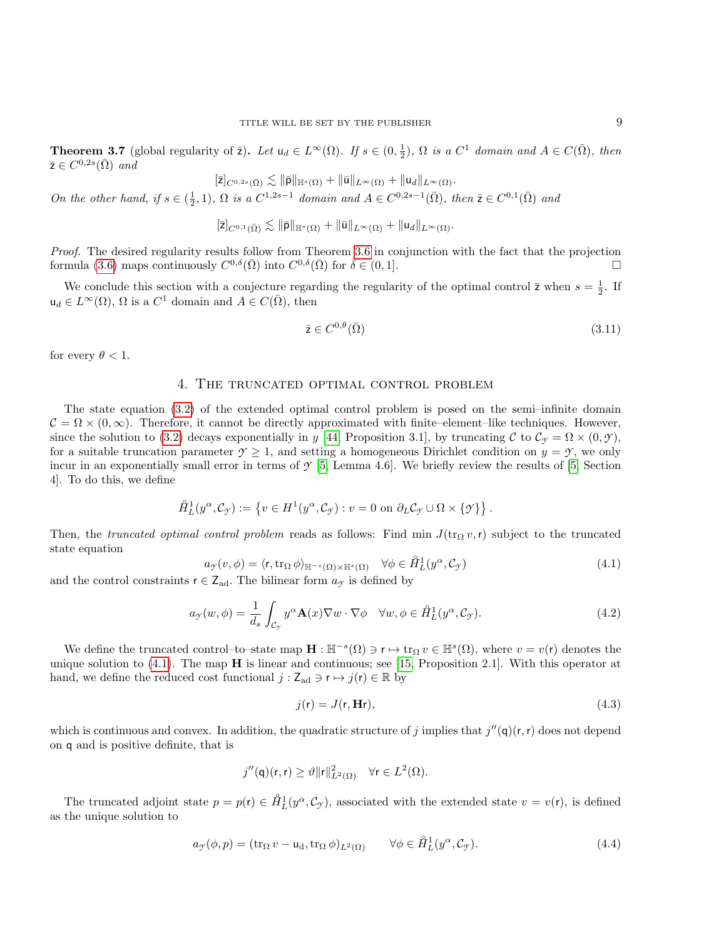<span id="page-8-3"></span>**Theorem 3.7** (global regularity of  $\bar{z}$ ). Let  $u_d \in L^{\infty}(\Omega)$ . If  $s \in (0, \frac{1}{2})$ ,  $\Omega$  is a  $C^1$  domain and  $A \in C(\bar{\Omega})$ , then  $\bar{z} \in C^{0,2s}(\bar{\Omega})$  and

$$
[\bar{z}]_{C^{0,2s}(\bar{\Omega})}\lesssim \|\bar{\mathsf{p}}\|_{\mathbb{H}^s(\Omega)} + \|\bar{\mathsf{u}}\|_{L^\infty(\Omega)} + \|\mathsf{u}_d\|_{L^\infty(\Omega)}.
$$

On the other hand, if  $s \in (\frac{1}{2}, 1)$ ,  $\Omega$  is a  $C^{1,2s-1}$  domain and  $A \in C^{0,2s-1}(\overline{\Omega})$ , then  $\overline{z} \in C^{0,1}(\overline{\Omega})$  and

$$
[\overline{\mathsf{z}}]_{C^{0,1}(\overline{\Omega})}\lesssim \|\overline{\mathsf{p}}\|_{\mathbb{H}^{s}(\Omega)}+\|\overline{\mathsf{u}}\|_{L^{\infty}(\Omega)}+\|\mathsf{u}_{d}\|_{L^{\infty}(\Omega)}.
$$

Proof. The desired regularity results follow from Theorem [3.6](#page-7-4) in conjunction with the fact that the projection formula [\(3.6\)](#page-6-2) maps continuously  $C^{0,\delta}(\bar{\Omega})$  into  $C^{0,\delta}(\bar{\Omega})$  for  $\delta \in (0,1]$ .

We conclude this section with a conjecture regarding the regularity of the optimal control  $\bar{z}$  when  $s = \frac{1}{2}$ . If  $u_d \in L^{\infty}(\Omega)$ ,  $\Omega$  is a  $C^1$  domain and  $A \in C(\overline{\Omega})$ , then

$$
\bar{z} \in C^{0,\theta}(\bar{\Omega})\tag{3.11}
$$

<span id="page-8-0"></span>for every  $\theta < 1$ .

# 4. The truncated optimal control problem

The state equation [\(3.2\)](#page-5-2) of the extended optimal control problem is posed on the semi–infinite domain  $C = \Omega \times (0, \infty)$ . Therefore, it cannot be directly approximated with finite–element–like techniques. However, since the solution to [\(3.2\)](#page-5-2) decays exponentially in y [\[44,](#page-28-4) Proposition 3.1], by truncating C to  $\mathcal{C}_{\gamma} = \Omega \times (0, \gamma)$ , for a suitable truncation parameter  $\gamma \geq 1$ , and setting a homogeneous Dirichlet condition on  $y = \gamma$ , we only incur in an exponentially small error in terms of  $\mathcal{Y}$  [\[5,](#page-26-0) Lemma 4.6]. We briefly review the results of [\[5,](#page-26-0) Section 4]. To do this, we define

$$
\mathring{H}_L^1(y^\alpha, \mathcal{C}_{\mathcal{Y}}) := \left\{ v \in H^1(y^\alpha, \mathcal{C}_{\mathcal{Y}}) : v = 0 \text{ on } \partial_L \mathcal{C}_{\mathcal{Y}} \cup \Omega \times \{\mathcal{Y}\} \right\}.
$$

Then, the truncated optimal control problem reads as follows: Find min  $J(\text{tr}_\Omega v, r)$  subject to the truncated state equation

<span id="page-8-1"></span>
$$
a_{\mathcal{F}}(v,\phi) = \langle r, \operatorname{tr}_{\Omega} \phi \rangle_{\mathbb{H}^{-s}(\Omega) \times \mathbb{H}^{s}(\Omega)} \quad \forall \phi \in \mathring{H}^{1}_{L}(y^{\alpha}, \mathcal{C}_{\mathcal{F}})
$$
\n
$$
\in \mathbf{Z} \quad \text{The bilinear form } a_{\mathcal{F}} \text{ is defined by} \tag{4.1}
$$

and the control constraints  $r \in Z_{ad}$ . The bilinear form  $a_{\mathcal{I}}$  is defined by

<span id="page-8-4"></span>
$$
a_{\mathcal{I}}(w,\phi) = \frac{1}{d_s} \int_{\mathcal{C}_{\mathcal{I}}} y^{\alpha} \mathbf{A}(x) \nabla w \cdot \nabla \phi \quad \forall w, \phi \in \mathring{H}_L^1(y^{\alpha}, \mathcal{C}_{\mathcal{I}}). \tag{4.2}
$$

We define the truncated control–to–state map  $\mathbf{H} : \mathbb{H}^{-s}(\Omega) \ni \mathbf{r} \mapsto \text{tr}_{\Omega} v \in \mathbb{H}^{s}(\Omega)$ , where  $v = v(\mathbf{r})$  denotes the unique solution to  $(4.1)$ . The map  $H$  is linear and continuous; see [\[15,](#page-27-12) Proposition 2.1]. With this operator at hand, we define the reduced cost functional  $j : \mathsf{Z}_{ad} \ni \mathsf{r} \mapsto j(\mathsf{r}) \in \mathbb{R}$  by

<span id="page-8-5"></span>
$$
j(\mathbf{r}) = J(\mathbf{r}, \mathbf{H}\mathbf{r}),\tag{4.3}
$$

which is continuous and convex. In addition, the quadratic structure of j implies that  $j''(\mathbf{q})(\mathbf{r},\mathbf{r})$  does not depend on q and is positive definite, that is

$$
j''(\mathsf{q})(\mathsf{r},\mathsf{r}) \ge \vartheta \|\mathsf{r}\|_{L^2(\Omega)}^2 \quad \forall \mathsf{r} \in L^2(\Omega).
$$

The truncated adjoint state  $p = p(r) \in \hat{H}_L^1(y^\alpha, \mathcal{C}_{\mathcal{Y}})$ , associated with the extended state  $v = v(r)$ , is defined as the unique solution to

<span id="page-8-2"></span>
$$
a_{\mathcal{I}}(\phi, p) = (\text{tr}_{\Omega} v - \mathsf{u}_{\mathrm{d}}, \text{tr}_{\Omega} \phi)_{L^{2}(\Omega)} \qquad \forall \phi \in \mathring{H}_{L}^{1}(y^{\alpha}, \mathcal{C}_{\mathcal{I}}). \tag{4.4}
$$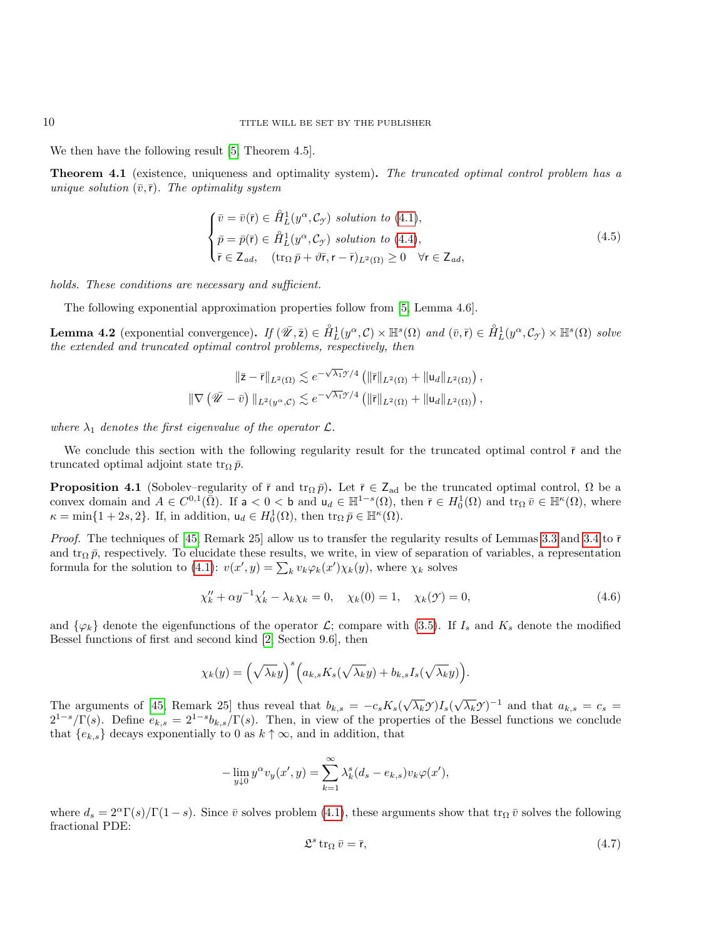We then have the following result [\[5,](#page-26-0) Theorem 4.5].

Theorem 4.1 (existence, uniqueness and optimality system). The truncated optimal control problem has a unique solution  $(\bar{v},\bar{r})$ . The optimality system

<span id="page-9-3"></span>
$$
\begin{cases}\n\bar{v} = \bar{v}(\bar{r}) \in \mathring{H}_L^1(y^\alpha, C_\gamma) \text{ solution to (4.1)},\\ \n\bar{p} = \bar{p}(\bar{r}) \in \mathring{H}_L^1(y^\alpha, C_\gamma) \text{ solution to (4.4)},\\ \n\bar{r} \in Z_{ad}, \quad (\text{tr}_\Omega \bar{p} + \vartheta \bar{r}, r - \bar{r})_{L^2(\Omega)} \ge 0 \quad \forall r \in Z_{ad},\n\end{cases}
$$
\n(4.5)

holds. These conditions are necessary and sufficient.

The following exponential approximation properties follow from [\[5,](#page-26-0) Lemma 4.6].

<span id="page-9-2"></span>Lemma 4.2 (exponential convergence). If  $(\bar{\mathscr{U}}, \bar{z}) \in \mathring{H}_L^1(y^\alpha, \mathcal{C}) \times \mathbb{H}^s(\Omega)$  and  $(\bar{v}, \bar{r}) \in \mathring{H}_L^1(y^\alpha, \mathcal{C}_{\gamma}) \times \mathbb{H}^s(\Omega)$  solve the extended and truncated optimal control problems, respectively, then

$$
\|\bar{\mathsf{z}} - \bar{\mathsf{r}}\|_{L^2(\Omega)} \lesssim e^{-\sqrt{\lambda_1}\mathfrak{H}/4} \left( \|\bar{\mathsf{r}}\|_{L^2(\Omega)} + \|\mathsf{u}_d\|_{L^2(\Omega)} \right),
$$
  

$$
\|\nabla \left( \bar{\mathscr{U}} - \bar{v} \right)\|_{L^2(\mathcal{Y}^\alpha, \mathcal{C})} \lesssim e^{-\sqrt{\lambda_1}\mathcal{Y}/4} \left( \|\bar{\mathsf{r}}\|_{L^2(\Omega)} + \|\mathsf{u}_d\|_{L^2(\Omega)} \right),
$$

where  $\lambda_1$  denotes the first eigenvalue of the operator  $\mathcal{L}$ .

We conclude this section with the following regularity result for the truncated optimal control  $\bar{r}$  and the truncated optimal adjoint state tr<sub>0</sub> $\bar{p}$ .

<span id="page-9-1"></span>**Proposition 4.1** (Sobolev–regularity of  $\bar{r}$  and  $\text{tr}_{\Omega} \bar{p}$ ). Let  $\bar{r} \in Z_{ad}$  be the truncated optimal control,  $\Omega$  be a convex domain and  $A \in C^{0,1}(\overline{\Omega})$ . If  $a < 0 < b$  and  $u_d \in \mathbb{H}^{1-s}(\Omega)$ , then  $\overline{r} \in H_0^1(\Omega)$  and  $tr_\Omega \overline{v} \in \mathbb{H}^{\kappa}(\Omega)$ , where  $\kappa = \min\{1+2s, 2\}.$  If, in addition,  $u_d \in H_0^1(\Omega)$ , then  $\operatorname{tr}_\Omega \bar{p} \in \mathbb{H}^\kappa(\Omega)$ .

*Proof.* The techniques of [\[45,](#page-28-0) Remark 25] allow us to transfer the regularity results of Lemmas [3.3](#page-6-1) and [3.4](#page-6-3) to  $\bar{r}$ and tr<sub>Ω</sub>  $\bar{p}$ , respectively. To elucidate these results, we write, in view of separation of variables, a representation formula for the solution to [\(4.1\)](#page-8-1):  $v(x', y) = \sum_k v_k \varphi_k(x') \chi_k(y)$ , where  $\chi_k$  solves

$$
\chi_k'' + \alpha y^{-1} \chi_k' - \lambda_k \chi_k = 0, \quad \chi_k(0) = 1, \quad \chi_k(\mathcal{Y}) = 0,
$$
\n(4.6)

and  $\{\varphi_k\}$  denote the eigenfunctions of the operator  $\mathcal{L}$ ; compare with [\(3.5\)](#page-6-4). If  $I_s$  and  $K_s$  denote the modified Bessel functions of first and second kind [\[2,](#page-25-2) Section 9.6], then

$$
\chi_k(y) = \left(\sqrt{\lambda_k}y\right)^s \left(a_{k,s}K_s(\sqrt{\lambda_k}y) + b_{k,s}I_s(\sqrt{\lambda_k}y)\right).
$$

The arguments of [\[45,](#page-28-0) Remark 25] thus reveal that  $b_{k,s} = -c_s K_s(\sqrt{\lambda_k} \mathcal{Y}) I_s(\sqrt{\lambda_k} \mathcal{Y})^{-1}$  and that  $a_{k,s} = c_s =$  $2^{1-s}/\Gamma(s)$ . Define  $e_{k,s} = 2^{1-s}b_{k,s}/\Gamma(s)$ . Then, in view of the properties of the Bessel functions we conclude that  ${e_{k,s}}$  decays exponentially to 0 as  $k \uparrow \infty$ , and in addition, that

$$
-\lim_{y\downarrow 0} y^{\alpha} v_y(x', y) = \sum_{k=1}^{\infty} \lambda_k^s (d_s - e_{k,s}) v_k \varphi(x'),
$$

where  $d_s = 2^{\alpha} \Gamma(s)/\Gamma(1-s)$ . Since  $\bar{v}$  solves problem [\(4.1\)](#page-8-1), these arguments show that  $\text{tr}_{\Omega} \bar{v}$  solves the following fractional PDE:

<span id="page-9-0"></span>
$$
\mathfrak{L}^s \operatorname{tr}_{\Omega} \bar{v} = \bar{\mathsf{r}},\tag{4.7}
$$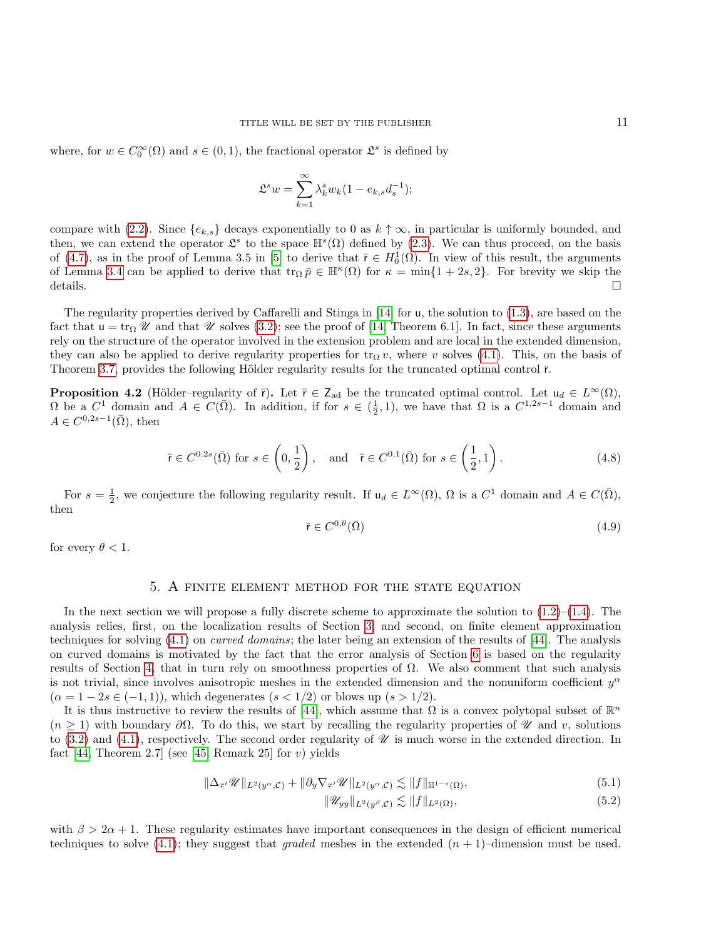where, for  $w \in C_0^{\infty}(\Omega)$  and  $s \in (0,1)$ , the fractional operator  $\mathfrak{L}^s$  is defined by

$$
\mathfrak{L}^s w = \sum_{k=1}^{\infty} \lambda_k^s w_k (1 - e_{k,s} d_s^{-1});
$$

compare with [\(2.2\)](#page-3-3). Since  ${e_k}_s$  decays exponentially to 0 as  $k \uparrow \infty$ , in particular is uniformly bounded, and then, we can extend the operator  $\mathfrak{L}^s$  to the space  $\mathbb{H}^s(\Omega)$  defined by [\(2.3\)](#page-3-4). We can thus proceed, on the basis of [\(4.7\)](#page-9-0), as in the proof of Lemma 3.5 in [\[5\]](#page-26-0) to derive that  $\bar{r} \in H_0^1(\Omega)$ . In view of this result, the arguments of Lemma [3.4](#page-6-3) can be applied to derive that  $\operatorname{tr}_{\Omega} \bar{p} \in \mathbb{H}^{\kappa}(\Omega)$  for  $\kappa = \min\{1+2s,2\}$ . For brevity we skip the details.  $\Box$ 

The regularity properties derived by Caffarelli and Stinga in [\[14\]](#page-27-1) for u, the solution to [\(1.3\)](#page-1-4), are based on the fact that  $u = \text{tr}_{\Omega} \mathscr{U}$  and that  $\mathscr{U}$  solves [\(3.2\)](#page-5-2); see the proof of [\[14,](#page-27-1) Theorem 6.1]. In fact, since these arguments rely on the structure of the operator involved in the extension problem and are local in the extended dimension, they can also be applied to derive regularity properties for  $tr_{\Omega} v$ , where v solves [\(4.1\)](#page-8-1). This, on the basis of Theorem [3.7,](#page-8-3) provides the following Hölder regularity results for the truncated optimal control  $\bar{r}$ .

<span id="page-10-1"></span>**Proposition 4.2** (Hölder–regularity of  $\bar{r}$ ). Let  $\bar{r} \in Z_{ad}$  be the truncated optimal control. Let  $u_d \in L^{\infty}(\Omega)$ ,  $\Omega$  be a  $C^1$  domain and  $A \in C(\overline{\Omega})$ . In addition, if for  $s \in (\frac{1}{2}, 1)$ , we have that  $\Omega$  is a  $C^{1,2s-1}$  domain and  $A \in C^{0,2s-1}(\overline{\Omega}), \text{ then}$ 

<span id="page-10-5"></span>
$$
\bar{\mathsf{r}} \in C^{0.2s}(\bar{\Omega}) \text{ for } s \in \left(0, \frac{1}{2}\right), \quad \text{and} \quad \bar{\mathsf{r}} \in C^{0,1}(\bar{\Omega}) \text{ for } s \in \left(\frac{1}{2}, 1\right). \tag{4.8}
$$

For  $s = \frac{1}{2}$ , we conjecture the following regularity result. If  $u_d \in L^{\infty}(\Omega)$ ,  $\Omega$  is a  $C^1$  domain and  $A \in C(\overline{\Omega})$ , then

<span id="page-10-2"></span>
$$
\bar{\mathbf{r}} \in C^{0,\theta}(\bar{\Omega})\tag{4.9}
$$

for every  $\theta < 1$ .

# 5. A finite element method for the state equation

<span id="page-10-0"></span>In the next section we will propose a fully discrete scheme to approximate the solution to  $(1.2)$ – $(1.4)$ . The analysis relies, first, on the localization results of Section [3,](#page-5-0) and second, on finite element approximation techniques for solving  $(4.1)$  on *curved domains*; the later being an extension of the results of [\[44\]](#page-28-4). The analysis on curved domains is motivated by the fact that the error analysis of Section [6](#page-16-0) is based on the regularity results of Section [4,](#page-8-0) that in turn rely on smoothness properties of Ω. We also comment that such analysis is not trivial, since involves anisotropic meshes in the extended dimension and the nonuniform coefficient  $y^{\alpha}$  $(\alpha = 1 - 2s \in (-1, 1))$ , which degenerates  $(s < 1/2)$  or blows up  $(s > 1/2)$ .

It is thus instructive to review the results of [\[44\]](#page-28-4), which assume that  $\Omega$  is a convex polytopal subset of  $\mathbb{R}^n$  $(n \geq 1)$  with boundary  $\partial\Omega$ . To do this, we start by recalling the regularity properties of  $\mathcal U$  and v, solutions to [\(3.2\)](#page-5-2) and [\(4.1\)](#page-8-1), respectively. The second order regularity of  $\mathscr U$  is much worse in the extended direction. In fact [\[44,](#page-28-4) Theorem 2.7] (see [\[45,](#page-28-0) Remark 25] for v) yields

$$
\|\Delta_{x'}\mathscr{U}\|_{L^{2}(y^{\alpha},\mathcal{C})}+\|\partial_{y}\nabla_{x'}\mathscr{U}\|_{L^{2}(y^{\alpha},\mathcal{C})}\lesssim\|f\|_{\mathbb{H}^{1-s}(\Omega)},\tag{5.1}
$$

<span id="page-10-4"></span><span id="page-10-3"></span>
$$
\|\mathscr{U}_{yy}\|_{L^2(y^\beta,\mathcal{C})} \lesssim \|f\|_{L^2(\Omega)},\tag{5.2}
$$

with  $\beta > 2\alpha + 1$ . These regularity estimates have important consequences in the design of efficient numerical techniques to solve [\(4.1\)](#page-8-1); they suggest that *graded* meshes in the extended  $(n + 1)$ –dimension must be used.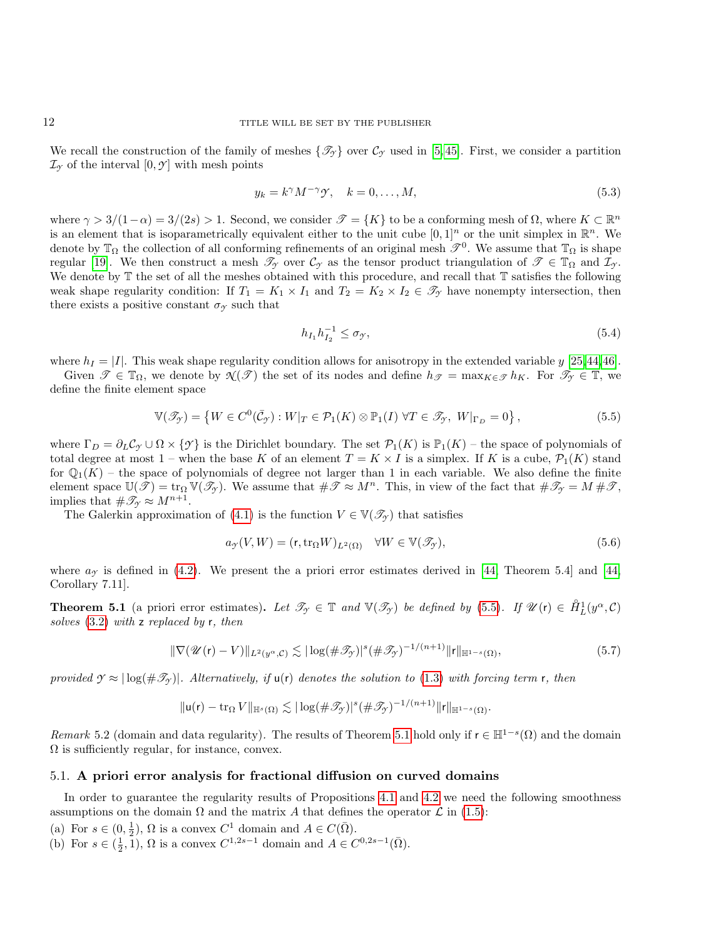We recall the construction of the family of meshes  $\{\mathcal{T}_{\gamma}\}\;$  over  $\mathcal{C}_{\gamma}\;$  used in [\[5,](#page-26-0)45]. First, we consider a partition  $\mathcal{I}_{\gamma}$  of the interval  $[0, \gamma]$  with mesh points

$$
y_k = k^{\gamma} M^{-\gamma} \mathcal{Y}, \quad k = 0, \dots, M,
$$
\n
$$
(5.3)
$$

where  $\gamma > 3/(1-\alpha) = 3/(2s) > 1$ . Second, we consider  $\mathcal{T} = \{K\}$  to be a conforming mesh of  $\Omega$ , where  $K \subset \mathbb{R}^n$ is an element that is isoparametrically equivalent either to the unit cube  $[0,1]^n$  or the unit simplex in  $\mathbb{R}^n$ . We denote by  $\mathbb{T}_\Omega$  the collection of all conforming refinements of an original mesh  $\mathscr{T}^0$ . We assume that  $\mathbb{T}_\Omega$  is shape regular [\[19\]](#page-27-20). We then construct a mesh  $\mathcal{T}_{\gamma}$  over  $\mathcal{C}_{\gamma}$  as the tensor product triangulation of  $\mathcal{T} \in \mathbb{T}_{\Omega}$  and  $\mathcal{I}_{\gamma}$ . We denote by  $\mathbb T$  the set of all the meshes obtained with this procedure, and recall that  $\mathbb T$  satisfies the following weak shape regularity condition: If  $T_1 = K_1 \times I_1$  and  $T_2 = K_2 \times I_2 \in \mathcal{T}_{\gamma}$  have nonempty intersection, then there exists a positive constant  $\sigma_{\gamma}$  such that

$$
h_{I_1}h_{I_2}^{-1} \le \sigma_{\mathcal{Y}},\tag{5.4}
$$

where  $h_I = |I|$ . This weak shape regularity condition allows for anisotropy in the extended variable y [\[25,](#page-27-21)[44,](#page-28-4)[46\]](#page-28-12).

Given  $\mathscr{T} \in \mathbb{T}_{\Omega}$ , we denote by  $\mathcal{N}(\mathscr{T})$  the set of its nodes and define  $h_{\mathscr{T}} = \max_{K \in \mathscr{T}} h_K$ . For  $\mathscr{T}_{\mathscr{T}} \in \mathbb{T}$ , we define the finite element space

<span id="page-11-1"></span>
$$
\mathbb{V}(\mathscr{T}_{\mathcal{T}}) = \left\{ W \in C^{0}(\bar{\mathcal{C}}_{\mathcal{T}}) : W|_{T} \in \mathcal{P}_{1}(K) \otimes \mathbb{P}_{1}(I) \; \forall T \in \mathscr{T}_{\mathcal{T}}, \; W|_{\Gamma_{D}} = 0 \right\},\tag{5.5}
$$

where  $\Gamma_D = \partial_L C_\gamma \cup \Omega \times \{\gamma\}$  is the Dirichlet boundary. The set  $\mathcal{P}_1(K)$  is  $\mathbb{P}_1(K)$  – the space of polynomials of total degree at most 1 – when the base K of an element  $T = K \times I$  is a simplex. If K is a cube,  $\mathcal{P}_1(K)$  stand for  $\mathbb{Q}_1(K)$  – the space of polynomials of degree not larger than 1 in each variable. We also define the finite element space  $\mathbb{U}(\mathscr{T}) = \text{tr}_{\Omega} \mathbb{V}(\mathscr{T}_{\gamma})$ . We assume that  $\#\mathscr{T} \approx M^{n}$ . This, in view of the fact that  $\#\mathscr{T}_{\gamma} = M \#\mathscr{T}$ , implies that  $\#\mathscr{T}_{\gamma} \approx M^{n+1}$ .

The Galerkin approximation of [\(4.1\)](#page-8-1) is the function  $V \in \mathbb{V}(\mathscr{T}_{\gamma})$  that satisfies

$$
a_{\mathcal{Y}}(V, W) = (\mathbf{r}, \text{tr}_{\Omega} W)_{L^{2}(\Omega)} \quad \forall W \in \mathbb{V}(\mathcal{I}_{\mathcal{Y}}),
$$
\n(5.6)

where  $a<sub>\gamma</sub>$  is defined in [\(4.2\)](#page-8-4). We present the a priori error estimates derived in [\[44,](#page-28-4) Theorem 5.4] and [44, Corollary 7.11].

<span id="page-11-2"></span>**Theorem 5.1** (a priori error estimates). Let  $\mathscr{T}_{\gamma} \in \mathbb{T}$  and  $\mathbb{V}(\mathscr{T}_{\gamma})$  be defined by [\(5.5\)](#page-11-1). If  $\mathscr{U}(r) \in \mathring{H}_L^1(y^{\alpha}, \mathcal{C})$ solves  $(3.2)$  with z replaced by r, then

<span id="page-11-5"></span>
$$
\|\nabla(\mathscr{U}(\mathbf{r}) - V)\|_{L^2(y^\alpha, \mathcal{C})} \lesssim |\log(\#\mathscr{T}_{\mathcal{Y}})|^s (\#\mathscr{T}_{\mathcal{Y}})^{-1/(n+1)} \|\mathbf{r}\|_{\mathbb{H}^{1-s}(\Omega)},\tag{5.7}
$$

provided  $\gamma \approx |\log(\#\mathcal{I}_\gamma)|$ . Alternatively, if  $u(r)$  denotes the solution to [\(1.3\)](#page-1-4) with forcing term r, then

$$
\|\mathsf{u}(\mathsf{r}) - \operatorname{tr}_\Omega V\|_{\mathbb{H}^s(\Omega)} \lesssim |\log(\#\mathscr{T}_{\mathscr{Y}})|^s (\#\mathscr{T}_{\mathscr{Y}})^{-1/(n+1)} \|\mathsf{r}\|_{\mathbb{H}^{1-s}(\Omega)}.
$$

Remark 5.2 (domain and data regularity). The results of Theorem [5.1](#page-11-2) hold only if  $r \in \mathbb{H}^{1-s}(\Omega)$  and the domain  $\Omega$  is sufficiently regular, for instance, convex.

## <span id="page-11-0"></span>5.1. A priori error analysis for fractional diffusion on curved domains

In order to guarantee the regularity results of Propositions [4.1](#page-9-1) and [4.2](#page-10-1) we need the following smoothness assumptions on the domain  $\Omega$  and the matrix A that defines the operator  $\mathcal L$  in [\(1.5\)](#page-1-3):

- <span id="page-11-3"></span>(a) For  $s \in (0, \frac{1}{2})$ ,  $\Omega$  is a convex  $C^1$  domain and  $A \in C(\overline{\Omega})$ .
- <span id="page-11-4"></span>(b) For  $s \in (\frac{1}{2}, \tilde{1}), \Omega$  is a convex  $C^{1,2s-1}$  domain and  $A \in C^{0,2s-1}(\overline{\Omega})$ .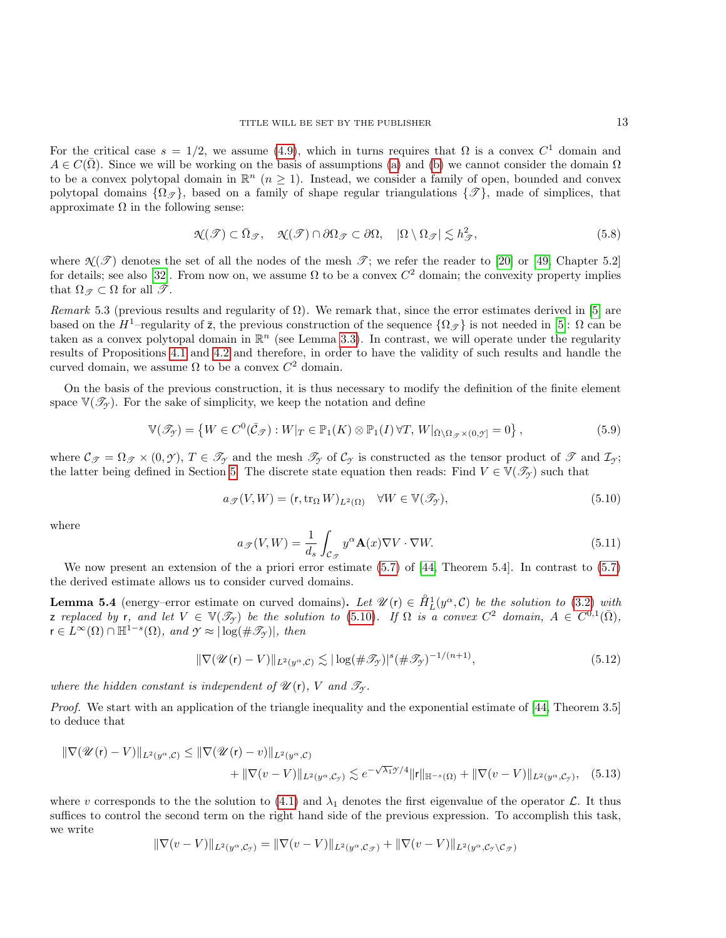For the critical case  $s = 1/2$ , we assume [\(4.9\)](#page-10-2), which in turns requires that  $\Omega$  is a convex  $C<sup>1</sup>$  domain and  $A \in C(\overline{\Omega})$ . Since we will be working on the basis of assumptions [\(a\)](#page-11-3) and [\(b\)](#page-11-4) we cannot consider the domain  $\Omega$ to be a convex polytopal domain in  $\mathbb{R}^n$  ( $n \geq 1$ ). Instead, we consider a family of open, bounded and convex polytopal domains  $\{\Omega_{\mathscr{F}}\}\$ , based on a family of shape regular triangulations  $\{\mathscr{F}\}\$ , made of simplices, that approximate  $\Omega$  in the following sense:

$$
\mathcal{N}(\mathcal{T}) \subset \bar{\Omega}_{\mathcal{T}}, \quad \mathcal{N}(\mathcal{T}) \cap \partial \Omega_{\mathcal{T}} \subset \partial \Omega, \quad |\Omega \setminus \Omega_{\mathcal{T}}| \lesssim h_{\mathcal{T}}^2,\tag{5.8}
$$

where  $\mathcal{N}(\mathcal{T})$  denotes the set of all the nodes of the mesh  $\mathcal{T}$ ; we refer the reader to [\[20\]](#page-27-22) or [\[49,](#page-28-13) Chapter 5.2] for details; see also [\[32\]](#page-27-23). From now on, we assume  $\Omega$  to be a convex  $C^2$  domain; the convexity property implies that  $\Omega_{\mathscr{T}} \subset \Omega$  for all  $\mathscr{T}$ .

Remark 5.3 (previous results and regularity of  $\Omega$ ). We remark that, since the error estimates derived in [\[5\]](#page-26-0) are based on the  $H^1$ –regularity of  $\bar{z}$ , the previous construction of the sequence  $\{\Omega_{\mathscr{F}}\}$  is not needed in [\[5\]](#page-26-0):  $\Omega$  can be taken as a convex polytopal domain in  $\mathbb{R}^n$  (see Lemma [3.3\)](#page-6-1). In contrast, we will operate under the regularity results of Propositions [4.1](#page-9-1) and [4.2](#page-10-1) and therefore, in order to have the validity of such results and handle the curved domain, we assume  $\Omega$  to be a convex  $C^2$  domain.

On the basis of the previous construction, it is thus necessary to modify the definition of the finite element space  $\mathbb{V}(\mathcal{I}_\gamma)$ . For the sake of simplicity, we keep the notation and define

<span id="page-12-5"></span>
$$
\mathbb{V}(\mathcal{I}_{\mathcal{I}}) = \left\{ W \in C^{0}(\bar{\mathcal{C}}_{\mathcal{I}}) : W|_{T} \in \mathbb{P}_{1}(K) \otimes \mathbb{P}_{1}(I) \,\forall T, \, W|_{\bar{\Omega} \setminus \Omega_{\mathcal{I}} \times (0,\mathcal{I})} = 0 \right\},\tag{5.9}
$$

where  $\mathcal{C}_{\mathcal{F}} = \Omega_{\mathcal{F}} \times (0, \mathcal{Y}), T \in \mathcal{T}_{\gamma}$  and the mesh  $\mathcal{T}_{\gamma}$  of  $\mathcal{C}_{\gamma}$  is constructed as the tensor product of  $\mathcal{T}$  and  $\mathcal{I}_{\gamma}$ ; the latter being defined in Section [5.](#page-10-0) The discrete state equation then reads: Find  $V \in V(\mathcal{T}_{\gamma})$  such that

<span id="page-12-0"></span>
$$
a_{\mathcal{F}}(V, W) = (\mathbf{r}, \text{tr}_{\Omega} W)_{L^{2}(\Omega)} \quad \forall W \in \mathbb{V}(\mathcal{I}_{\mathcal{Y}}), \tag{5.10}
$$

where

<span id="page-12-4"></span>
$$
a_{\mathscr{T}}(V,W) = \frac{1}{d_s} \int_{\mathcal{C}_{\mathscr{T}}} y^{\alpha} \mathbf{A}(x) \nabla V \cdot \nabla W.
$$
 (5.11)

We now present an extension of the a priori error estimate [\(5.7\)](#page-11-5) of [\[44,](#page-28-4) Theorem 5.4]. In contrast to [\(5.7\)](#page-11-5) the derived estimate allows us to consider curved domains.

<span id="page-12-2"></span>**Lemma 5.4** (energy–error estimate on curved domains). Let  $\mathscr{U}(r) \in \mathring{H}_L^1(y^\alpha, \mathcal{C})$  be the solution to [\(3.2\)](#page-5-2) with z replaced by r, and let  $V \in \mathbb{V}(\mathcal{I}_{\mathcal{I}})$  be the solution to [\(5.10\)](#page-12-0). If  $\Omega$  is a convex  $C^2$  domain,  $A \in C^{0,1}(\overline{\Omega})$ ,  $r \in L^{\infty}(\Omega) \cap \mathbb{H}^{1-s}(\Omega)$ , and  $\mathcal{Y} \approx |\log(\#\mathscr{T}_{\mathcal{Y}})|$ , then

<span id="page-12-3"></span><span id="page-12-1"></span>
$$
\|\nabla(\mathscr{U}(\mathbf{r}) - V)\|_{L^2(y^\alpha, \mathcal{C})} \lesssim |\log(\#\mathscr{T}_{\mathcal{Y}})|^s (\#\mathscr{T}_{\mathcal{Y}})^{-1/(n+1)},\tag{5.12}
$$

where the hidden constant is independent of  $\mathcal{U}(r)$ , V and  $\mathcal{T}_{\gamma}$ .

Proof. We start with an application of the triangle inequality and the exponential estimate of [\[44,](#page-28-4) Theorem 3.5] to deduce that

$$
\|\nabla(\mathcal{U}(\mathbf{r}) - V)\|_{L^{2}(y^{\alpha}, \mathcal{C})} \leq \|\nabla(\mathcal{U}(\mathbf{r}) - v)\|_{L^{2}(y^{\alpha}, \mathcal{C})} \n+ \|\nabla(v - V)\|_{L^{2}(y^{\alpha}, \mathcal{C}_{\mathcal{Y}})} \lesssim e^{-\sqrt{\lambda_{1}}\mathcal{Y}/4} \|\mathbf{r}\|_{\mathbb{H}^{-s}(\Omega)} + \|\nabla(v - V)\|_{L^{2}(y^{\alpha}, \mathcal{C}_{\mathcal{Y}})}, \quad (5.13)
$$

where v corresponds to the the solution to [\(4.1\)](#page-8-1) and  $\lambda_1$  denotes the first eigenvalue of the operator  $\mathcal{L}$ . It thus suffices to control the second term on the right hand side of the previous expression. To accomplish this task, we write

$$
\|\nabla(v-V)\|_{L^2(y^\alpha,\mathcal{C}_y)}=\|\nabla(v-V)\|_{L^2(y^\alpha,\mathcal{C}_\mathcal{F})}+\|\nabla(v-V)\|_{L^2(y^\alpha,\mathcal{C}_y\setminus\mathcal{C}_\mathcal{F})}
$$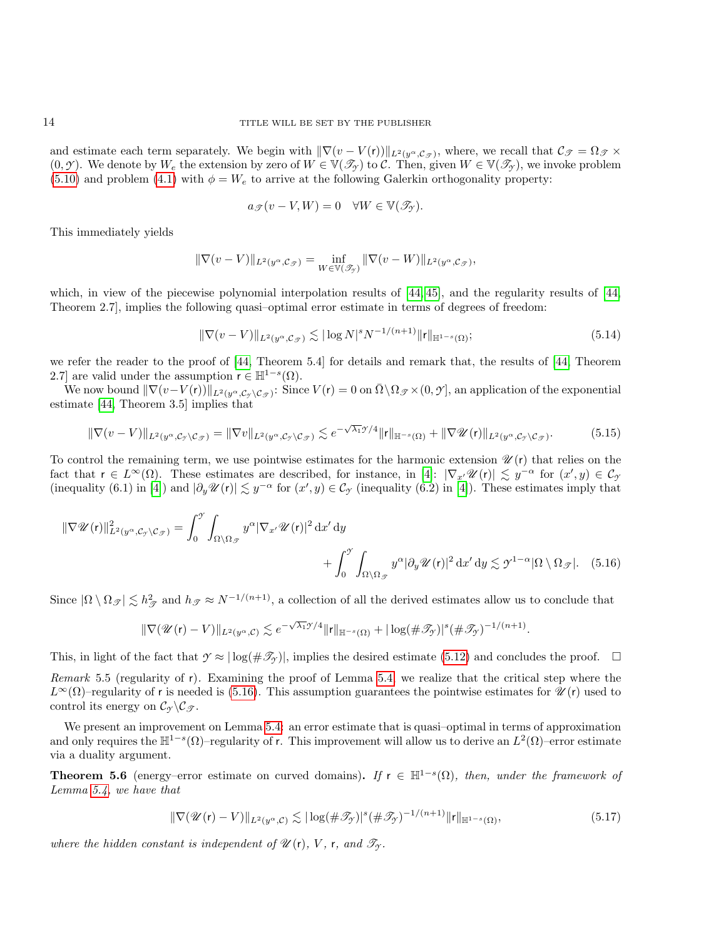and estimate each term separately. We begin with  $\|\nabla(v - V(r))\|_{L^2(y^\alpha, \mathcal{C}_{\mathcal{F}})}$ , where, we recall that  $\mathcal{C}_{\mathcal{F}} = \Omega_{\mathcal{F}} \times$  $(0, \mathcal{I})$ . We denote by  $W_e$  the extension by zero of  $W \in \mathbb{V}(\mathcal{I}_\mathcal{I})$  to C. Then, given  $W \in \mathbb{V}(\mathcal{I}_\mathcal{I})$ , we invoke problem [\(5.10\)](#page-12-0) and problem [\(4.1\)](#page-8-1) with  $\phi = W_e$  to arrive at the following Galerkin orthogonality property:

$$
a_{\mathscr{T}}(v-V,W)=0 \quad \forall W \in \mathbb{V}(\mathscr{T}_{\mathscr{T}}).
$$

This immediately yields

$$
\|\nabla(v-V)\|_{L^2(y^{\alpha},\mathcal{C}_{\mathcal{F}})}=\inf_{W\in\mathbb{V}(\mathcal{J}_{\mathcal{F}})}\|\nabla(v-W)\|_{L^2(y^{\alpha},\mathcal{C}_{\mathcal{F}})},
$$

which, in view of the piecewise polynomial interpolation results of  $[44, 45]$  $[44, 45]$ , and the regularity results of  $[44, 45]$ Theorem 2.7], implies the following quasi–optimal error estimate in terms of degrees of freedom:

<span id="page-13-0"></span>
$$
\|\nabla(v-V)\|_{L^2(y^{\alpha},\mathcal{C}_{\mathcal{F}})} \lesssim |\log N|^s N^{-1/(n+1)} \|\mathbf{r}\|_{\mathbb{H}^{1-s}(\Omega)}; \tag{5.14}
$$

we refer the reader to the proof of [\[44,](#page-28-4) Theorem 5.4] for details and remark that, the results of [\[44,](#page-28-4) Theorem 2.7 are valid under the assumption  $r \in \mathbb{H}^{1-s}(\Omega)$ .

 $\text{We now bound } \|\nabla (v - V(r))\|_{L^2(y^\alpha, \mathcal{C}_{\mathcal{F}} \setminus \mathcal{C}_{\mathcal{F}})}: \text{ Since } V(r) = 0 \text{ on } \bar{\Omega} \setminus \Omega_{\mathcal{F}} \times (0, \mathcal{F}], \text{ an application of the exponential function.}$ estimate [\[44,](#page-28-4) Theorem 3.5] implies that

<span id="page-13-1"></span>
$$
\|\nabla(v-V)\|_{L^2(y^{\alpha},\mathcal{C}_{\mathcal{I}}\setminus\mathcal{C}_{\mathcal{F}})} = \|\nabla v\|_{L^2(y^{\alpha},\mathcal{C}_{\mathcal{I}}\setminus\mathcal{C}_{\mathcal{F}})} \lesssim e^{-\sqrt{\lambda_1}\mathcal{I}/4} \|r\|_{\mathbb{H}^{-s}(\Omega)} + \|\nabla \mathcal{U}(r)\|_{L^2(y^{\alpha},\mathcal{C}_{\mathcal{I}}\setminus\mathcal{C}_{\mathcal{F}})}.
$$
(5.15)

To control the remaining term, we use pointwise estimates for the harmonic extension  $\mathcal{U}(r)$  that relies on the fact that  $r \in L^{\infty}(\Omega)$ . These estimates are described, for instance, in [\[4\]](#page-25-3):  $|\nabla_{x'} \mathscr{U}(r)| \lesssim y^{-\alpha}$  for  $(x', y) \in C_{\mathfrak{H}}$ (inequality (6.1) in [\[4\]](#page-25-3)) and  $|\partial_y \mathscr{U}(r)| \lesssim y^{-\alpha}$  for  $(x', y) \in C_\mathscr{I}$  (inequality (6.2) in [4]). These estimates imply that

$$
\|\nabla \mathscr{U}(\mathbf{r})\|_{L^{2}(y^{\alpha}, \mathcal{C}_{\mathscr{I}} \setminus \mathcal{C}_{\mathscr{I}})}^{2} = \int_{0}^{\mathscr{I}} \int_{\Omega \setminus \Omega_{\mathscr{I}}} y^{\alpha} |\nabla_{x'} \mathscr{U}(\mathbf{r})|^{2} dx' dy + \int_{0}^{\mathscr{I}} \int_{\Omega \setminus \Omega_{\mathscr{I}}} y^{\alpha} |\partial_{y} \mathscr{U}(\mathbf{r})|^{2} dx' dy \lesssim \mathscr{I}^{1-\alpha} |\Omega \setminus \Omega_{\mathscr{I}}|. \tag{5.16}
$$

Since  $|\Omega \setminus \Omega_{\mathscr{T}}| \lesssim h_{\mathscr{T}}^2$  and  $h_{\mathscr{T}} \approx N^{-1/(n+1)}$ , a collection of all the derived estimates allow us to conclude that

$$
\|\nabla (\mathscr{U}(\mathbf{r})-V)\|_{L^2(y^\alpha,\mathcal{C})}\lesssim e^{-\sqrt{\lambda_1} \mathscr{Y}/4}\|\mathbf{r}\|_{\mathbb{H}^{-s}(\Omega)}+|\log(\#\mathscr{T}_{\mathscr{Y}})|^s(\#\mathscr{T}_{\mathscr{Y}})^{-1/(n+1)}.
$$

This, in light of the fact that  $\gamma \approx |\log(\#\mathcal{T}_\gamma)|$ , implies the desired estimate [\(5.12\)](#page-12-1) and concludes the proof.  $\Box$ 

Remark 5.5 (regularity of  $r$ ). Examining the proof of Lemma [5.4,](#page-12-2) we realize that the critical step where the  $L^{\infty}(\Omega)$ –regularity of r is needed is [\(5.16\)](#page-13-0). This assumption guarantees the pointwise estimates for  $\mathscr{U}(r)$  used to control its energy on  $\mathcal{C}_{\gamma} \backslash \mathcal{C}_{\mathcal{T}}$ .

We present an improvement on Lemma [5.4:](#page-12-2) an error estimate that is quasi–optimal in terms of approximation and only requires the  $\mathbb{H}^{1-s}(\Omega)$ -regularity of r. This improvement will allow us to derive an  $L^2(\Omega)$ -error estimate via a duality argument.

<span id="page-13-3"></span>**Theorem 5.6** (energy–error estimate on curved domains). If  $r \in H^{1-s}(\Omega)$ , then, under the framework of Lemma [5.4,](#page-12-2) we have that

<span id="page-13-2"></span>
$$
\|\nabla(\mathscr{U}(\mathbf{r}) - V)\|_{L^2(y^\alpha, \mathcal{C})} \lesssim |\log(\#\mathscr{T}_{\mathscr{T}})|^s (\#\mathscr{T}_{\mathscr{T}})^{-1/(n+1)} \|\mathbf{r}\|_{\mathbb{H}^{1-s}(\Omega)},\tag{5.17}
$$

where the hidden constant is independent of  $\mathcal{U}(r)$ , V, r, and  $\mathcal{T}_{\gamma}$ .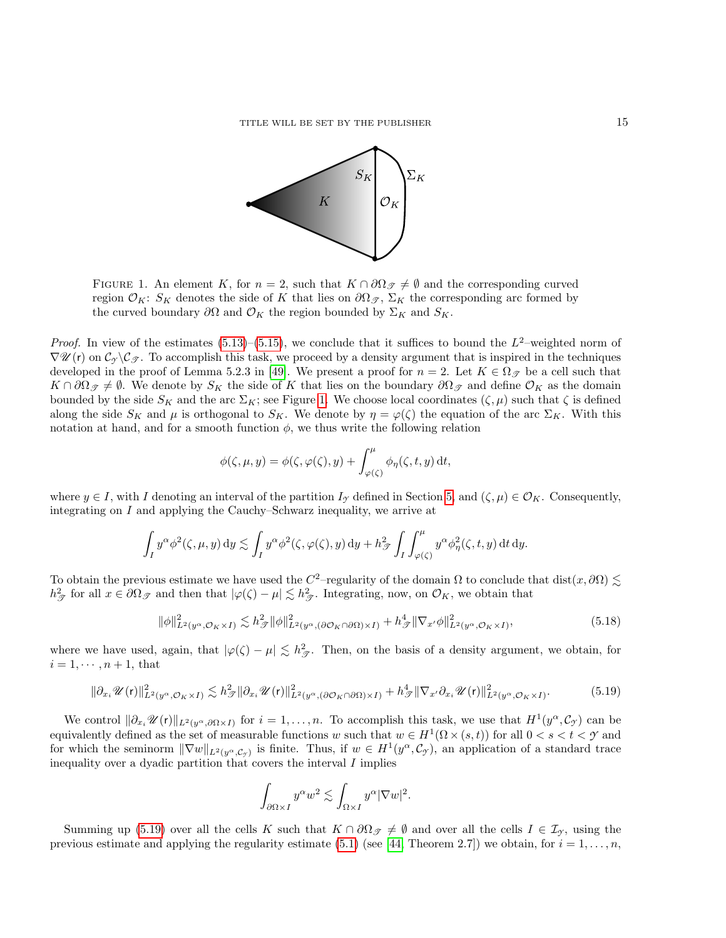

<span id="page-14-0"></span>FIGURE 1. An element K, for  $n = 2$ , such that  $K \cap \partial \Omega_{\mathscr{F}} \neq \emptyset$  and the corresponding curved region  $\mathcal{O}_K$ : S<sub>K</sub> denotes the side of K that lies on  $\partial\Omega_{\mathcal{F}}$ ,  $\Sigma_K$  the corresponding arc formed by the curved boundary  $\partial\Omega$  and  $\mathcal{O}_K$  the region bounded by  $\Sigma_K$  and  $S_K$ .

*Proof.* In view of the estimates  $(5.13)$ – $(5.15)$ , we conclude that it suffices to bound the  $L^2$ –weighted norm of  $\nabla \mathscr{U}(r)$  on  $\mathcal{C}_{\gamma}\backslash\mathcal{C}_{\mathscr{T}}$ . To accomplish this task, we proceed by a density argument that is inspired in the techniques developed in the proof of Lemma 5.2.3 in [\[49\]](#page-28-13). We present a proof for  $n = 2$ . Let  $K \in \Omega_{\mathscr{T}}$  be a cell such that  $K \cap \partial \Omega_{\mathscr{F}} \neq \emptyset$ . We denote by  $S_K$  the side of K that lies on the boundary  $\partial \Omega_{\mathscr{F}}$  and define  $\mathcal{O}_K$  as the domain bounded by the side  $S_K$  and the arc  $\Sigma_K$ ; see Figure [1.](#page-14-0) We choose local coordinates  $(\zeta, \mu)$  such that  $\zeta$  is defined along the side  $S_K$  and  $\mu$  is orthogonal to  $S_K$ . We denote by  $\eta = \varphi(\zeta)$  the equation of the arc  $\Sigma_K$ . With this notation at hand, and for a smooth function  $\phi$ , we thus write the following relation

$$
\phi(\zeta,\mu,y) = \phi(\zeta,\varphi(\zeta),y) + \int_{\varphi(\zeta)}^{\mu} \phi_{\eta}(\zeta,t,y) dt,
$$

where  $y \in I$ , with I denoting an interval of the partition  $I_{\gamma}$  defined in Section [5,](#page-10-0) and  $(\zeta, \mu) \in \mathcal{O}_K$ . Consequently, integrating on I and applying the Cauchy–Schwarz inequality, we arrive at

$$
\int_I y^\alpha \phi^2(\zeta,\mu,y) \, \mathrm{d}y \lesssim \int_I y^\alpha \phi^2(\zeta,\varphi(\zeta),y) \, \mathrm{d}y + h_{\mathscr{T}}^2 \int_I \int_{\varphi(\zeta)}^\mu y^\alpha \phi_\eta^2(\zeta,t,y) \, \mathrm{d}t \, \mathrm{d}y.
$$

To obtain the previous estimate we have used the C<sup>2</sup>-regularity of the domain  $\Omega$  to conclude that dist $(x, \partial\Omega) \lesssim$  $h_{\mathscr{T}}^2$  for all  $x \in \partial \Omega_{\mathscr{T}}$  and then that  $|\varphi(\zeta) - \mu| \lesssim h_{\mathscr{T}}^2$ . Integrating, now, on  $\mathcal{O}_K$ , we obtain that

$$
\|\phi\|_{L^2(y^\alpha, \mathcal{O}_K \times I)}^2 \lesssim h_{\mathcal{F}}^2 \|\phi\|_{L^2(y^\alpha, (\partial \mathcal{O}_K \cap \partial \Omega) \times I)}^2 + h_{\mathcal{F}}^4 \|\nabla_{x'} \phi\|_{L^2(y^\alpha, \mathcal{O}_K \times I)}^2, \tag{5.18}
$$

where we have used, again, that  $|\varphi(\zeta) - \mu| \lesssim h_{\mathcal{T}}^2$ . Then, on the basis of a density argument, we obtain, for  $i = 1, \dots, n+1$ , that

<span id="page-14-1"></span>
$$
\|\partial_{x_i}\mathscr{U}(\mathbf{r})\|^2_{L^2(y^\alpha,\mathcal{O}_K\times I)} \lesssim h_{\mathscr{F}}^2 \|\partial_{x_i}\mathscr{U}(\mathbf{r})\|^2_{L^2(y^\alpha,(\partial\mathcal{O}_K \cap \partial\Omega)\times I)} + h_{\mathscr{F}}^4 \|\nabla_{x'}\partial_{x_i}\mathscr{U}(\mathbf{r})\|^2_{L^2(y^\alpha,\mathcal{O}_K\times I)}.\tag{5.19}
$$

We control  $\|\partial_{x_i}\mathscr{U}(r)\|_{L^2(y^\alpha,\partial\Omega\times I)}$  for  $i=1,\ldots,n$ . To accomplish this task, we use that  $H^1(y^\alpha,\mathcal{C}_\mathcal{Y})$  can be equivalently defined as the set of measurable functions w such that  $w \in H^1(\Omega \times (s,t))$  for all  $0 < s < t < \mathcal{Y}$  and for which the seminorm  $\|\nabla w\|_{L^2(y^\alpha,\mathcal{C}_\mathcal{Y})}$  is finite. Thus, if  $w \in H^1(y^\alpha,\mathcal{C}_\mathcal{Y})$ , an application of a standard trace inequality over a dyadic partition that covers the interval  $I$  implies

$$
\int_{\partial\Omega\times I} y^{\alpha} w^2 \lesssim \int_{\Omega\times I} y^{\alpha} |\nabla w|^2.
$$

Summing up [\(5.19\)](#page-14-1) over all the cells K such that  $K \cap \partial \Omega_{\mathscr{F}} \neq \emptyset$  and over all the cells  $I \in \mathcal{I}_{\gamma}$ , using the previous estimate and applying the regularity estimate [\(5.1\)](#page-10-3) (see [\[44,](#page-28-4) Theorem 2.7]) we obtain, for  $i = 1, \ldots, n$ ,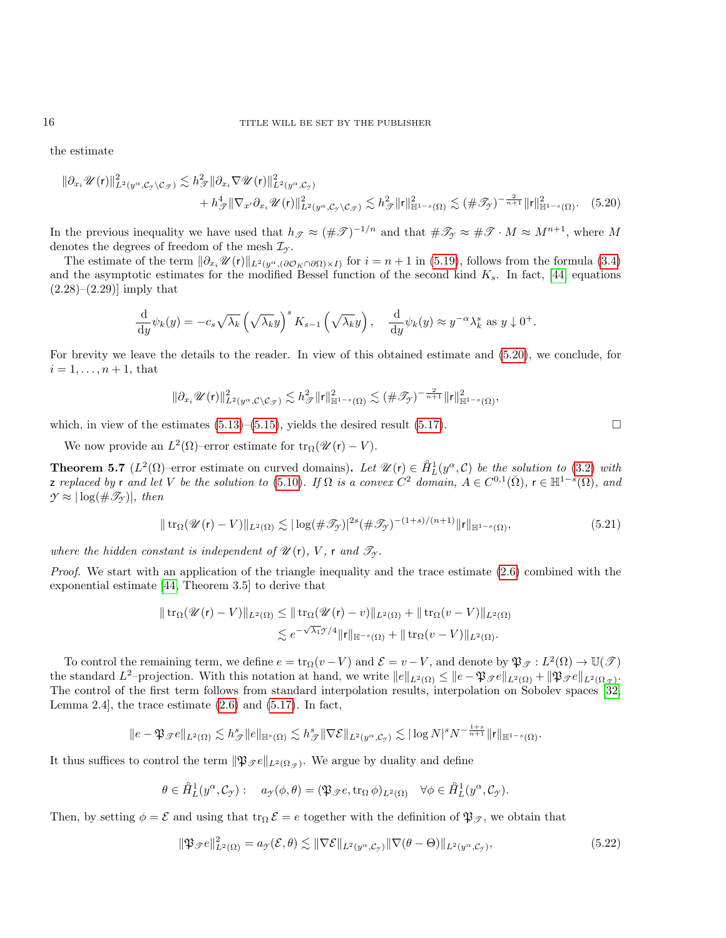the estimate

$$
\|\partial_{x_i} \mathscr{U}(\mathbf{r})\|_{L^2(y^\alpha,\mathcal{C}_\mathcal{Y}\setminus\mathcal{C}_\mathcal{F})}^2 \lesssim h_\mathcal{F}^2 \|\partial_{x_i} \nabla \mathscr{U}(\mathbf{r})\|_{L^2(y^\alpha,\mathcal{C}_\mathcal{Y})}^2
$$
  
+ 
$$
h_\mathcal{F}^4 \|\nabla_{x'} \partial_{x_i} \mathscr{U}(\mathbf{r})\|_{L^2(y^\alpha,\mathcal{C}_\mathcal{Y}\setminus\mathcal{C}_\mathcal{F})}^2 \lesssim h_\mathcal{F}^2 \|\mathbf{r}\|_{\mathbb{H}^{1-s}(\Omega)}^2 \lesssim (\#\mathcal{F}_\mathcal{Y})^{-\frac{2}{n+1}} \|\mathbf{r}\|_{\mathbb{H}^{1-s}(\Omega)}^2. \tag{5.20}
$$

In the previous inequality we have used that  $h_{\mathscr{T}} \approx (\#\mathscr{T})^{-1/n}$  and that  $\#\mathscr{T}_{\mathscr{T}} \approx \#\mathscr{T} \cdot M \approx M^{n+1}$ , where M denotes the degrees of freedom of the mesh I*<sup>Y</sup>* .

The estimate of the term  $\|\partial_{x_i}\mathscr{U}(r)\|_{L^2(y^{\alpha},(\partial\mathcal{O}_K\cap\partial\Omega)\times I)}$  for  $i=n+1$  in [\(5.19\)](#page-14-1), follows from the formula [\(3.4\)](#page-6-5) and the asymptotic estimates for the modified Bessel function of the second kind  $K_s$ . In fact, [\[44,](#page-28-4) equations  $(2.28)–(2.29)$ ] imply that

$$
\frac{\mathrm{d}}{\mathrm{d}y}\psi_k(y) = -c_s\sqrt{\lambda_k}\left(\sqrt{\lambda_k}y\right)^s K_{s-1}\left(\sqrt{\lambda_k}y\right), \quad \frac{\mathrm{d}}{\mathrm{d}y}\psi_k(y) \approx y^{-\alpha}\lambda_k^s \text{ as } y \downarrow 0^+.
$$

For brevity we leave the details to the reader. In view of this obtained estimate and [\(5.20\)](#page-15-0), we conclude, for  $i = 1, \ldots, n + 1$ , that

<span id="page-15-0"></span>
$$
\|\partial_{x_i}\mathscr{U}(r)\|^2_{L^2(y^\alpha,\mathcal{C}\setminus\mathcal{C}_{\mathscr{T}})} \lesssim h_{\mathscr{T}}^2 \|r\|^2_{\mathbb{H}^{1-s}(\Omega)} \lesssim (\#\mathscr{T}_{\mathscr{T}})^{-\frac{2}{n+1}} \|r\|^2_{\mathbb{H}^{1-s}(\Omega)},
$$

which, in view of the estimates  $(5.13)$ – $(5.15)$ , yields the desired result  $(5.17)$ .

We now provide an  $L^2(\Omega)$ -error estimate for  $\text{tr}_{\Omega}(\mathscr{U}(r) - V)$ .

<span id="page-15-3"></span>**Theorem 5.7** ( $L^2(\Omega)$ -error estimate on curved domains). Let  $\mathcal{U}(r) \in \mathring{H}_L^1(y^{\alpha}, \mathcal{C})$  be the solution to [\(3.2\)](#page-5-2) with z replaced by r and let V be the solution to [\(5.10\)](#page-12-0). If  $\Omega$  is a convex  $C^2$  domain,  $A \in C^{0,1}(\overline{\Omega})$ ,  $\mathsf{r} \in \mathbb{H}^{1-s}(\Omega)$ , and  $\mathcal{Y} \approx |\log(\#\mathscr{T}_{\gamma})|$ , then

<span id="page-15-2"></span>
$$
\|\operatorname{tr}_{\Omega}(\mathscr{U}(\mathbf{r})-V)\|_{L^{2}(\Omega)} \lesssim |\log(\#\mathscr{T}_{\mathcal{Y}})|^{2s}(\#\mathscr{T}_{\mathcal{Y}})^{-(1+s)/(n+1)}\|\mathbf{r}\|_{\mathbb{H}^{1-s}(\Omega)},\tag{5.21}
$$

where the hidden constant is independent of  $\mathscr{U}(\mathsf{r})$ , V, r and  $\mathscr{T}_{\mathcal{T}}$ .

Proof. We start with an application of the triangle inequality and the trace estimate [\(2.6\)](#page-4-1) combined with the exponential estimate [\[44,](#page-28-4) Theorem 3.5] to derive that

$$
\| \operatorname{tr}_{\Omega} (\mathcal{U}(r) - V) \|_{L^2(\Omega)} \leq \| \operatorname{tr}_{\Omega} (\mathcal{U}(r) - v) \|_{L^2(\Omega)} + \| \operatorname{tr}_{\Omega} (v - V) \|_{L^2(\Omega)}
$$
  

$$
\lesssim e^{-\sqrt{\lambda_1} \mathcal{Y}/4} \| r \|_{\mathbb{H}^{-s}(\Omega)} + \| \operatorname{tr}_{\Omega} (v - V) \|_{L^2(\Omega)}.
$$

To control the remaining term, we define  $e = \text{tr}_{\Omega}(v - V)$  and  $\mathcal{E} = v - V$ , and denote by  $\mathfrak{P}_{\mathcal{F}} : L^2(\Omega) \to \mathbb{U}(\mathcal{F})$ the standard L<sup>2</sup>-projection. With this notation at hand, we write  $||e||_{L^2(\Omega)} \le ||e - \mathfrak{P}_{\mathscr{S}}e||_{L^2(\Omega)} + ||\mathfrak{P}_{\mathscr{S}}e||_{L^2(\Omega_{\mathscr{S}})}.$ The control of the first term follows from standard interpolation results, interpolation on Sobolev spaces [\[32,](#page-27-23) Lemma 2.4, the trace estimate  $(2.6)$  and  $(5.17)$ . In fact,

$$
\|e-\mathfrak{P}_\mathscr{T}e\|_{L^2(\Omega)}\lesssim h_\mathscr{T}^s\|e\|_{\mathbb{H}^s(\Omega)}\lesssim h_\mathscr{T}^s\|\nabla \mathcal{E}\|_{L^2(y^\alpha,\mathcal{C}_\mathcal{T})}\lesssim |\log N|^sN^{-\frac{1+s}{n+1}}\|r\|_{\mathbb{H}^{1-s}(\Omega)}.
$$

It thus suffices to control the term  $\|\mathfrak{P}_{\mathcal{F}}e\|_{L^2(\Omega_{\mathcal{F}})}$ . We argue by duality and define

$$
\theta \in \mathring{H}_L^1(y^\alpha, \mathcal{C}_{\mathcal{I}}): \quad a_{\mathcal{I}}(\phi, \theta) = (\mathfrak{P}_{\mathcal{J}}e, \operatorname{tr}_\Omega \phi)_{L^2(\Omega)} \quad \forall \phi \in \mathring{H}_L^1(y^\alpha, \mathcal{C}_{\mathcal{I}}).
$$

Then, by setting  $\phi = \mathcal{E}$  and using that  $\text{tr}_{\Omega} \mathcal{E} = e$  together with the definition of  $\mathfrak{P}_{\mathcal{F}}$ , we obtain that

<span id="page-15-1"></span>
$$
\|\mathfrak{P}_{\mathcal{F}}e\|_{L^2(\Omega)}^2 = a_{\mathcal{F}}(\mathcal{E}, \theta) \lesssim \|\nabla \mathcal{E}\|_{L^2(y^{\alpha}, \mathcal{C}_{\mathcal{F}})} \|\nabla(\theta - \Theta)\|_{L^2(y^{\alpha}, \mathcal{C}_{\mathcal{F}})},
$$
\n(5.22)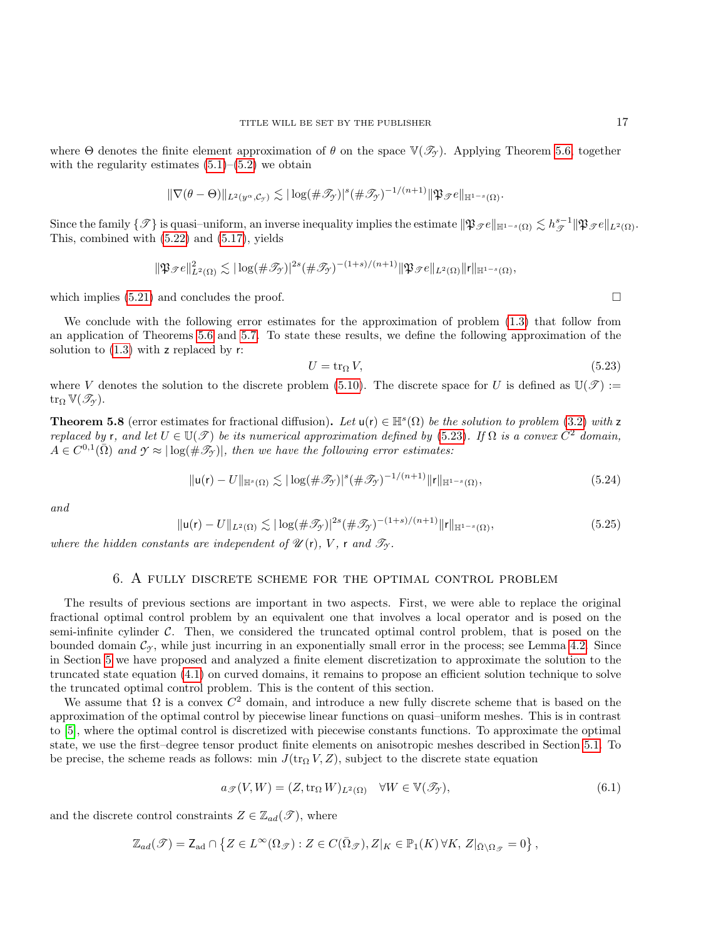where  $\Theta$  denotes the finite element approximation of  $\theta$  on the space  $\mathbb{V}(\mathcal{I}_{\gamma})$ . Applying Theorem [5.6,](#page-13-3) together with the regularity estimates  $(5.1)$ – $(5.2)$  we obtain

$$
\|\nabla(\theta-\Theta)\|_{L^2(y^{\alpha},\mathcal{C}_{\mathcal{Y}})} \lesssim |\log(\#\mathscr{T}_{\mathcal{Y}})|^s (\#\mathscr{T}_{\mathcal{Y}})^{-1/(n+1)} \|\mathfrak{P}_{\mathcal{F}}e\|_{\mathbb{H}^{1-s}(\Omega)}.
$$

Since the family  $\{\mathscr{T}\}$  is quasi–uniform, an inverse inequality implies the estimate  $\|\mathfrak{P}_{\mathscr{T}}e\|_{\mathbb{H}^{1-s}(\Omega)} \lesssim h_{\mathscr{T}}^{s-1}\|\mathfrak{P}_{\mathscr{T}}e\|_{L^2(\Omega)}$ . This, combined with [\(5.22\)](#page-15-1) and [\(5.17\)](#page-13-2), yields

$$
\|\mathfrak{P}_{\mathcal{F}}e\|^2_{L^2(\Omega)} \lesssim |\log(\#\mathscr{T}_{\mathcal{F}})|^{2s} (\#\mathscr{T}_{\mathcal{F}})^{-(1+s)/(n+1)} \|\mathfrak{P}_{\mathcal{F}}e\|_{L^2(\Omega)} \|r\|_{\mathbb{H}^{1-s}(\Omega)},
$$

which implies [\(5.21\)](#page-15-2) and concludes the proof.  $\Box$ 

We conclude with the following error estimates for the approximation of problem [\(1.3\)](#page-1-4) that follow from an application of Theorems [5.6](#page-13-3) and [5.7.](#page-15-3) To state these results, we define the following approximation of the solution to  $(1.3)$  with z replaced by r:

<span id="page-16-1"></span>
$$
U = \text{tr}_{\Omega} V,\tag{5.23}
$$

where V denotes the solution to the discrete problem [\(5.10\)](#page-12-0). The discrete space for U is defined as  $\mathbb{U}(\mathscr{T})$  :=  $\mathrm{tr}_\Omega \, \mathbb{V}(\mathscr{T}_{\gamma}).$ 

**Theorem 5.8** (error estimates for fractional diffusion). Let  $u(r) \in \mathbb{H}^s(\Omega)$  be the solution to problem [\(3.2\)](#page-5-2) with z replaced by r, and let  $U \in \mathbb{U}(\mathscr{T})$  be its numerical approximation defined by [\(5.23\)](#page-16-1). If  $\Omega$  is a convex  $C^2$  domain,  $A \in C^{0,1}(\overline{\Omega})$  and  $\gamma \approx |\log(\# \mathscr{T}_{\gamma})|$ , then we have the following error estimates:

$$
\|\mathbf{u}(\mathbf{r}) - U\|_{\mathbb{H}^s(\Omega)} \lesssim |\log(\#\mathcal{I}_\mathcal{I})|^s (\#\mathcal{I}_\mathcal{I})^{-1/(n+1)} \|\mathbf{r}\|_{\mathbb{H}^{1-s}(\Omega)},\tag{5.24}
$$

and

$$
\|\mathbf{u}(\mathbf{r}) - U\|_{L^{2}(\Omega)} \lesssim |\log(\#\mathcal{T}_{\mathcal{Y}})|^{2s} (\#\mathcal{T}_{\mathcal{Y}})^{-(1+s)/(n+1)} \|\mathbf{r}\|_{\mathbb{H}^{1-s}(\Omega)},
$$
\n(5.25)

where the hidden constants are independent of  $\mathscr{U}(\mathsf{r})$ , V, r and  $\mathscr{T}_{\mathcal{T}}$ .

# 6. A fully discrete scheme for the optimal control problem

<span id="page-16-0"></span>The results of previous sections are important in two aspects. First, we were able to replace the original fractional optimal control problem by an equivalent one that involves a local operator and is posed on the semi-infinite cylinder  $C$ . Then, we considered the truncated optimal control problem, that is posed on the bounded domain  $\mathcal{C}_{\gamma}$ , while just incurring in an exponentially small error in the process; see Lemma [4.2.](#page-9-2) Since in Section [5](#page-10-0) we have proposed and analyzed a finite element discretization to approximate the solution to the truncated state equation [\(4.1\)](#page-8-1) on curved domains, it remains to propose an efficient solution technique to solve the truncated optimal control problem. This is the content of this section.

We assume that  $\Omega$  is a convex  $C^2$  domain, and introduce a new fully discrete scheme that is based on the approximation of the optimal control by piecewise linear functions on quasi–uniform meshes. This is in contrast to [\[5\]](#page-26-0), where the optimal control is discretized with piecewise constants functions. To approximate the optimal state, we use the first–degree tensor product finite elements on anisotropic meshes described in Section [5.1.](#page-11-0) To be precise, the scheme reads as follows: min  $J(tr_{\Omega} V, Z)$ , subject to the discrete state equation

<span id="page-16-2"></span>
$$
a_{\mathcal{F}}(V, W) = (Z, \text{tr}_{\Omega} W)_{L^{2}(\Omega)} \quad \forall W \in \mathbb{V}(\mathcal{I}_{\mathcal{F}}),
$$
\n(6.1)

and the discrete control constraints  $Z \in \mathbb{Z}_{ad}(\mathscr{T})$ , where

$$
\mathbb{Z}_{ad}(\mathscr{T})=\mathsf{Z}_{ad}\cap\left\{Z\in L^\infty(\Omega_{\mathscr{T}}):Z\in C(\bar{\Omega}_{\mathscr{T}}),Z|_K\in\mathbb{P}_1(K)\,\forall K,\,Z|_{\bar{\Omega}\backslash\Omega_{\mathscr{T}}}=0\right\},
$$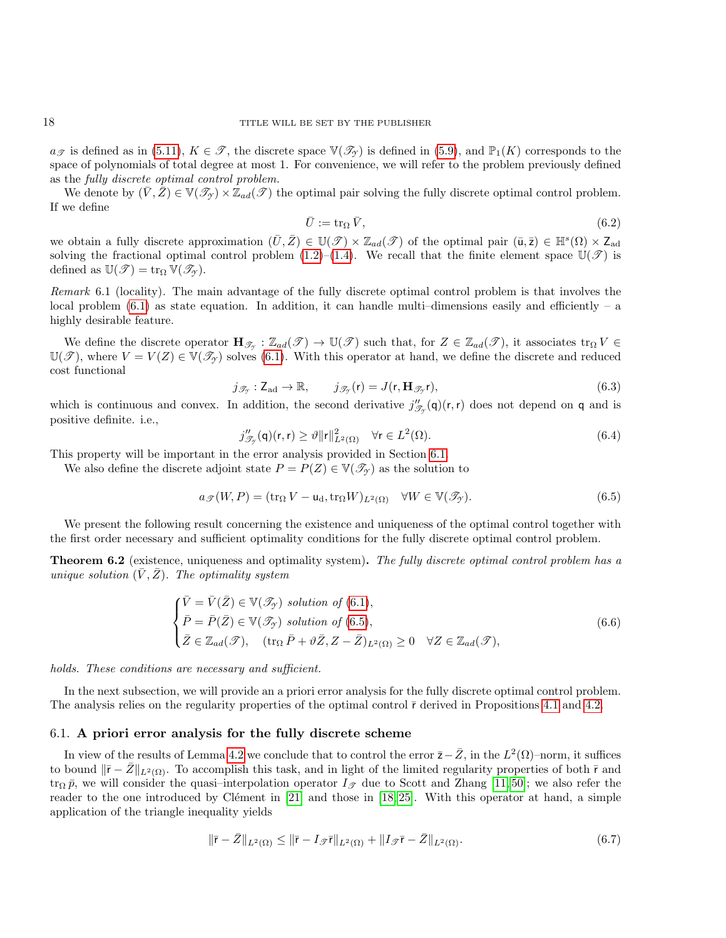$a_{\mathscr{T}}$  is defined as in [\(5.11\)](#page-12-4),  $K \in \mathscr{T}$ , the discrete space  $\mathbb{V}(\mathscr{T}_{\gamma})$  is defined in [\(5.9\)](#page-12-5), and  $\mathbb{P}_1(K)$  corresponds to the space of polynomials of total degree at most 1. For convenience, we will refer to the problem previously defined as the fully discrete optimal control problem.

We denote by  $(\bar{V}, \bar{Z}) \in V(\mathcal{T}_{\gamma}) \times \mathbb{Z}_{ad}(\mathcal{T})$  the optimal pair solving the fully discrete optimal control problem. If we define

$$
\bar{U} := \operatorname{tr}_{\Omega} \bar{V},\tag{6.2}
$$

we obtain a fully discrete approximation  $(\bar{U}, \bar{Z}) \in \mathbb{U}(\mathscr{T}) \times \mathbb{Z}_{ad}(\mathscr{T})$  of the optimal pair  $(\bar{u}, \bar{z}) \in \mathbb{H}^s(\Omega) \times \mathbb{Z}_{ad}$ solving the fractional optimal control problem [\(1.2\)](#page-0-0)–[\(1.4\)](#page-1-0). We recall that the finite element space  $\mathbb{U}(\mathscr{T})$  is defined as  $\mathbb{U}(\mathscr{T}) = \text{tr}_{\Omega} \mathbb{V}(\mathscr{T}_{\gamma}).$ 

Remark 6.1 (locality). The main advantage of the fully discrete optimal control problem is that involves the local problem  $(6.1)$  as state equation. In addition, it can handle multi-dimensions easily and efficiently – a highly desirable feature.

We define the discrete operator  $\mathbf{H}_{\mathscr{T}_{\mathcal{T}}}:\mathbb{Z}_{ad}(\mathscr{T})\to\mathbb{U}(\mathscr{T})$  such that, for  $Z\in\mathbb{Z}_{ad}(\mathscr{T})$ , it associates  $\operatorname{tr}_{\Omega}V\in$  $\mathbb{U}(\mathcal{T})$ , where  $V = V(Z) \in \mathbb{V}(\mathcal{I}_Y)$  solves [\(6.1\)](#page-16-2). With this operator at hand, we define the discrete and reduced cost functional

<span id="page-17-5"></span>
$$
j_{\mathscr{T}_{\mathcal{I}}} : \mathsf{Z}_{\mathrm{ad}} \to \mathbb{R}, \qquad j_{\mathscr{T}_{\mathcal{I}}}(\mathsf{r}) = J(\mathsf{r}, \mathbf{H}_{\mathscr{T}_{\mathcal{I}}}\mathsf{r}), \tag{6.3}
$$

which is continuous and convex. In addition, the second derivative  $j''_{\mathcal{I}_{\mathcal{I}}}(\mathsf{q})(\mathsf{r},\mathsf{r})$  does not depend on  $\mathsf{q}$  and is positive definite. i.e.,

<span id="page-17-3"></span>
$$
j_{\mathcal{J}_{\gamma}}''(\mathsf{q})(\mathsf{r},\mathsf{r}) \ge \vartheta \|\mathsf{r}\|_{L^{2}(\Omega)}^{2} \quad \forall \mathsf{r} \in L^{2}(\Omega). \tag{6.4}
$$

This property will be important in the error analysis provided in Section [6.1.](#page-17-0)

We also define the discrete adjoint state  $P = P(Z) \in V(\mathcal{T}_{\gamma})$  as the solution to

<span id="page-17-1"></span>
$$
a_{\mathscr{T}}(W,P) = (\text{tr}_{\Omega} V - \mathsf{u}_{\mathrm{d}}, \text{tr}_{\Omega} W)_{L^{2}(\Omega)} \quad \forall W \in \mathbb{V}(\mathscr{T}_{\mathscr{T}}). \tag{6.5}
$$

We present the following result concerning the existence and uniqueness of the optimal control together with the first order necessary and sufficient optimality conditions for the fully discrete optimal control problem.

**Theorem 6.2** (existence, uniqueness and optimality system). The fully discrete optimal control problem has a unique solution  $(V, Z)$ . The optimality system

<span id="page-17-4"></span>
$$
\begin{cases}\n\bar{V} = \bar{V}(\bar{Z}) \in \mathbb{V}(\mathcal{I}_{\mathcal{I}}) \text{ solution of (6.1)},\\ \bar{P} = \bar{P}(\bar{Z}) \in \mathbb{V}(\mathcal{I}_{\mathcal{I}}) \text{ solution of (6.5)},\\ \bar{Z} \in \mathbb{Z}_{ad}(\mathcal{I}), \quad (\text{tr}_{\Omega} \bar{P} + \vartheta \bar{Z}, Z - \bar{Z})_{L^{2}(\Omega)} \ge 0 \quad \forall Z \in \mathbb{Z}_{ad}(\mathcal{I}),\n\end{cases}
$$
\n(6.6)

holds. These conditions are necessary and sufficient.

In the next subsection, we will provide an a priori error analysis for the fully discrete optimal control problem. The analysis relies on the regularity properties of the optimal control  $\bar{r}$  derived in Propositions [4.1](#page-9-1) and [4.2.](#page-10-1)

#### <span id="page-17-0"></span>6.1. A priori error analysis for the fully discrete scheme

In view of the results of Lemma [4.2](#page-9-2) we conclude that to control the error  $\bar{z}-\bar{Z}$ , in the  $L^2(\Omega)$ –norm, it suffices to bound  $\|\bar{r} - \bar{Z}\|_{L^2(\Omega)}$ . To accomplish this task, and in light of the limited regularity properties of both  $\bar{r}$  and tr<sub>Ω</sub>  $\bar{p}$ , we will consider the quasi–interpolation operator  $I_{\mathcal{F}}$  due to Scott and Zhang [\[11,](#page-27-24) [50\]](#page-28-14); we also refer the reader to the one introduced by Clément in  $[21]$  and those in  $[18, 25]$  $[18, 25]$ . With this operator at hand, a simple application of the triangle inequality yields

<span id="page-17-2"></span>
$$
\|\bar{\mathbf{r}} - \bar{Z}\|_{L^2(\Omega)} \le \|\bar{\mathbf{r}} - I_{\mathcal{T}}\bar{\mathbf{r}}\|_{L^2(\Omega)} + \|I_{\mathcal{T}}\bar{\mathbf{r}} - \bar{Z}\|_{L^2(\Omega)}.
$$
\n
$$
(6.7)
$$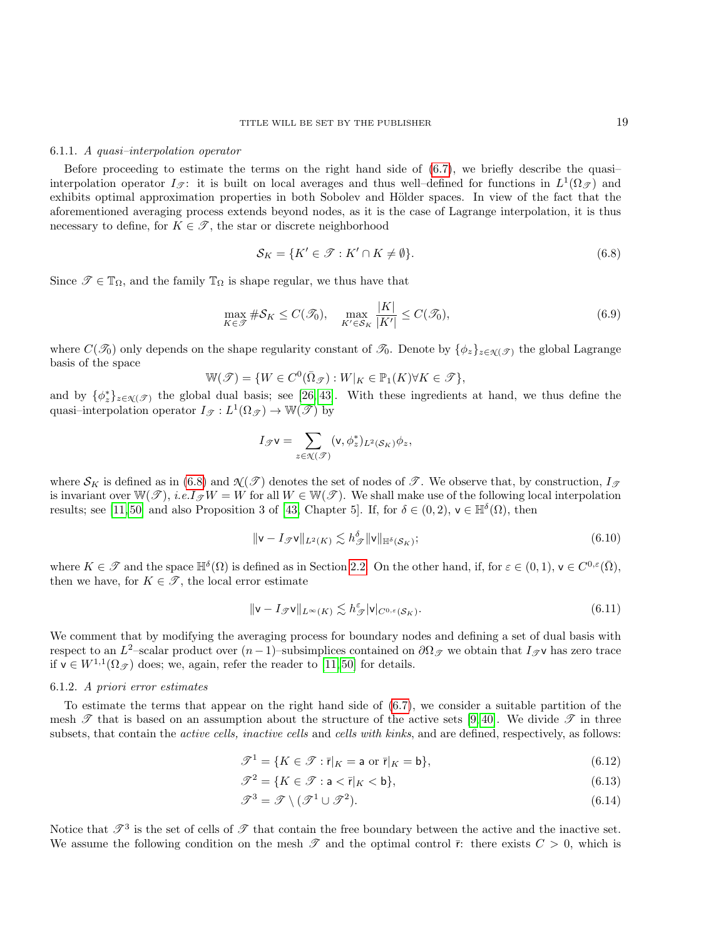#### 6.1.1. A quasi–interpolation operator

Before proceeding to estimate the terms on the right hand side of [\(6.7\)](#page-17-2), we briefly describe the quasi– interpolation operator  $I_{\mathscr{T}}$ : it is built on local averages and thus well-defined for functions in  $L^1(\Omega_{\mathscr{T}})$  and exhibits optimal approximation properties in both Sobolev and Hölder spaces. In view of the fact that the aforementioned averaging process extends beyond nodes, as it is the case of Lagrange interpolation, it is thus necessary to define, for  $K \in \mathcal{T}$ , the star or discrete neighborhood

<span id="page-18-0"></span>
$$
\mathcal{S}_K = \{ K' \in \mathcal{T} : K' \cap K \neq \emptyset \}.
$$
\n
$$
(6.8)
$$

Since  $\mathscr{T} \in \mathbb{T}_{\Omega}$ , and the family  $\mathbb{T}_{\Omega}$  is shape regular, we thus have that

<span id="page-18-1"></span>
$$
\max_{K \in \mathcal{F}} \# \mathcal{S}_K \le C(\mathcal{F}_0), \quad \max_{K' \in \mathcal{S}_K} \frac{|K|}{|K'|} \le C(\mathcal{F}_0),\tag{6.9}
$$

where  $C(\mathcal{T}_0)$  only depends on the shape regularity constant of  $\mathcal{T}_0$ . Denote by  $\{\phi_z\}_{z \in \mathcal{N}(\mathcal{T})}$  the global Lagrange basis of the space

$$
\mathbb{W}(\mathcal{T}) = \{ W \in C^0(\bar{\Omega}_{\mathcal{T}}) : W|_K \in \mathbb{P}_1(K) \forall K \in \mathcal{T} \},\
$$

and by  $\{\phi_z^*\}_{z \in \mathcal{N}(\mathcal{F})}$  the global dual basis; see [\[26,](#page-27-27) [43\]](#page-28-15). With these ingredients at hand, we thus define the quasi-interpolation operator  $I_{\mathscr{T}} : L^1(\Omega_{\mathscr{T}}) \to \mathbb{W}(\mathscr{T})$  by

$$
I_{\mathscr{T}}\mathsf{v}=\sum_{z\in\mathcal{K}(\mathscr{T})}(\mathsf{v},\phi^*_z)_{L^2(\mathcal{S}_K)}\phi_z,
$$

where  $S_K$  is defined as in [\(6.8\)](#page-18-0) and  $\mathcal{N}(\mathcal{T})$  denotes the set of nodes of  $\mathcal{T}$ . We observe that, by construction,  $I_{\mathcal{T}}$ is invariant over  $\mathbb{W}(\mathscr{T})$ , i.e.I $\mathscr{T}W = W$  for all  $W \in \mathbb{W}(\mathscr{T})$ . We shall make use of the following local interpolation results; see [\[11,](#page-27-24) [50\]](#page-28-14) and also Proposition 3 of [\[43,](#page-28-15) Chapter 5]. If, for  $\delta \in (0, 2)$ ,  $\mathsf{v} \in \mathbb{H}^{\delta}(\Omega)$ , then

<span id="page-18-2"></span>
$$
\|\mathbf{v} - I_{\mathcal{F}}\mathbf{v}\|_{L^{2}(K)} \lesssim h_{\mathcal{F}}^{\delta} \|\mathbf{v}\|_{\mathbb{H}^{\delta}(\mathcal{S}_{K})};\tag{6.10}
$$

where  $K \in \mathscr{T}$  and the space  $\mathbb{H}^{\delta}(\Omega)$  is defined as in Section [2.2.](#page-3-5) On the other hand, if, for  $\varepsilon \in (0,1)$ ,  $\mathsf{v} \in C^{0,\varepsilon}(\overline{\Omega})$ , then we have, for  $K \in \mathcal{T}$ , the local error estimate

<span id="page-18-5"></span>
$$
\|\mathbf{v} - I_{\mathcal{F}}\mathbf{v}\|_{L^{\infty}(K)} \lesssim h_{\mathcal{F}}^{\varepsilon} |\mathbf{v}|_{C^{0,\varepsilon}(\mathcal{S}_K)}.
$$
\n(6.11)

We comment that by modifying the averaging process for boundary nodes and defining a set of dual basis with respect to an  $L^2$ -scalar product over  $(n-1)$ -subsimplices contained on  $\partial\Omega_{\mathscr{T}}$  we obtain that  $I_{\mathscr{T}}\mathsf{v}$  has zero trace if  $\mathsf{v} \in W^{1,1}(\Omega_{\mathscr{T}})$  does; we, again, refer the reader to [\[11,](#page-27-24)50] for details.

#### 6.1.2. A priori error estimates

To estimate the terms that appear on the right hand side of [\(6.7\)](#page-17-2), we consider a suitable partition of the mesh  $\mathscr T$  that is based on an assumption about the structure of the active sets [\[9,](#page-26-4) [40\]](#page-28-7). We divide  $\mathscr T$  in three subsets, that contain the *active cells*, *inactive cells* and *cells with kinks*, and are defined, respectively, as follows:

<span id="page-18-3"></span>
$$
\mathcal{T}^1 = \{ K \in \mathcal{T} : \bar{r}|_K = \mathsf{a} \text{ or } \bar{r}|_K = \mathsf{b} \},\tag{6.12}
$$

$$
\mathcal{T}^2 = \{ K \in \mathcal{T} : \mathbf{a} < \mathbf{\bar{r}} |_K < \mathbf{b} \},\tag{6.13}
$$

<span id="page-18-4"></span>
$$
\mathcal{T}^3 = \mathcal{T} \setminus (\mathcal{T}^1 \cup \mathcal{T}^2). \tag{6.14}
$$

Notice that  $\mathcal{T}^3$  is the set of cells of  $\mathcal T$  that contain the free boundary between the active and the inactive set. We assume the following condition on the mesh  $\mathscr T$  and the optimal control  $\bar r$ : there exists  $C > 0$ , which is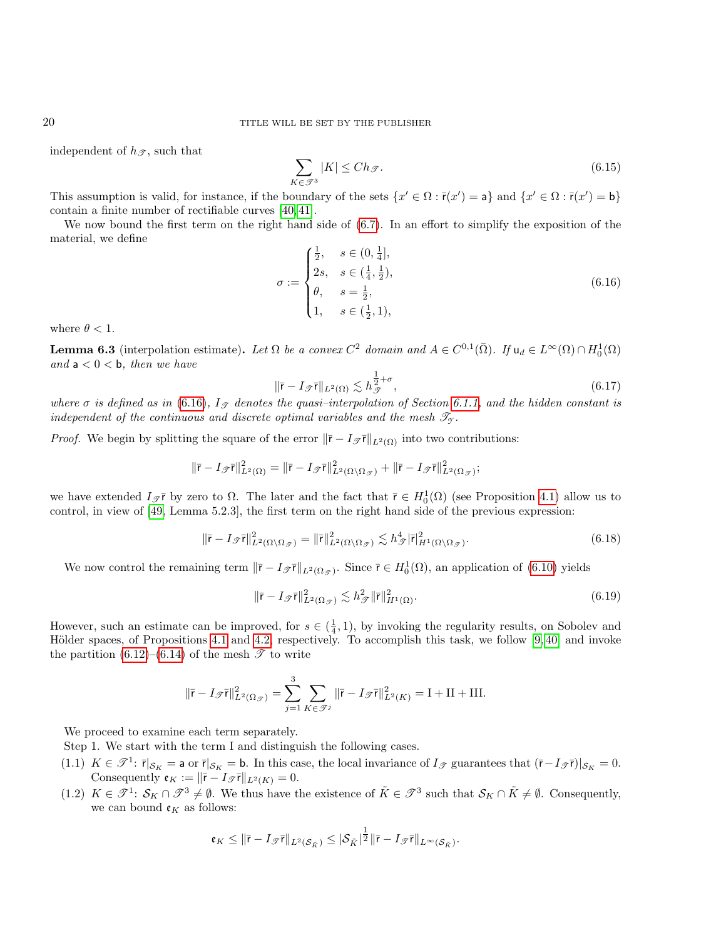independent of  $h_{\mathscr{T}}$ , such that

<span id="page-19-1"></span>
$$
\sum_{K \in \mathcal{F}^3} |K| \le Ch_{\mathcal{F}}.\tag{6.15}
$$

This assumption is valid, for instance, if the boundary of the sets  $\{x' \in \Omega : \overline{r}(x') = a\}$  and  $\{x' \in \Omega : \overline{r}(x') = b\}$ contain a finite number of rectifiable curves [\[40,](#page-28-7) [41\]](#page-28-8).

We now bound the first term on the right hand side of [\(6.7\)](#page-17-2). In an effort to simplify the exposition of the material, we define

<span id="page-19-0"></span>
$$
\sigma := \begin{cases} \frac{1}{2}, & s \in (0, \frac{1}{4}], \\ 2s, & s \in (\frac{1}{4}, \frac{1}{2}), \\ \theta, & s = \frac{1}{2}, \\ 1, & s \in (\frac{1}{2}, 1), \end{cases}
$$
(6.16)

where  $\theta < 1$ .

**Lemma 6.3** (interpolation estimate). Let  $\Omega$  be a convex  $C^2$  domain and  $A \in C^{0,1}(\overline{\Omega})$ . If  $u_d \in L^{\infty}(\Omega) \cap H_0^1(\Omega)$ and  $a < 0 < b$ , then we have

<span id="page-19-3"></span>
$$
\|\bar{\mathbf{r}} - I_{\mathcal{F}}\bar{\mathbf{r}}\|_{L^{2}(\Omega)} \lesssim h_{\mathcal{F}}^{\frac{1}{2} + \sigma},\tag{6.17}
$$

where  $\sigma$  is defined as in [\(6.16\)](#page-19-0),  $I_{\mathscr{T}}$  denotes the quasi-interpolation of Section [6.1.1,](#page-18-1) and the hidden constant is independent of the continuous and discrete optimal variables and the mesh  $\mathscr{T}_{\gamma}$ .

*Proof.* We begin by splitting the square of the error  $\|\bar{r} - I_{\mathcal{F}}\|_{L^2(\Omega)}$  into two contributions:

$$
\|\bar{\mathbf{r}}-I_{\mathscr{T}}\bar{\mathbf{r}}\|_{L^2(\Omega)}^2=\|\bar{\mathbf{r}}-I_{\mathscr{T}}\bar{\mathbf{r}}\|_{L^2(\Omega\setminus\Omega_{\mathscr{T}})}^2+\|\bar{\mathbf{r}}-I_{\mathscr{T}}\bar{\mathbf{r}}\|_{L^2(\Omega_{\mathscr{T}})}^2;
$$

we have extended  $I_{\mathscr{T}}\bar{r}$  by zero to  $\Omega$ . The later and the fact that  $\bar{r} \in H_0^1(\Omega)$  (see Proposition [4.1\)](#page-9-1) allow us to control, in view of [\[49,](#page-28-13) Lemma 5.2.3], the first term on the right hand side of the previous expression:

<span id="page-19-2"></span>
$$
\|\bar{\mathbf{r}} - I_{\mathscr{T}}\bar{\mathbf{r}}\|_{L^{2}(\Omega\setminus\Omega_{\mathscr{T}})}^{2} = \|\bar{\mathbf{r}}\|_{L^{2}(\Omega\setminus\Omega_{\mathscr{T}})}^{2} \lesssim h_{\mathscr{T}}^{4} |\bar{\mathbf{r}}|_{H^{1}(\Omega\setminus\Omega_{\mathscr{T}})}^{2}.
$$
\n(6.18)

We now control the remaining term  $\|\bar{r} - I_{\mathcal{F}}\bar{r}\|_{L^2(\Omega_{\mathcal{F}})}$ . Since  $\bar{r} \in H_0^1(\Omega)$ , an application of  $(6.10)$  yields

$$
\|\bar{\mathbf{r}} - I_{\mathcal{T}}\bar{\mathbf{r}}\|_{L^2(\Omega_{\mathcal{T}})}^2 \lesssim h_{\mathcal{T}}^2 \|\bar{\mathbf{r}}\|_{H^1(\Omega)}^2.
$$
\n(6.19)

However, such an estimate can be improved, for  $s \in (\frac{1}{4}, 1)$ , by invoking the regularity results, on Sobolev and Hölder spaces, of Propositions [4.1](#page-9-1) and [4.2,](#page-10-1) respectively. To accomplish this task, we follow  $[9, 40]$  $[9, 40]$  and invoke the partition  $(6.12)$ – $(6.14)$  of the mesh  $\mathscr{T}$  to write

$$
\|\bar{\mathbf{r}} - I_{\mathscr{T}}\bar{\mathbf{r}}\|_{L^{2}(\Omega_{\mathscr{T}})}^{2} = \sum_{j=1}^{3} \sum_{K \in \mathscr{T}^{j}} \|\bar{\mathbf{r}} - I_{\mathscr{T}}\bar{\mathbf{r}}\|_{L^{2}(K)}^{2} = \mathbf{I} + \mathbf{II} + \mathbf{III}.
$$

We proceed to examine each term separately.

Step 1. We start with the term I and distinguish the following cases.

- (1.1)  $K \in \mathcal{T}^1$ :  $\bar{r}|_{\mathcal{S}_K} =$  a or  $\bar{r}|_{\mathcal{S}_K} =$  b. In this case, the local invariance of  $I_{\mathcal{T}}$  guarantees that  $(\bar{r}-I_{\mathcal{T}}\bar{r})|_{\mathcal{S}_K} = 0$ . Consequently  $\mathfrak{e}_K := ||\bar{\mathfrak{r}} - I_{\mathscr{T}}\bar{\mathfrak{r}}||_{L^2(K)} = 0.$
- (1.2)  $K \in \mathcal{T}^1$ :  $\mathcal{S}_K \cap \mathcal{T}^3 \neq \emptyset$ . We thus have the existence of  $\tilde{K} \in \mathcal{T}^3$  such that  $\mathcal{S}_K \cap \tilde{K} \neq \emptyset$ . Consequently, we can bound  $\mathfrak{e}_K$  as follows:

$$
\mathfrak{e}_K\leq \|\bar{\mathsf{r}}-I_{\mathscr{T}}\bar{\mathsf{r}}\|_{L^2(\mathcal{S}_{\tilde{K}})}\leq |\mathcal{S}_{\tilde{K}}|^{\frac{1}{2}}\|\bar{\mathsf{r}}-I_{\mathscr{T}}\bar{\mathsf{r}}\|_{L^{\infty}(\mathcal{S}_{\tilde{K}})}.
$$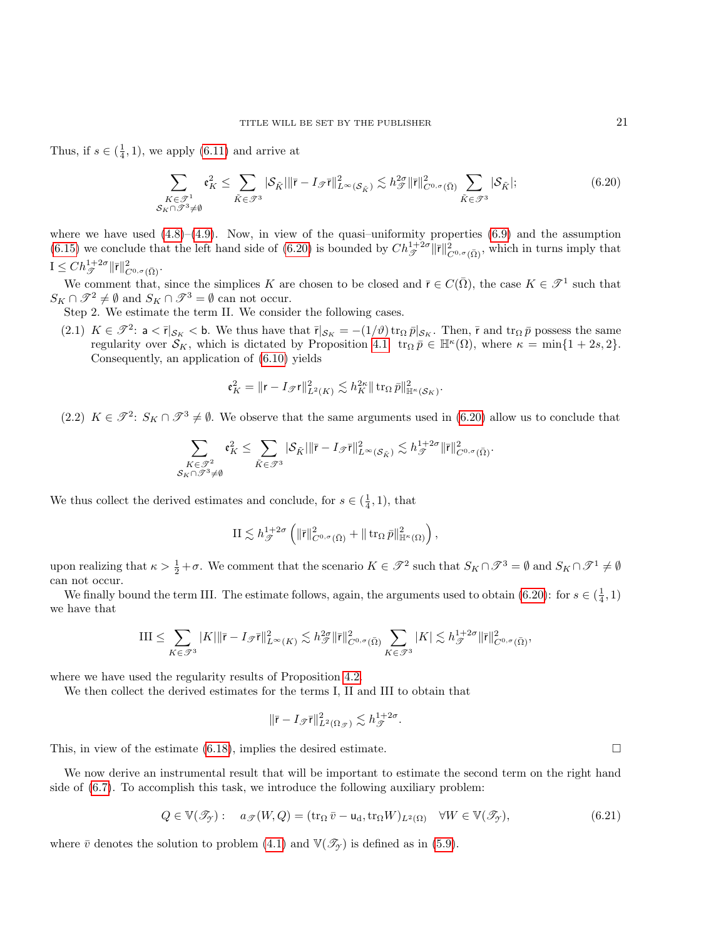Thus, if  $s \in (\frac{1}{4}, 1)$ , we apply [\(6.11\)](#page-18-5) and arrive at

<span id="page-20-0"></span>
$$
\sum_{\substack{K \in \mathcal{F}^1 \\ S_K \cap \mathcal{F}^3 \neq \emptyset}} \mathfrak{e}_K^2 \le \sum_{\tilde{K} \in \mathcal{F}^3} |\mathcal{S}_{\tilde{K}}| \|\bar{\mathbf{r}} - I_{\mathcal{F}}\bar{\mathbf{r}}\|_{L^{\infty}(\mathcal{S}_{\tilde{K}})}^2 \lesssim h_{\mathcal{F}}^{2\sigma} \|\bar{\mathbf{r}}\|_{C^{0,\sigma}(\bar{\Omega})}^2 \sum_{\tilde{K} \in \mathcal{F}^3} |\mathcal{S}_{\tilde{K}}|; \tag{6.20}
$$

where we have used  $(4.8)$ – $(4.9)$ . Now, in view of the quasi–uniformity properties  $(6.9)$  and the assumption [\(6.15\)](#page-19-1) we conclude that the left hand side of [\(6.20\)](#page-20-0) is bounded by  $Ch_{\mathscr{T}}^{1+2\sigma} \|\bar{r}\|_{C^{0,\sigma}(\bar{\Omega})}^2$ , which in turns imply that  $I\leq Ch_{\mathscr{T}}^{1+2\sigma}\|\bar{\mathsf{r}}\|_{C^{0,\sigma}(\bar{\Omega})}^2.$ 

We comment that, since the simplices K are chosen to be closed and  $\bar{r} \in C(\bar{\Omega})$ , the case  $K \in \mathcal{T}^1$  such that  $S_K \cap \mathcal{T}^2 \neq \emptyset$  and  $S_K \cap \mathcal{T}^3 = \emptyset$  can not occur.

Step 2. We estimate the term II. We consider the following cases.

(2.1)  $K \in \mathcal{T}^2$ : a  $\lt \bar{r}|_{\mathcal{S}_K}$   $lt$  b. We thus have that  $\bar{r}|_{\mathcal{S}_K} = -(1/\vartheta) \operatorname{tr}_\Omega \bar{p}|_{\mathcal{S}_K}$ . Then,  $\bar{r}$  and  $\operatorname{tr}_\Omega \bar{p}$  possess the same regularity over  $\mathcal{S}_K$ , which is dictated by Proposition [4.1:](#page-9-1)  $\operatorname{tr}_{\Omega} \overline{p} \in \mathbb{H}^{\kappa}(\Omega)$ , where  $\kappa = \min\{1 + 2s, 2\}$ . Consequently, an application of [\(6.10\)](#page-18-2) yields

$$
{\mathfrak e}_K^2=\|{\mathbf r}-I_{\mathscr{T}}{\mathbf r}\|_{L^2(K)}^2\lesssim h_K^{2\kappa}\|\mathop{\rm tr}\nolimits_{\Omega}\bar{p}\|_{{\mathbb H}^{\kappa}({\mathcal S}_K)}^2.
$$

(2.2)  $K \in \mathcal{F}^2$ :  $S_K \cap \mathcal{F}^3 \neq \emptyset$ . We observe that the same arguments used in [\(6.20\)](#page-20-0) allow us to conclude that

$$
\sum_{\substack{K\in \mathscr{F}^2\\ \mathcal{S}_K\cap \mathscr{F}^3\neq \emptyset}} \mathfrak{e}_K^2 \leq \sum_{\tilde{K}\in \mathscr{F}^3} |\mathcal{S}_{\tilde{K}}|\|\bar{\mathsf{r}}-I_{\mathscr{F}}\bar{\mathsf{r}}\|_{L^\infty(\mathcal{S}_{\tilde{K}})}^2 \lesssim h_{\mathscr{F}}^{1+2\sigma} \|\bar{\mathsf{r}}\|_{C^{0,\sigma}(\bar{\Omega})}^2.
$$

We thus collect the derived estimates and conclude, for  $s \in (\frac{1}{4}, 1)$ , that

$$
\mathrm{II} \lesssim h_{\mathscr{T}}^{1+2\sigma} \left( \|\bar{\mathbf{r}}\|_{C^{0,\sigma}(\bar{\Omega})}^2 + \|\operatorname{tr}_{\Omega} \bar{p}\|_{\mathbb{H}^{\kappa}(\Omega)}^2 \right),
$$

upon realizing that  $\kappa > \frac{1}{2} + \sigma$ . We comment that the scenario  $K \in \mathcal{J}^2$  such that  $S_K \cap \mathcal{J}^3 = \emptyset$  and  $S_K \cap \mathcal{J}^1 \neq \emptyset$ can not occur.

We finally bound the term III. The estimate follows, again, the arguments used to obtain [\(6.20\)](#page-20-0): for  $s \in (\frac{1}{4}, 1)$ we have that

$$
\text{III} \leq \sum_{K \in \mathscr{T}^3} |K| \|\bar{\mathbf{r}} - I_{\mathscr{T}} \bar{\mathbf{r}} \|_{L^{\infty}(K)}^2 \lesssim h_{\mathscr{T}}^{2\sigma} \|\bar{\mathbf{r}} \|_{C^{0,\sigma}(\bar{\Omega})}^2 \sum_{K \in \mathscr{T}^3} |K| \lesssim h_{\mathscr{T}}^{1+2\sigma} \|\bar{\mathbf{r}} \|_{C^{0,\sigma}(\bar{\Omega})}^2,
$$

where we have used the regularity results of Proposition [4.2.](#page-10-1)

We then collect the derived estimates for the terms I, II and III to obtain that

$$
\|\bar{\mathbf{r}}-I_{\mathscr{T}}\bar{\mathbf{r}}\|_{L^2(\Omega_{\mathscr{T}})}^2\lesssim h_{\mathscr{T}}^{1+2\sigma}.
$$

This, in view of the estimate  $(6.18)$ , implies the desired estimate.

We now derive an instrumental result that will be important to estimate the second term on the right hand side of [\(6.7\)](#page-17-2). To accomplish this task, we introduce the following auxiliary problem:

$$
Q \in \mathbb{V}(\mathcal{I}_{\mathcal{I}}): \quad a_{\mathcal{I}}(W,Q) = (\text{tr}_{\Omega} \,\overline{v} - \mathsf{u}_{\mathrm{d}}, \text{tr}_{\Omega} W)_{L^{2}(\Omega)} \quad \forall W \in \mathbb{V}(\mathcal{I}_{\mathcal{I}}), \tag{6.21}
$$

where  $\bar{v}$  denotes the solution to problem [\(4.1\)](#page-8-1) and  $\mathbb{V}(\mathscr{T}_{\gamma})$  is defined as in [\(5.9\)](#page-12-5).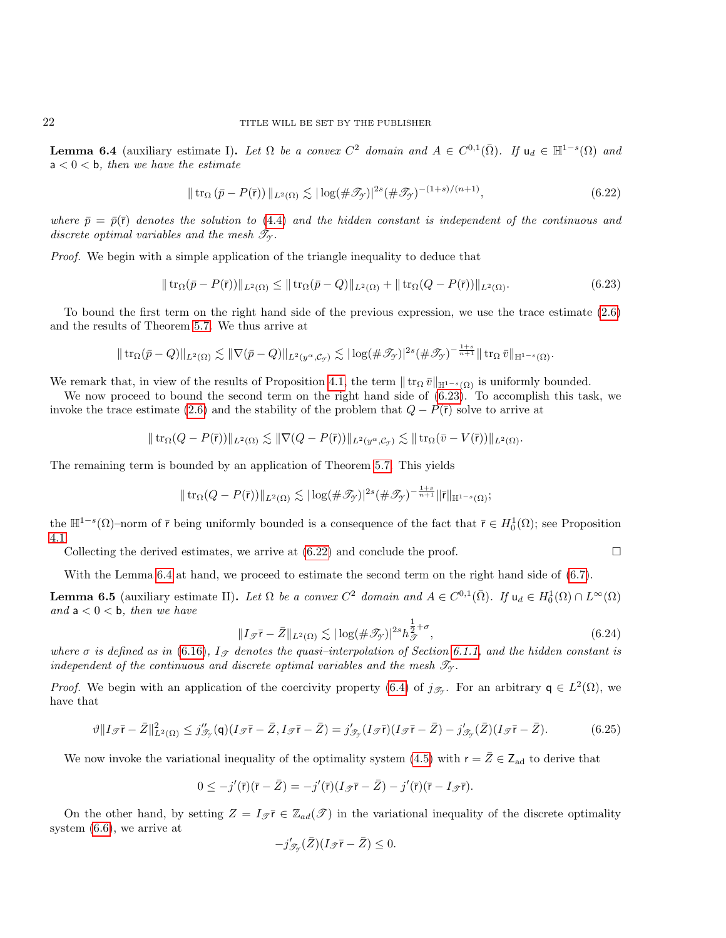<span id="page-21-2"></span>**Lemma 6.4** (auxiliary estimate I). Let  $\Omega$  be a convex  $C^2$  domain and  $A \in C^{0,1}(\overline{\Omega})$ . If  $u_d \in \mathbb{H}^{1-s}(\Omega)$  and  $a < 0 < b$ , then we have the estimate

<span id="page-21-1"></span>
$$
\|\operatorname{tr}_{\Omega}\left(\bar{p} - P(\bar{r})\right)\|_{L^{2}(\Omega)} \lesssim |\log(\#\mathcal{T}_{\mathcal{Y}})|^{2s} (\#\mathcal{T}_{\mathcal{Y}})^{-(1+s)/(n+1)},\tag{6.22}
$$

where  $\bar{p} = \bar{p}(\bar{r})$  denotes the solution to [\(4.4\)](#page-8-2) and the hidden constant is independent of the continuous and discrete optimal variables and the mesh  $\mathcal{T}_{\gamma}$ .

Proof. We begin with a simple application of the triangle inequality to deduce that

<span id="page-21-0"></span>
$$
\|\operatorname{tr}_{\Omega}(\bar{p}-P(\bar{r}))\|_{L^{2}(\Omega)} \leq \|\operatorname{tr}_{\Omega}(\bar{p}-Q)\|_{L^{2}(\Omega)} + \|\operatorname{tr}_{\Omega}(Q-P(\bar{r}))\|_{L^{2}(\Omega)}.
$$
\n(6.23)

To bound the first term on the right hand side of the previous expression, we use the trace estimate [\(2.6\)](#page-4-1) and the results of Theorem [5.7.](#page-15-3) We thus arrive at

$$
\|\operatorname{tr}_\Omega(\bar p-Q)\|_{L^2(\Omega)}\lesssim \|\nabla(\bar p-Q)\|_{L^2(y^\alpha,\mathcal{C}_\mathcal{Y})}\lesssim |\log(\#\mathscr{T}_\mathcal{Y})|^{2s}(\#\mathscr{T}_\mathcal{Y})^{-\frac{1+s}{n+1}}\|\operatorname{tr}_\Omega \bar v\|_{\mathbb{H}^{1-s}(\Omega)}.
$$

We remark that, in view of the results of Proposition [4.1,](#page-9-1) the term  $\|\operatorname{tr}_{\Omega} \overline{v}\|_{\mathbb{H}^{1-s}(\Omega)}$  is uniformly bounded.

We now proceed to bound the second term on the right hand side of [\(6.23\)](#page-21-0). To accomplish this task, we invoke the trace estimate [\(2.6\)](#page-4-1) and the stability of the problem that  $Q - P(\bar{r})$  solve to arrive at

$$
\|\operatorname{tr}_\Omega(Q-P(\overline{r}))\|_{L^2(\Omega)} \lesssim \|\nabla (Q-P(\overline{r}))\|_{L^2(y^\alpha, \mathcal{C}_{\mathcal{I}})} \lesssim \|\operatorname{tr}_\Omega(\overline{v}-V(\overline{r}))\|_{L^2(\Omega)}.
$$

The remaining term is bounded by an application of Theorem [5.7.](#page-15-3) This yields

$$
\|\operatorname{tr}_{\Omega}(Q-P(\bar{r}))\|_{L^{2}(\Omega)} \lesssim |\log(\#\mathscr{T}_{\mathscr{T}})|^{2s}(\#\mathscr{T}_{\mathscr{T}})^{-\frac{1+s}{n+1}}\|\bar{r}\|_{\mathbb{H}^{1-s}(\Omega)};
$$

the  $\mathbb{H}^{1-s}(\Omega)$ -norm of  $\bar{r}$  being uniformly bounded is a consequence of the fact that  $\bar{r} \in H_0^1(\Omega)$ ; see Proposition [4.1.](#page-9-1)

Collecting the derived estimates, we arrive at  $(6.22)$  and conclude the proof.

With the Lemma [6.4](#page-21-2) at hand, we proceed to estimate the second term on the right hand side of  $(6.7)$ .

**Lemma 6.5** (auxiliary estimate II). Let  $\Omega$  be a convex  $C^2$  domain and  $A \in C^{0,1}(\overline{\Omega})$ . If  $u_d \in H_0^1(\Omega) \cap L^{\infty}(\Omega)$ and  $a < 0 < b$ , then we have

<span id="page-21-4"></span>
$$
||I_{\mathcal{F}}\overline{\mathbf{r}} - \overline{Z}||_{L^{2}(\Omega)} \lesssim | \log(\#\mathcal{F}_{\mathcal{F}})|^{2s} h_{\mathcal{F}}^{\frac{1}{2}+\sigma}, \qquad (6.24)
$$

where  $\sigma$  is defined as in [\(6.16\)](#page-19-0),  $I_{\mathscr{T}}$  denotes the quasi-interpolation of Section [6.1.1,](#page-18-1) and the hidden constant is independent of the continuous and discrete optimal variables and the mesh  $\mathscr{T}_{\gamma}$ .

*Proof.* We begin with an application of the coercivity property [\(6.4\)](#page-17-3) of  $j_{\mathscr{T}_{\mathscr{T}}}$ . For an arbitrary  $\mathsf{q} \in L^2(\Omega)$ , we have that

<span id="page-21-3"></span>
$$
\vartheta \|I_{\mathcal{F}}\overline{\mathbf{r}} - \overline{Z}\|_{L^2(\Omega)}^2 \le j_{\mathcal{F}}''(\mathbf{q}) (I_{\mathcal{F}}\overline{\mathbf{r}} - \overline{Z}, I_{\mathcal{F}}\overline{\mathbf{r}} - \overline{Z}) = j_{\mathcal{F}}'(I_{\mathcal{F}}\overline{\mathbf{r}}) (I_{\mathcal{F}}\overline{\mathbf{r}} - \overline{Z}) - j_{\mathcal{F}}'(\overline{Z}) (I_{\mathcal{F}}\overline{\mathbf{r}} - \overline{Z}). \tag{6.25}
$$

We now invoke the variational inequality of the optimality system [\(4.5\)](#page-9-3) with  $r = \bar{Z} \in Z_{ad}$  to derive that

$$
0 \leq -j'(\bar{r})(\bar{r}-\bar{Z}) = -j'(\bar{r})(I_{\mathscr{T}}\bar{r}-\bar{Z}) - j'(\bar{r})(\bar{r}-I_{\mathscr{T}}\bar{r}).
$$

On the other hand, by setting  $Z = I_{\mathcal{T}} \overline{r} \in \mathbb{Z}_{ad}(\mathcal{T})$  in the variational inequality of the discrete optimality system [\(6.6\)](#page-17-4), we arrive at

$$
-j_{\mathscr T_{\mathscr T}}'(\bar{Z})(I_{\mathscr T}\bar{\mathsf{r}}-\bar{Z})\leq 0.
$$

$$
\mathcal{L}_{\mathcal{L}}
$$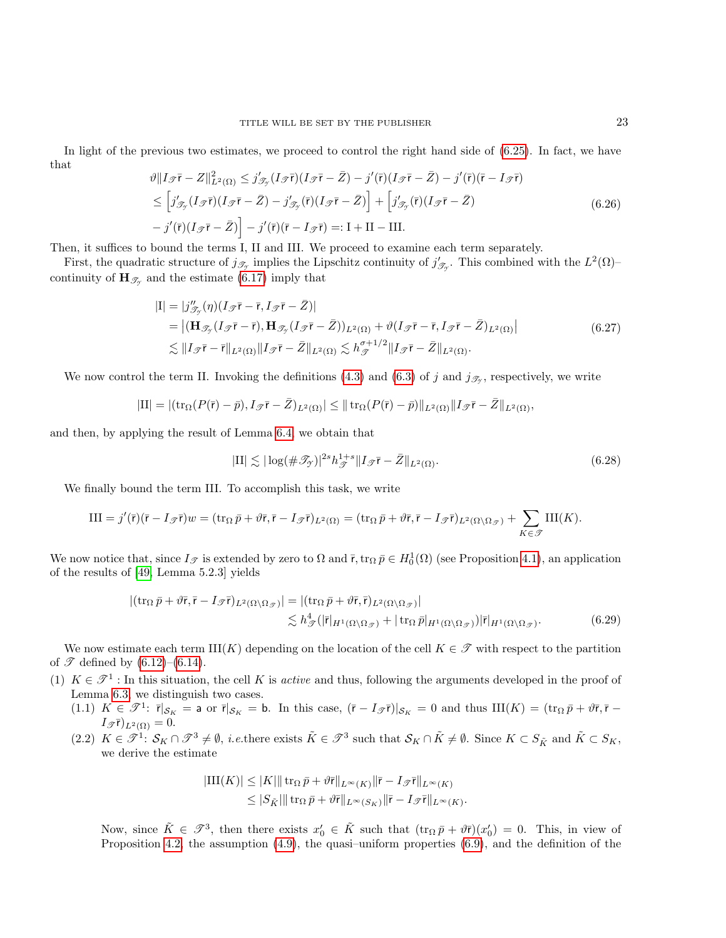In light of the previous two estimates, we proceed to control the right hand side of  $(6.25)$ . In fact, we have that

<span id="page-22-3"></span>
$$
\vartheta \|I_{\mathcal{F}}\overline{\mathbf{r}} - Z\|_{L^2(\Omega)}^2 \leq j'_{\mathcal{F}_{\mathcal{F}}} (I_{\mathcal{F}}\overline{\mathbf{r}}) (I_{\mathcal{F}}\overline{\mathbf{r}} - \overline{Z}) - j'(\overline{\mathbf{r}}) (I_{\mathcal{F}}\overline{\mathbf{r}} - \overline{Z}) - j'(\overline{\mathbf{r}}) (\overline{\mathbf{r}} - I_{\mathcal{F}}\overline{\mathbf{r}})
$$
  
\n
$$
\leq [j'_{\mathcal{F}_{\mathcal{F}}} (I_{\mathcal{F}}\overline{\mathbf{r}}) (I_{\mathcal{F}}\overline{\mathbf{r}} - \overline{Z}) - j'_{\mathcal{F}_{\mathcal{F}}} (\overline{\mathbf{r}}) (I_{\mathcal{F}}\overline{\mathbf{r}} - \overline{Z})] + [j'_{\mathcal{F}_{\mathcal{F}}} (\overline{\mathbf{r}}) (I_{\mathcal{F}}\overline{\mathbf{r}} - \overline{Z})
$$
  
\n
$$
- j'(\overline{\mathbf{r}}) (I_{\mathcal{F}}\overline{\mathbf{r}} - \overline{Z})] - j'(\overline{\mathbf{r}}) (\overline{\mathbf{r}} - I_{\mathcal{F}}\overline{\mathbf{r}}) =: \mathbf{I} + \mathbf{II} - \mathbf{III}.
$$
 (6.26)

Then, it suffices to bound the terms I, II and III. We proceed to examine each term separately.

First, the quadratic structure of  $j_{\mathscr{T}_{\mathcal{T}}}$  implies the Lipschitz continuity of  $j'_{\mathscr{T}_{\mathcal{T}}}$ . This combined with the  $L^2(\Omega)$ continuity of  $\mathbf{H}_{\mathscr{T}_{\gamma}}$  and the estimate [\(6.17\)](#page-19-3) imply that

<span id="page-22-1"></span>
$$
|I| = |j''_{\mathcal{F}_{\mathcal{F}}}(\eta)(I_{\mathcal{F}}\overline{\mathbf{r}} - \overline{\mathbf{r}}, I_{\mathcal{F}}\overline{\mathbf{r}} - \overline{Z})|
$$
  
\n
$$
= |(\mathbf{H}_{\mathcal{F}_{\mathcal{F}}} (I_{\mathcal{F}}\overline{\mathbf{r}} - \overline{\mathbf{r}}), \mathbf{H}_{\mathcal{F}_{\mathcal{F}}} (I_{\mathcal{F}}\overline{\mathbf{r}} - \overline{Z})|_{L^{2}(\Omega)} + \vartheta(I_{\mathcal{F}}\overline{\mathbf{r}} - \overline{\mathbf{r}}, I_{\mathcal{F}}\overline{\mathbf{r}} - \overline{Z})_{L^{2}(\Omega)}|
$$
  
\n
$$
\lesssim ||I_{\mathcal{F}}\overline{\mathbf{r}} - \overline{\mathbf{r}}||_{L^{2}(\Omega)} ||I_{\mathcal{F}}\overline{\mathbf{r}} - \overline{Z}||_{L^{2}(\Omega)} \lesssim h_{\mathcal{F}}^{\sigma+1/2} ||I_{\mathcal{F}}\overline{\mathbf{r}} - \overline{Z}||_{L^{2}(\Omega)}.
$$
\n(6.27)

We now control the term II. Invoking the definitions  $(4.3)$  and  $(6.3)$  of j and  $j_{\mathscr{T}_{\mathcal{Y}}}$ , respectively, we write

$$
|\mathrm{II}|=|(\mathrm{tr}_\Omega(P(\bar{\mathbf{r}})-\bar{p}),I_{\mathscr{T}}\bar{\mathbf{r}}-\bar{Z})_{L^2(\Omega)}|\leq \|\operatorname{tr}_\Omega(P(\bar{\mathbf{r}})-\bar{p})\|_{L^2(\Omega)}\|I_{\mathscr{T}}\bar{\mathbf{r}}-\bar{Z}\|_{L^2(\Omega)},
$$

and then, by applying the result of Lemma [6.4,](#page-21-2) we obtain that

<span id="page-22-2"></span><span id="page-22-0"></span>
$$
|\text{II}| \lesssim |\log(\#\mathcal{T}_{\mathcal{T}})|^{2s} h_{\mathcal{T}}^{1+s} \| I_{\mathcal{T}} \bar{\mathbf{r}} - \bar{Z} \|_{L^2(\Omega)}.
$$
\n
$$
(6.28)
$$

We finally bound the term III. To accomplish this task, we write

$$
\text{III} = j'(\bar{\mathsf{r}})(\bar{\mathsf{r}} - I_{\mathscr{T}}\bar{\mathsf{r}})w = (\text{tr}_{\Omega}\bar{p} + \vartheta\bar{\mathsf{r}}, \bar{\mathsf{r}} - I_{\mathscr{T}}\bar{\mathsf{r}})_{L^2(\Omega)} = (\text{tr}_{\Omega}\bar{p} + \vartheta\bar{\mathsf{r}}, \bar{\mathsf{r}} - I_{\mathscr{T}}\bar{\mathsf{r}})_{L^2(\Omega\setminus\Omega_{\mathscr{T}})} + \sum_{K\in\mathscr{T}}\text{III}(K).
$$

We now notice that, since  $I_{\mathscr{T}}$  is extended by zero to  $\Omega$  and  $\bar{r}$ ,  $\operatorname{tr}_{\Omega} \bar{p} \in H_0^1(\Omega)$  (see Proposition [4.1\)](#page-9-1), an application of the results of [\[49,](#page-28-13) Lemma 5.2.3] yields

$$
|(\operatorname{tr}_{\Omega} \bar{p} + \vartheta \bar{r}, \bar{r} - I_{\mathscr{T}} \bar{r})_{L^{2}(\Omega \setminus \Omega_{\mathscr{T}})}| = |(\operatorname{tr}_{\Omega} \bar{p} + \vartheta \bar{r}, \bar{r})_{L^{2}(\Omega \setminus \Omega_{\mathscr{T}})}|
$$
  
\$\lesssim h^{4}\_{\mathscr{T}}(|\bar{r}|\_{H^{1}(\Omega \setminus \Omega\_{\mathscr{T}})} + |\operatorname{tr}\_{\Omega} \bar{p}|\_{H^{1}(\Omega \setminus \Omega\_{\mathscr{T}})}||\bar{r}|\_{H^{1}(\Omega \setminus \Omega\_{\mathscr{T}})}.(6.29)

We now estimate each term  $\text{III}(K)$  depending on the location of the cell  $K \in \mathcal{F}$  with respect to the partition of  $\mathscr{T}$  defined by  $(6.12)$ – $(6.14)$ .

- (1)  $K \in \mathcal{T}^1$ : In this situation, the cell K is *active* and thus, following the arguments developed in the proof of Lemma [6.3,](#page-19-3) we distinguish two cases.
	- (1.1)  $K \in \mathcal{T}^1$ :  $\bar{r}|_{\mathcal{S}_K} = a$  or  $\bar{r}|_{\mathcal{S}_K} = b$ . In this case,  $(\bar{r} I_{\mathcal{T}}\bar{r})|_{\mathcal{S}_K} = 0$  and thus  $III(K) = (\text{tr}_{\Omega} \bar{p} + \vartheta \bar{r}, \bar{r} I_{\mathcal{T}}\bar{r})$  $I_{\mathscr{T}}\bar{\mathsf{r}})_{L^2(\Omega)}=0.$
	- (2.2)  $K \in \mathcal{T}^1$ :  $\mathcal{S}_K \cap \mathcal{T}^3 \neq \emptyset$ , *i.e.*there exists  $\tilde{K} \in \mathcal{T}^3$  such that  $\mathcal{S}_K \cap \tilde{K} \neq \emptyset$ . Since  $K \subset S_{\tilde{K}}$  and  $\tilde{K} \subset S_K$ , we derive the estimate

$$
|\mathrm{III}(K)| \leq |K| \|\operatorname{tr}_{\Omega} \bar{p} + \vartheta \bar{r} \|_{L^{\infty}(K)} \|\bar{r} - I_{\mathcal{T}} \bar{r} \|_{L^{\infty}(K)}
$$
  

$$
\leq |S_{\tilde{K}}| \|\operatorname{tr}_{\Omega} \bar{p} + \vartheta \bar{r} \|_{L^{\infty}(S_K)} \|\bar{r} - I_{\mathcal{T}} \bar{r} \|_{L^{\infty}(K)}.
$$

Now, since  $\tilde{K} \in \mathcal{I}^3$ , then there exists  $x'_0 \in \tilde{K}$  such that  $(\text{tr}_{\Omega} \bar{p} + \vartheta \bar{r})(x'_0) = 0$ . This, in view of Proposition [4.2,](#page-10-1) the assumption  $(4.9)$ , the quasi-uniform properties  $(6.9)$ , and the definition of the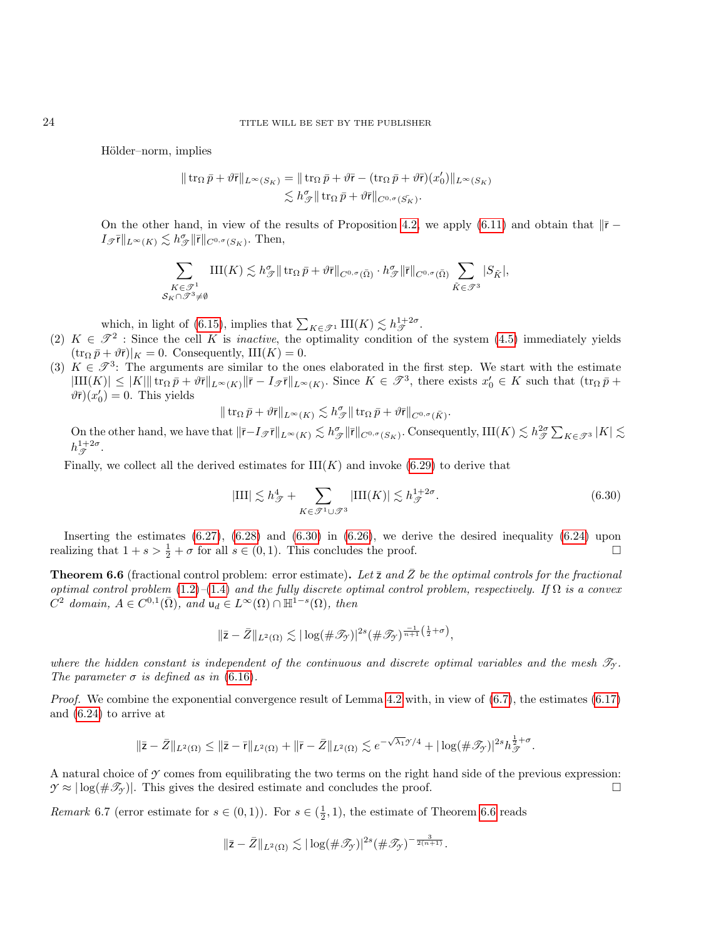Hölder–norm, implies

$$
\begin{aligned} \|\operatorname{tr}_\Omega \bar p + \vartheta \bar {\mathrm{r}}\|_{L^\infty(S_K)} &= \|\operatorname{tr}_\Omega \bar p + \vartheta \bar {\mathrm{r}} - (\operatorname{tr}_\Omega \bar p + \vartheta \bar {\mathrm{r}})(x_0')\|_{L^\infty(S_K)} \\ &\lesssim h_\mathscr{T}^\sigma \|\operatorname{tr}_\Omega \bar p + \vartheta \bar {\mathrm{r}}\|_{C^{0,\sigma}(\bar{S_K})}. \end{aligned}
$$

On the other hand, in view of the results of Proposition [4.2,](#page-10-1) we apply [\(6.11\)](#page-18-5) and obtain that  $\|\bar{r} I_{\mathscr{T}}\overline{\mathsf{r}}\|_{L^{\infty}(K)} \lesssim h_{\mathscr{T}}^{\sigma}\|\overline{\mathsf{r}}\|_{C^{0,\sigma}(S_K)}.$  Then,

$$
\sum_{\substack{K \in \mathcal{F}^1 \\ S_K \cap \mathcal{F}^3 \neq \emptyset}} \text{III}(K) \lesssim h_{\mathcal{F}}^{\sigma} \| \operatorname{tr}_{\Omega} \bar{p} + \vartheta \bar{\mathsf{r}} \|_{C^{0,\sigma}(\bar{\Omega})} \cdot h_{\mathcal{F}}^{\sigma} \| \bar{\mathsf{r}} \|_{C^{0,\sigma}(\bar{\Omega})} \sum_{\tilde{K} \in \mathcal{F}^3} |S_{\tilde{K}}|,
$$

which, in light of [\(6.15\)](#page-19-1), implies that  $\sum_{K \in \mathcal{J}^1} \text{III}(K) \lesssim h_{\mathcal{J}}^{1+2\sigma}$ .

- (2)  $K \in \mathcal{T}^2$ : Since the cell K is *inactive*, the optimality condition of the system [\(4.5\)](#page-9-3) immediately yields  $(\text{tr}_{\Omega} \bar{p} + \vartheta \bar{r})|_{K} = 0$ . Consequently, III $(K) = 0$ .
- (3)  $K \in \mathcal{I}^3$ : The arguments are similar to the ones elaborated in the first step. We start with the estimate  $|\text{III}(K)| \leq |K| \|\text{tr}_{\Omega} \bar{p} + \vartheta \bar{r} \|_{L^{\infty}(K)} \|\bar{r} - I_{\mathcal{F}} \bar{r} \|_{L^{\infty}(K)}$ . Since  $K \in \mathcal{F}^3$ , there exists  $x_0 \in K$  such that  $(\text{tr}_{\Omega} \bar{p} + I_{\mathcal{F}})$  $\vartheta \bar{\mathsf{r}}(x_0') = 0$ . This yields

$$
\|\operatorname{tr}_\Omega \bar p + \vartheta \bar {\mathbf r}\|_{L^\infty(K)} \lesssim h^\sigma _\mathscr{T} \|\operatorname{tr}_\Omega \bar p + \vartheta \bar {\mathbf r}\|_{C^{0,\sigma}(\bar K)}.
$$

On the other hand, we have that  $\|\bar{r}-I_{\mathscr{T}}\bar{r}\|_{L^{\infty}(K)} \lesssim h_{\mathscr{T}}^{\sigma}\|\bar{r}\|_{C^{0,\sigma}(S_K)}$ . Consequently,  $\text{III}(K) \lesssim h_{\mathscr{T}}^{2\sigma}\sum_{K\in\mathscr{T}^3}|K| \lesssim h_{\mathscr{T}}^{\sigma}$  $h_{\mathscr{T}}^{1+2\sigma}$ .

Finally, we collect all the derived estimates for  $III(K)$  and invoke [\(6.29\)](#page-22-0) to derive that

<span id="page-23-0"></span>
$$
|III| \lesssim h_{\mathcal{F}}^4 + \sum_{K \in \mathcal{F}^1 \cup \mathcal{F}^3} |III(K)| \lesssim h_{\mathcal{F}}^{1+2\sigma}.
$$
 (6.30)

Inserting the estimates  $(6.27)$ ,  $(6.28)$  and  $(6.30)$  in  $(6.26)$ , we derive the desired inequality  $(6.24)$  upon realizing that  $1 + s > \frac{1}{2} + \sigma$  for all  $s \in (0, 1)$ . This concludes the proof.

<span id="page-23-1"></span>**Theorem 6.6** (fractional control problem: error estimate). Let  $\overline{z}$  and  $\overline{z}$  be the optimal controls for the fractional optimal control problem  $(1.2)$ – $(1.4)$  and the fully discrete optimal control problem, respectively. If  $\Omega$  is a convex  $\overline{C}^2$  domain,  $A \in C^{0,1}(\overline{\Omega})$ , and  $\mathsf{u}_d \in L^\infty(\Omega) \cap \mathbb{H}^{\mathbb{1}-s}(\Omega)$ , then

$$
\|\bar{\mathsf{z}}-\bar{Z}\|_{L^2(\Omega)} \lesssim |\log(\#\mathscr{T}_{\mathscr{Y}})|^{2s} (\#\mathscr{T}_{\mathscr{Y}})^{\frac{-1}{n+1}\left(\frac{1}{2}+\sigma\right)},
$$

where the hidden constant is independent of the continuous and discrete optimal variables and the mesh  $\mathcal{T}_{\gamma}$ . The parameter  $\sigma$  is defined as in [\(6.16\)](#page-19-0).

Proof. We combine the exponential convergence result of Lemma [4.2](#page-9-2) with, in view of  $(6.7)$ , the estimates  $(6.17)$ and [\(6.24\)](#page-21-4) to arrive at

$$
\|\bar{\mathbf{z}}-\bar{Z}\|_{L^2(\Omega)}\leq\|\bar{\mathbf{z}}-\bar{\mathbf{r}}\|_{L^2(\Omega)}+\|\bar{\mathbf{r}}-\bar{Z}\|_{L^2(\Omega)}\lesssim e^{-\sqrt{\lambda_1}\mathcal{Y}/4}+|\log(\#\mathscr{T}_{\mathcal{Y}})|^{2s}h_{\mathscr{T}}^{\frac{1}{2}+\sigma}.
$$

A natural choice of  $\gamma$  comes from equilibrating the two terms on the right hand side of the previous expression:  $\mathcal{Y} \approx |\log(\mathcal{H} \mathcal{I}_{\mathcal{Y}})|$ . This gives the desired estimate and concludes the proof.

*Remark* 6.7 (error estimate for  $s \in (0,1)$ ). For  $s \in (\frac{1}{2},1)$ , the estimate of Theorem [6.6](#page-23-1) reads

$$
\|\bar{\mathsf{z}}-\bar{Z}\|_{L^2(\Omega)} \lesssim |\log(\#\mathscr{T}_{\mathcal{Y}})|^{2s} (\#\mathscr{T}_{\mathcal{Y}})^{-\frac{3}{2(n+1)}}.
$$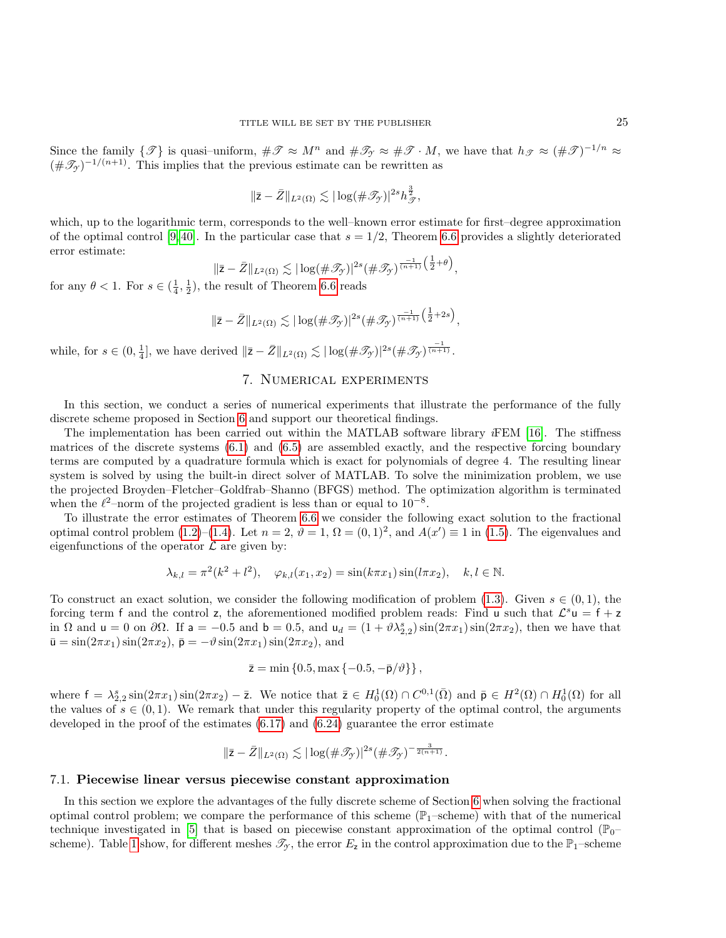Since the family  $\{\mathcal{T}\}\$ is quasi–uniform,  $\#\mathcal{T} \approx M^n$  and  $\#\mathcal{T}_{\mathcal{T}} \approx \#\mathcal{T} \cdot M$ , we have that  $h_{\mathcal{T}} \approx (\#\mathcal{T})^{-1/n} \approx$  $(\#\mathscr{T}_{\gamma})^{-1/(n+1)}$ . This implies that the previous estimate can be rewritten as

$$
\|\bar{\mathsf{z}}-\bar{Z}\|_{L^2(\Omega)} \lesssim |\log(\#\mathscr{T}_{\mathcal{Y}})|^{2s} h_{\mathscr{T}}^{\frac{3}{2}},
$$

which, up to the logarithmic term, corresponds to the well–known error estimate for first–degree approximation of the optimal control [\[9,](#page-26-4) [40\]](#page-28-7). In the particular case that  $s = 1/2$ , Theorem [6.6](#page-23-1) provides a slightly deteriorated error estimate:

$$
\|\bar{\mathsf{z}}-\bar{Z}\|_{L^2(\Omega)} \lesssim |\log(\#\mathscr{T}_{\mathscr{T}})|^{2s} (\#\mathscr{T}_{\mathscr{T}})^{\frac{-1}{(n+1)}}^{\frac{-1}{2}+\theta}\big),
$$

for any  $\theta < 1$ . For  $s \in (\frac{1}{4}, \frac{1}{2})$ , the result of Theorem [6.6](#page-23-1) reads

$$
\|\bar{\mathsf{z}}-\bar{Z}\|_{L^2(\Omega)} \lesssim |\log(\#\mathscr{T}_{\mathscr{T}})|^{2s} (\#\mathscr{T}_{\mathscr{T}})^{\frac{-1}{(n+1)}}\left(\frac{1}{2}+2s\right),
$$

while, for  $s \in (0, \frac{1}{4}]$ , we have derived  $\|\bar{z} - \bar{Z}\|_{L^2(\Omega)} \lesssim |\log(\#\mathscr{T}_{\gamma})|^{2s} (\#\mathscr{T}_{\gamma})^{\frac{-1}{(n+1)}}$ .

# 7. Numerical experiments

<span id="page-24-0"></span>In this section, we conduct a series of numerical experiments that illustrate the performance of the fully discrete scheme proposed in Section [6](#page-16-0) and support our theoretical findings.

The implementation has been carried out within the MATLAB software library iFEM [\[16\]](#page-27-28). The stiffness matrices of the discrete systems [\(6.1\)](#page-16-2) and [\(6.5\)](#page-17-1) are assembled exactly, and the respective forcing boundary terms are computed by a quadrature formula which is exact for polynomials of degree 4. The resulting linear system is solved by using the built-in direct solver of MATLAB. To solve the minimization problem, we use the projected Broyden–Fletcher–Goldfrab–Shanno (BFGS) method. The optimization algorithm is terminated when the  $\ell^2$ –norm of the projected gradient is less than or equal to  $10^{-8}$ .

To illustrate the error estimates of Theorem [6.6](#page-23-1) we consider the following exact solution to the fractional optimal control problem [\(1.2\)](#page-0-0)–[\(1.4\)](#page-1-0). Let  $n = 2$ ,  $\vartheta = 1$ ,  $\Omega = (0,1)^2$ , and  $A(x') \equiv 1$  in [\(1.5\)](#page-1-3). The eigenvalues and eigenfunctions of the operator  $\mathcal L$  are given by:

$$
\lambda_{k,l} = \pi^2(k^2 + l^2), \quad \varphi_{k,l}(x_1, x_2) = \sin(k\pi x_1)\sin(l\pi x_2), \quad k, l \in \mathbb{N}.
$$

To construct an exact solution, we consider the following modification of problem [\(1.3\)](#page-1-4). Given  $s \in (0,1)$ , the forcing term f and the control z, the aforementioned modified problem reads: Find u such that  $\mathcal{L}^s u = f + z$ in  $\Omega$  and  $u = 0$  on  $\partial\Omega$ . If  $a = -0.5$  and  $b = 0.5$ , and  $u_d = (1 + \vartheta \lambda_{2,2}^s) \sin(2\pi x_1) \sin(2\pi x_2)$ , then we have that  $\bar{\mathbf{u}} = \sin(2\pi x_1)\sin(2\pi x_2), \ \bar{\mathbf{p}} = -\vartheta\sin(2\pi x_1)\sin(2\pi x_2), \text{ and}$ 

$$
\bar{z} = \min\left\{0.5, \max\left\{-0.5, -\bar{p}/\vartheta\right\}\right\},\
$$

where  $f = \lambda_{2,2}^s \sin(2\pi x_1) \sin(2\pi x_2) - \bar{z}$ . We notice that  $\bar{z} \in H_0^1(\Omega) \cap C^{0,1}(\bar{\Omega})$  and  $\bar{p} \in H^2(\Omega) \cap H_0^1(\Omega)$  for all the values of  $s \in (0, 1)$ . We remark that under this regularity property of the optimal control, the arguments developed in the proof of the estimates [\(6.17\)](#page-19-3) and [\(6.24\)](#page-21-4) guarantee the error estimate

$$
\|\bar{\mathsf{z}}-\bar{Z}\|_{L^2(\Omega)} \lesssim |\log(\#\mathscr{T}_{\gamma})|^{2s} (\#\mathscr{T}_{\gamma})^{-\frac{3}{2(n+1)}}.
$$

## 7.1. Piecewise linear versus piecewise constant approximation

In this section we explore the advantages of the fully discrete scheme of Section [6](#page-16-0) when solving the fractional optimal control problem; we compare the performance of this scheme ( $\mathbb{P}_1$ –scheme) with that of the numerical technique investigated in [\[5\]](#page-26-0) that is based on piecewise constant approximation of the optimal control ( $\mathbb{P}_{0}$ – scheme). Table [1](#page-25-4) show, for different meshes  $\mathscr{T}_{\gamma}$ , the error  $E_z$  in the control approximation due to the  $\mathbb{P}_1$ –scheme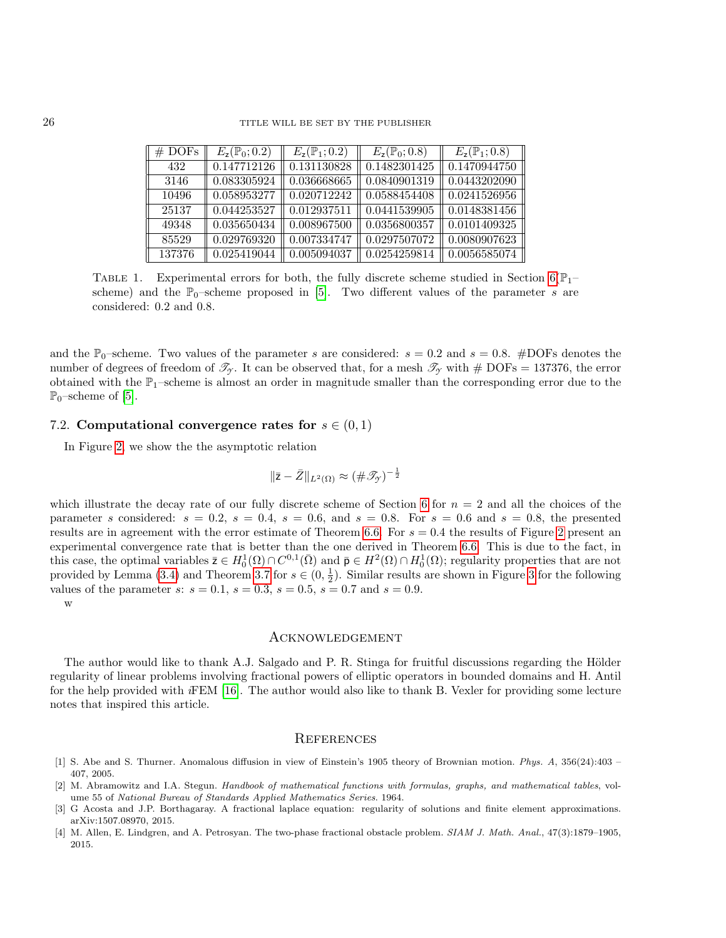| $#$ DOFs | $E_{\rm z}(\mathbb{P}_0;0.2)$ | $E_{\rm z}(\mathbb{P}_1;0.2)$ | $E_{\rm z}(\mathbb{P}_0;0.8)$ | $E_{\rm z}(\mathbb{P}_1;0.8)$ |
|----------|-------------------------------|-------------------------------|-------------------------------|-------------------------------|
| 432      | 0.147712126                   | 0.131130828                   | 0.1482301425                  | 0.1470944750                  |
| 3146     | 0.083305924                   | 0.036668665                   | 0.0840901319                  | 0.0443202090                  |
| 10496    | 0.058953277                   | 0.020712242                   | 0.0588454408                  | 0.0241526956                  |
| 25137    | 0.044253527                   | 0.012937511                   | 0.0441539905                  | 0.0148381456                  |
| 49348    | 0.035650434                   | 0.008967500                   | 0.0356800357                  | 0.0101409325                  |
| 85529    | 0.029769320                   | 0.007334747                   | 0.0297507072                  | 0.0080907623                  |
| 137376   | 0.025419044                   | 0.005094037                   | 0.0254259814                  | 0.0056585074                  |

<span id="page-25-4"></span>TABLE 1. Experimental errors for both, the fully discrete scheme studied in Section  $6(\mathbb{P}_{1}$ scheme) and the  $\mathbb{P}_0$ –scheme proposed in [\[5\]](#page-26-0). Two different values of the parameter s are considered: 0.2 and 0.8.

and the  $\mathbb{P}_0$ –scheme. Two values of the parameter s are considered:  $s = 0.2$  and  $s = 0.8$ . #DOFs denotes the number of degrees of freedom of  $\mathcal{T}_{\gamma}$ . It can be observed that, for a mesh  $\mathcal{T}_{\gamma}$  with # DOFs = 137376, the error obtained with the  $\mathbb{P}_1$ –scheme is almost an order in magnitude smaller than the corresponding error due to the  $\mathbb{P}_0$ –scheme of [\[5\]](#page-26-0).

## 7.2. Computational convergence rates for  $s \in (0,1)$

In Figure [2,](#page-26-5) we show the the asymptotic relation

$$
\|\bar{\mathbf{z}}-\bar{Z}\|_{L^2(\Omega)} \approx (\#\mathscr{T}_{\mathcal{Y}})^{-\frac{1}{2}}
$$

which illustrate the decay rate of our fully discrete scheme of Section [6](#page-16-0) for  $n = 2$  and all the choices of the parameter s considered:  $s = 0.2$ ,  $s = 0.4$ ,  $s = 0.6$ , and  $s = 0.8$ . For  $s = 0.6$  and  $s = 0.8$ , the presented results are in agreement with the error estimate of Theorem [6.6.](#page-23-1) For  $s = 0.4$  the results of Figure [2](#page-26-5) present an experimental convergence rate that is better than the one derived in Theorem [6.6.](#page-23-1) This is due to the fact, in this case, the optimal variables  $\bar{z} \in H_0^1(\Omega) \cap C^{0,1}(\bar{\Omega})$  and  $\bar{\mathsf{p}} \in H^2(\Omega) \cap H_0^1(\Omega)$ ; regularity properties that are not provided by Lemma [\(3.4\)](#page-6-3) and Theorem [3.7](#page-8-3) for  $s \in (0, \frac{1}{2})$ . Similar results are shown in Figure [3](#page-26-6) for the following values of the parameter s:  $s = 0.1$ ,  $s = 0.3$ ,  $s = 0.5$ ,  $s = 0.7$  and  $s = 0.9$ .

w

### Acknowledgement

The author would like to thank A.J. Salgado and P. R. Stinga for fruitful discussions regarding the Hölder regularity of linear problems involving fractional powers of elliptic operators in bounded domains and H. Antil for the help provided with iFEM [\[16\]](#page-27-28). The author would also like to thank B. Vexler for providing some lecture notes that inspired this article.

#### **REFERENCES**

- <span id="page-25-0"></span>[1] S. Abe and S. Thurner. Anomalous diffusion in view of Einstein's 1905 theory of Brownian motion. Phys. A, 356(24):403 – 407, 2005.
- <span id="page-25-2"></span>[2] M. Abramowitz and I.A. Stegun. Handbook of mathematical functions with formulas, graphs, and mathematical tables, volume 55 of National Bureau of Standards Applied Mathematics Series. 1964.
- <span id="page-25-1"></span>[3] G Acosta and J.P. Borthagaray. A fractional laplace equation: regularity of solutions and finite element approximations. arXiv:1507.08970, 2015.
- <span id="page-25-3"></span>[4] M. Allen, E. Lindgren, and A. Petrosyan. The two-phase fractional obstacle problem. SIAM J. Math. Anal., 47(3):1879–1905, 2015.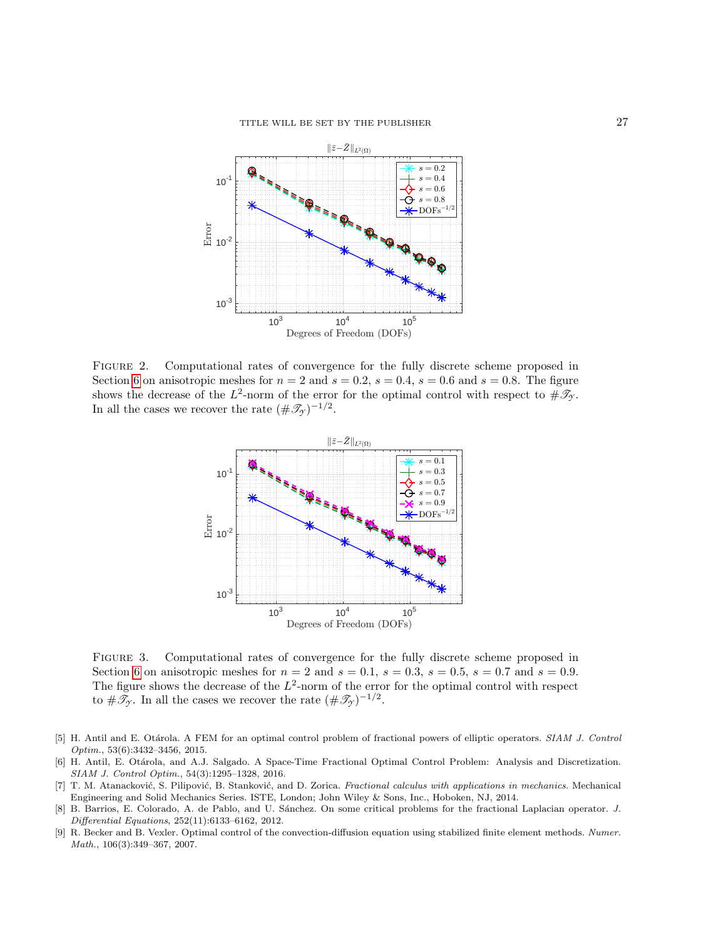

<span id="page-26-5"></span>Figure 2. Computational rates of convergence for the fully discrete scheme proposed in Section [6](#page-16-0) on anisotropic meshes for  $n = 2$  and  $s = 0.2$ ,  $s = 0.4$ ,  $s = 0.6$  and  $s = 0.8$ . The figure shows the decrease of the  $L^2$ -norm of the error for the optimal control with respect to  $\#\mathscr{T}_{\mathcal{Y}}$ . In all the cases we recover the rate  $(\#\mathscr{T}_{\mathcal{F}})^{-1/2}$ .



<span id="page-26-6"></span>Figure 3. Computational rates of convergence for the fully discrete scheme proposed in Section [6](#page-16-0) on anisotropic meshes for  $n = 2$  and  $s = 0.1$ ,  $s = 0.3$ ,  $s = 0.5$ ,  $s = 0.7$  and  $s = 0.9$ . The figure shows the decrease of the  $L^2$ -norm of the error for the optimal control with respect to  $\#\mathscr{T}_{\gamma}$ . In all the cases we recover the rate  $(\#\mathscr{T}_{\gamma})^{-1/2}$ .

- <span id="page-26-0"></span>[5] H. Antil and E. Otárola. A FEM for an optimal control problem of fractional powers of elliptic operators. SIAM J. Control Optim., 53(6):3432–3456, 2015.
- <span id="page-26-2"></span>[6] H. Antil, E. Otárola, and A.J. Salgado. A Space-Time Fractional Optimal Control Problem: Analysis and Discretization. SIAM J. Control Optim., 54(3):1295–1328, 2016.
- <span id="page-26-1"></span>[7] T. M. Atanacković, S. Pilipović, B. Stanković, and D. Zorica. Fractional calculus with applications in mechanics. Mechanical Engineering and Solid Mechanics Series. ISTE, London; John Wiley & Sons, Inc., Hoboken, NJ, 2014.
- <span id="page-26-3"></span>[8] B. Barrios, E. Colorado, A. de Pablo, and U. S´anchez. On some critical problems for the fractional Laplacian operator. J. Differential Equations, 252(11):6133–6162, 2012.
- <span id="page-26-4"></span>[9] R. Becker and B. Vexler. Optimal control of the convection-diffusion equation using stabilized finite element methods. Numer. Math., 106(3):349–367, 2007.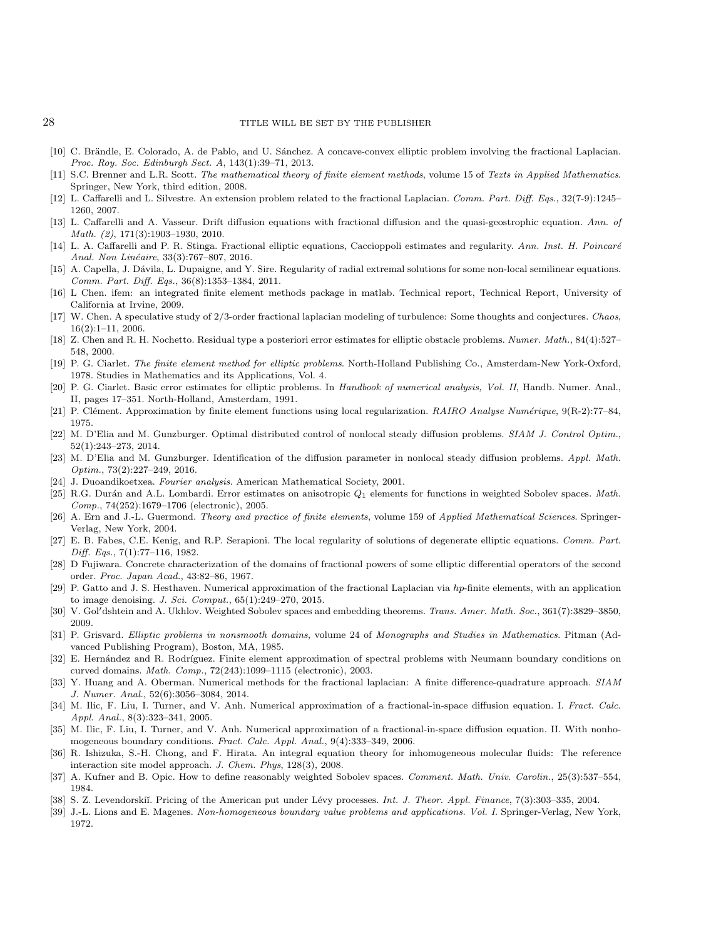#### 28 TITLE WILL BE SET BY THE PUBLISHER

- <span id="page-27-11"></span>[10] C. Brändle, E. Colorado, A. de Pablo, and U. Sánchez. A concave-convex elliptic problem involving the fractional Laplacian. Proc. Roy. Soc. Edinburgh Sect. A, 143(1):39–71, 2013.
- <span id="page-27-24"></span>[11] S.C. Brenner and L.R. Scott. The mathematical theory of finite element methods, volume 15 of Texts in Applied Mathematics. Springer, New York, third edition, 2008.
- <span id="page-27-0"></span>[12] L. Caffarelli and L. Silvestre. An extension problem related to the fractional Laplacian. Comm. Part. Diff. Eqs., 32(7-9):1245– 1260, 2007.
- [13] L. Caffarelli and A. Vasseur. Drift diffusion equations with fractional diffusion and the quasi-geostrophic equation. Ann. of Math. (2), 171(3):1903–1930, 2010.
- <span id="page-27-1"></span>[14] L. A. Caffarelli and P. R. Stinga. Fractional elliptic equations, Caccioppoli estimates and regularity. Ann. Inst. H. Poincaré Anal. Non Linéaire, 33(3):767-807, 2016.
- <span id="page-27-12"></span>[15] A. Capella, J. Dávila, L. Dupaigne, and Y. Sire. Regularity of radial extremal solutions for some non-local semilinear equations. Comm. Part. Diff. Eqs., 36(8):1353–1384, 2011.
- <span id="page-27-28"></span>[16] L Chen. ifem: an integrated finite element methods package in matlab. Technical report, Technical Report, University of California at Irvine, 2009.
- <span id="page-27-2"></span>[17] W. Chen. A speculative study of 2/3-order fractional laplacian modeling of turbulence: Some thoughts and conjectures. Chaos, 16(2):1–11, 2006.
- <span id="page-27-26"></span>[18] Z. Chen and R. H. Nochetto. Residual type a posteriori error estimates for elliptic obstacle problems. Numer. Math., 84(4):527– 548, 2000.
- <span id="page-27-20"></span>[19] P. G. Ciarlet. The finite element method for elliptic problems. North-Holland Publishing Co., Amsterdam-New York-Oxford, 1978. Studies in Mathematics and its Applications, Vol. 4.
- <span id="page-27-22"></span>[20] P. G. Ciarlet. Basic error estimates for elliptic problems. In Handbook of numerical analysis, Vol. II, Handb. Numer. Anal., II, pages 17–351. North-Holland, Amsterdam, 1991.
- <span id="page-27-25"></span>[21] P. Clément. Approximation by finite element functions using local regularization. RAIRO Analyse Numérique, 9(R-2):77–84, 1975.
- <span id="page-27-9"></span>[22] M. D'Elia and M. Gunzburger. Optimal distributed control of nonlocal steady diffusion problems. SIAM J. Control Optim., 52(1):243–273, 2014.
- <span id="page-27-10"></span>[23] M. D'Elia and M. Gunzburger. Identification of the diffusion parameter in nonlocal steady diffusion problems. Appl. Math. Optim., 73(2):227–249, 2016.
- <span id="page-27-15"></span>[24] J. Duoandikoetxea. Fourier analysis. American Mathematical Society, 2001.
- <span id="page-27-21"></span>[25] R.G. Durán and A.L. Lombardi. Error estimates on anisotropic  $Q_1$  elements for functions in weighted Sobolev spaces. Math. Comp., 74(252):1679–1706 (electronic), 2005.
- <span id="page-27-27"></span>[26] A. Ern and J.-L. Guermond. Theory and practice of finite elements, volume 159 of Applied Mathematical Sciences. Springer-Verlag, New York, 2004.
- <span id="page-27-16"></span>[27] E. B. Fabes, C.E. Kenig, and R.P. Serapioni. The local regularity of solutions of degenerate elliptic equations. Comm. Part. Diff. Eqs., 7(1):77–116, 1982.
- <span id="page-27-14"></span>[28] D Fujiwara. Concrete characterization of the domains of fractional powers of some elliptic differential operators of the second order. Proc. Japan Acad., 43:82–86, 1967.
- <span id="page-27-4"></span>[29] P. Gatto and J. S. Hesthaven. Numerical approximation of the fractional Laplacian via hp-finite elements, with an application to image denoising. J. Sci. Comput., 65(1):249–270, 2015.
- <span id="page-27-17"></span>[30] V. Gol'dshtein and A. Ukhlov. Weighted Sobolev spaces and embedding theorems. Trans. Amer. Math. Soc., 361(7):3829-3850, 2009.
- <span id="page-27-19"></span>[31] P. Grisvard. Elliptic problems in nonsmooth domains, volume 24 of Monographs and Studies in Mathematics. Pitman (Advanced Publishing Program), Boston, MA, 1985.
- <span id="page-27-23"></span>[32] E. Hernández and R. Rodríguez. Finite element approximation of spectral problems with Neumann boundary conditions on curved domains. Math. Comp., 72(243):1099–1115 (electronic), 2003.
- <span id="page-27-8"></span>[33] Y. Huang and A. Oberman. Numerical methods for the fractional laplacian: A finite difference-quadrature approach. SIAM J. Numer. Anal., 52(6):3056–3084, 2014.
- <span id="page-27-6"></span>[34] M. Ilic, F. Liu, I. Turner, and V. Anh. Numerical approximation of a fractional-in-space diffusion equation. I. Fract. Calc. Appl. Anal., 8(3):323–341, 2005.
- <span id="page-27-7"></span>[35] M. Ilic, F. Liu, I. Turner, and V. Anh. Numerical approximation of a fractional-in-space diffusion equation. II. With nonhomogeneous boundary conditions. Fract. Calc. Appl. Anal., 9(4):333–349, 2006.
- <span id="page-27-3"></span>[36] R. Ishizuka, S.-H. Chong, and F. Hirata. An integral equation theory for inhomogeneous molecular fluids: The reference interaction site model approach. J. Chem. Phys, 128(3), 2008.
- <span id="page-27-18"></span>[37] A. Kufner and B. Opic. How to define reasonably weighted Sobolev spaces. Comment. Math. Univ. Carolin., 25(3):537-554, 1984.
- <span id="page-27-5"></span>[38] S. Z. Levendorskiı̆. Pricing of the American put under Lévy processes. Int. J. Theor. Appl. Finance, 7(3):303–335, 2004.
- <span id="page-27-13"></span>[39] J.-L. Lions and E. Magenes. Non-homogeneous boundary value problems and applications. Vol. I. Springer-Verlag, New York, 1972.